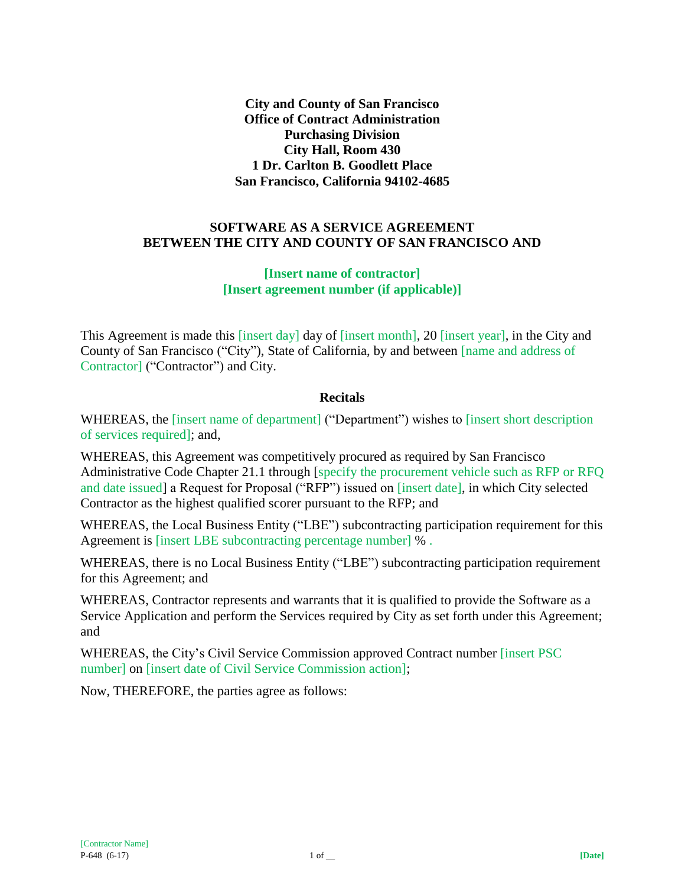**City and County of San Francisco Office of Contract Administration Purchasing Division City Hall, Room 430 1 Dr. Carlton B. Goodlett Place San Francisco, California 94102-4685**

#### **SOFTWARE AS A SERVICE AGREEMENT BETWEEN THE CITY AND COUNTY OF SAN FRANCISCO AND**

#### **[Insert name of contractor] [Insert agreement number (if applicable)]**

This Agreement is made this [insert day] day of [insert month], 20 [insert year], in the City and County of San Francisco ("City"), State of California, by and between [name and address of Contractor] ("Contractor") and City.

#### **Recitals**

WHEREAS, the [insert name of department] ("Department") wishes to [insert short description of services required]; and,

WHEREAS, this Agreement was competitively procured as required by San Francisco Administrative Code Chapter 21.1 through [specify the procurement vehicle such as RFP or RFQ and date issued] a Request for Proposal ("RFP") issued on [insert date], in which City selected Contractor as the highest qualified scorer pursuant to the RFP; and

WHEREAS, the Local Business Entity ("LBE") subcontracting participation requirement for this Agreement is [insert LBE subcontracting percentage number] % .

WHEREAS, there is no Local Business Entity ("LBE") subcontracting participation requirement for this Agreement; and

WHEREAS, Contractor represents and warrants that it is qualified to provide the Software as a Service Application and perform the Services required by City as set forth under this Agreement; and

WHEREAS, the City's Civil Service Commission approved Contract number [insert PSC number] on [insert date of Civil Service Commission action];

Now, THEREFORE, the parties agree as follows: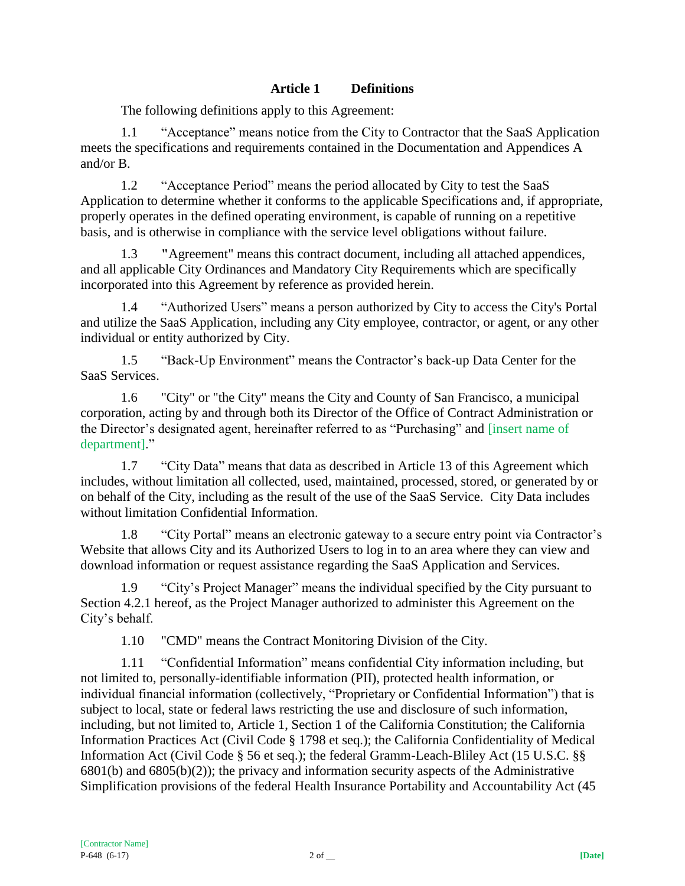## **Article 1 Definitions**

The following definitions apply to this Agreement:

1.1 "Acceptance" means notice from the City to Contractor that the SaaS Application meets the specifications and requirements contained in the Documentation and Appendices A and/or B.

1.2 "Acceptance Period" means the period allocated by City to test the SaaS Application to determine whether it conforms to the applicable Specifications and, if appropriate, properly operates in the defined operating environment, is capable of running on a repetitive basis, and is otherwise in compliance with the service level obligations without failure.

1.3 **"**Agreement" means this contract document, including all attached appendices, and all applicable City Ordinances and Mandatory City Requirements which are specifically incorporated into this Agreement by reference as provided herein.

1.4 "Authorized Users" means a person authorized by City to access the City's Portal and utilize the SaaS Application, including any City employee, contractor, or agent, or any other individual or entity authorized by City.

1.5 "Back-Up Environment" means the Contractor's back-up Data Center for the SaaS Services.

1.6 "City" or "the City" means the City and County of San Francisco, a municipal corporation, acting by and through both its Director of the Office of Contract Administration or the Director's designated agent, hereinafter referred to as "Purchasing" and [insert name of department]."

1.7 "City Data" means that data as described in Article 13 of this Agreement which includes, without limitation all collected, used, maintained, processed, stored, or generated by or on behalf of the City, including as the result of the use of the SaaS Service. City Data includes without limitation Confidential Information.

1.8 "City Portal" means an electronic gateway to a secure entry point via Contractor's Website that allows City and its Authorized Users to log in to an area where they can view and download information or request assistance regarding the SaaS Application and Services.

1.9 "City's Project Manager" means the individual specified by the City pursuant to Section 4.2.1 hereof, as the Project Manager authorized to administer this Agreement on the City's behalf.

1.10 "CMD" means the Contract Monitoring Division of the City.

1.11 "Confidential Information" means confidential City information including, but not limited to, personally-identifiable information (PII), protected health information, or individual financial information (collectively, "Proprietary or Confidential Information") that is subject to local, state or federal laws restricting the use and disclosure of such information, including, but not limited to, Article 1, Section 1 of the California Constitution; the California Information Practices Act (Civil Code § 1798 et seq.); the California Confidentiality of Medical Information Act (Civil Code § 56 et seq.); the federal Gramm-Leach-Bliley Act (15 U.S.C. §§ 6801(b) and 6805(b)(2)); the privacy and information security aspects of the Administrative Simplification provisions of the federal Health Insurance Portability and Accountability Act (45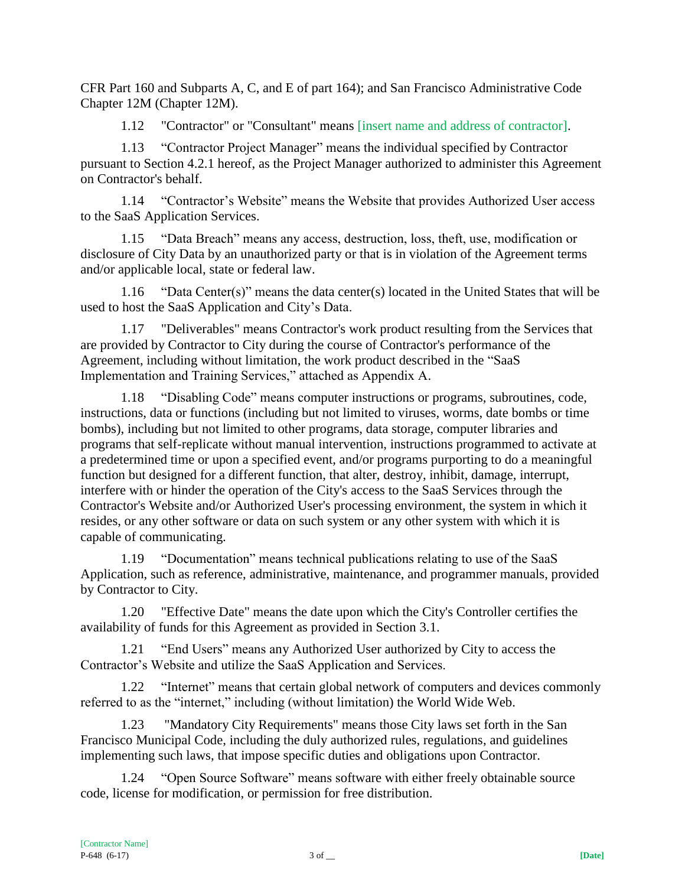CFR Part 160 and Subparts A, C, and E of part 164); and San Francisco Administrative Code Chapter 12M (Chapter 12M).

1.12 "Contractor" or "Consultant" means [insert name and address of contractor].

1.13 "Contractor Project Manager" means the individual specified by Contractor pursuant to Section 4.2.1 hereof, as the Project Manager authorized to administer this Agreement on Contractor's behalf.

1.14 "Contractor's Website" means the Website that provides Authorized User access to the SaaS Application Services.

1.15 "Data Breach" means any access, destruction, loss, theft, use, modification or disclosure of City Data by an unauthorized party or that is in violation of the Agreement terms and/or applicable local, state or federal law.

1.16 "Data Center(s)" means the data center(s) located in the United States that will be used to host the SaaS Application and City's Data.

1.17 "Deliverables" means Contractor's work product resulting from the Services that are provided by Contractor to City during the course of Contractor's performance of the Agreement, including without limitation, the work product described in the "SaaS Implementation and Training Services," attached as Appendix A.

1.18 "Disabling Code" means computer instructions or programs, subroutines, code, instructions, data or functions (including but not limited to viruses, worms, date bombs or time bombs), including but not limited to other programs, data storage, computer libraries and programs that self-replicate without manual intervention, instructions programmed to activate at a predetermined time or upon a specified event, and/or programs purporting to do a meaningful function but designed for a different function, that alter, destroy, inhibit, damage, interrupt, interfere with or hinder the operation of the City's access to the SaaS Services through the Contractor's Website and/or Authorized User's processing environment, the system in which it resides, or any other software or data on such system or any other system with which it is capable of communicating.

1.19 "Documentation" means technical publications relating to use of the SaaS Application, such as reference, administrative, maintenance, and programmer manuals, provided by Contractor to City.

1.20 "Effective Date" means the date upon which the City's Controller certifies the availability of funds for this Agreement as provided in Section 3.1.

1.21 "End Users" means any Authorized User authorized by City to access the Contractor's Website and utilize the SaaS Application and Services.

1.22 "Internet" means that certain global network of computers and devices commonly referred to as the "internet," including (without limitation) the World Wide Web.

1.23 "Mandatory City Requirements" means those City laws set forth in the San Francisco Municipal Code, including the duly authorized rules, regulations, and guidelines implementing such laws, that impose specific duties and obligations upon Contractor.

1.24 "Open Source Software" means software with either freely obtainable source code, license for modification, or permission for free distribution.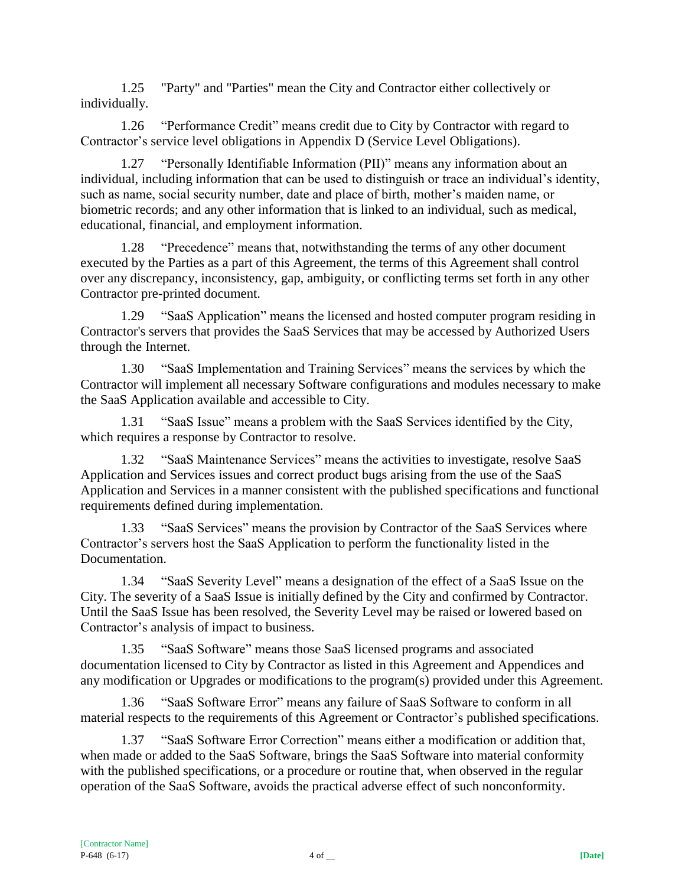1.25 "Party" and "Parties" mean the City and Contractor either collectively or individually.

1.26 "Performance Credit" means credit due to City by Contractor with regard to Contractor's service level obligations in Appendix D (Service Level Obligations).

1.27 "Personally Identifiable Information (PII)" means any information about an individual, including information that can be used to distinguish or trace an individual's identity, such as name, social security number, date and place of birth, mother's maiden name, or biometric records; and any other information that is linked to an individual, such as medical, educational, financial, and employment information.

1.28 "Precedence" means that, notwithstanding the terms of any other document executed by the Parties as a part of this Agreement, the terms of this Agreement shall control over any discrepancy, inconsistency, gap, ambiguity, or conflicting terms set forth in any other Contractor pre-printed document.

1.29 "SaaS Application" means the licensed and hosted computer program residing in Contractor's servers that provides the SaaS Services that may be accessed by Authorized Users through the Internet.

1.30 "SaaS Implementation and Training Services" means the services by which the Contractor will implement all necessary Software configurations and modules necessary to make the SaaS Application available and accessible to City.

1.31 "SaaS Issue" means a problem with the SaaS Services identified by the City, which requires a response by Contractor to resolve.

1.32 "SaaS Maintenance Services" means the activities to investigate, resolve SaaS Application and Services issues and correct product bugs arising from the use of the SaaS Application and Services in a manner consistent with the published specifications and functional requirements defined during implementation.

1.33 "SaaS Services" means the provision by Contractor of the SaaS Services where Contractor's servers host the SaaS Application to perform the functionality listed in the Documentation.

1.34 "SaaS Severity Level" means a designation of the effect of a SaaS Issue on the City. The severity of a SaaS Issue is initially defined by the City and confirmed by Contractor. Until the SaaS Issue has been resolved, the Severity Level may be raised or lowered based on Contractor's analysis of impact to business.

1.35 "SaaS Software" means those SaaS licensed programs and associated documentation licensed to City by Contractor as listed in this Agreement and Appendices and any modification or Upgrades or modifications to the program(s) provided under this Agreement.

1.36 "SaaS Software Error" means any failure of SaaS Software to conform in all material respects to the requirements of this Agreement or Contractor's published specifications.

1.37 "SaaS Software Error Correction" means either a modification or addition that, when made or added to the SaaS Software, brings the SaaS Software into material conformity with the published specifications, or a procedure or routine that, when observed in the regular operation of the SaaS Software, avoids the practical adverse effect of such nonconformity.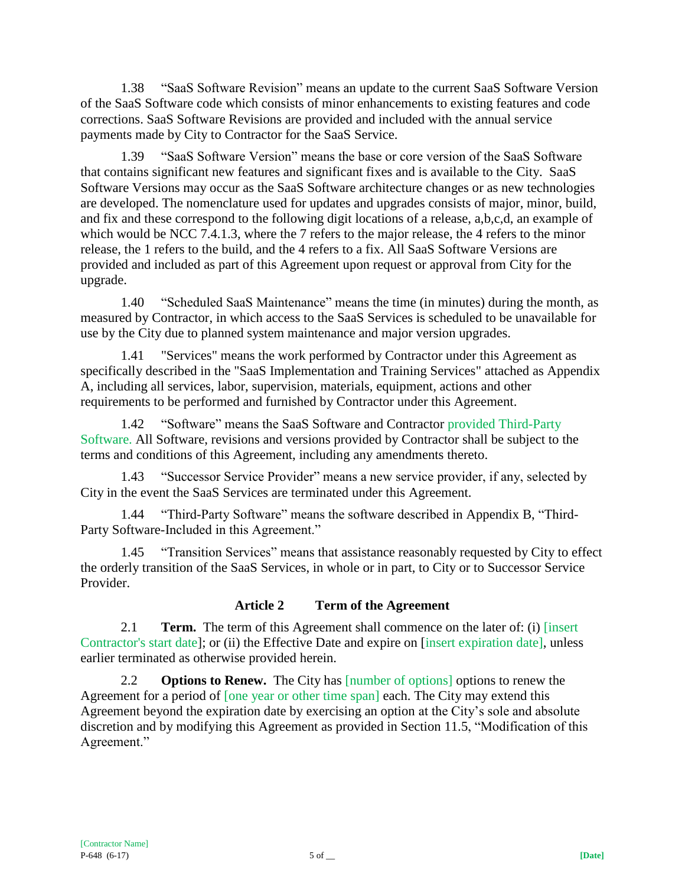1.38 "SaaS Software Revision" means an update to the current SaaS Software Version of the SaaS Software code which consists of minor enhancements to existing features and code corrections. SaaS Software Revisions are provided and included with the annual service payments made by City to Contractor for the SaaS Service.

1.39 "SaaS Software Version" means the base or core version of the SaaS Software that contains significant new features and significant fixes and is available to the City. SaaS Software Versions may occur as the SaaS Software architecture changes or as new technologies are developed. The nomenclature used for updates and upgrades consists of major, minor, build, and fix and these correspond to the following digit locations of a release, a,b,c,d, an example of which would be NCC 7.4.1.3, where the 7 refers to the major release, the 4 refers to the minor release, the 1 refers to the build, and the 4 refers to a fix. All SaaS Software Versions are provided and included as part of this Agreement upon request or approval from City for the upgrade.

1.40 "Scheduled SaaS Maintenance" means the time (in minutes) during the month, as measured by Contractor, in which access to the SaaS Services is scheduled to be unavailable for use by the City due to planned system maintenance and major version upgrades.

1.41 "Services" means the work performed by Contractor under this Agreement as specifically described in the "SaaS Implementation and Training Services" attached as Appendix A, including all services, labor, supervision, materials, equipment, actions and other requirements to be performed and furnished by Contractor under this Agreement.

1.42 "Software" means the SaaS Software and Contractor provided Third-Party Software. All Software, revisions and versions provided by Contractor shall be subject to the terms and conditions of this Agreement, including any amendments thereto.

1.43 "Successor Service Provider" means a new service provider, if any, selected by City in the event the SaaS Services are terminated under this Agreement.

1.44 "Third-Party Software" means the software described in Appendix B, "Third-Party Software-Included in this Agreement."

1.45 "Transition Services" means that assistance reasonably requested by City to effect the orderly transition of the SaaS Services, in whole or in part, to City or to Successor Service Provider.

### **Article 2 Term of the Agreement**

2.1 **Term.** The term of this Agreement shall commence on the later of: (i) [insert Contractor's start date]; or (ii) the Effective Date and expire on [insert expiration date], unless earlier terminated as otherwise provided herein.

2.2 **Options to Renew.** The City has [number of options] options to renew the Agreement for a period of [one year or other time span] each. The City may extend this Agreement beyond the expiration date by exercising an option at the City's sole and absolute discretion and by modifying this Agreement as provided in Section 11.5, "Modification of this Agreement."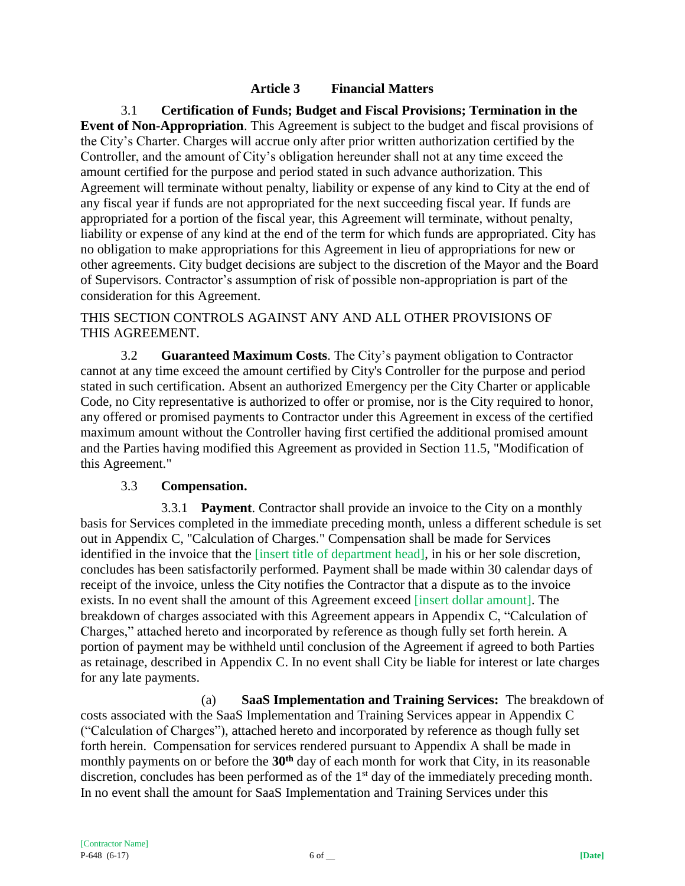### **Article 3 Financial Matters**

3.1 **Certification of Funds; Budget and Fiscal Provisions; Termination in the Event of Non-Appropriation**. This Agreement is subject to the budget and fiscal provisions of the City's Charter. Charges will accrue only after prior written authorization certified by the Controller, and the amount of City's obligation hereunder shall not at any time exceed the amount certified for the purpose and period stated in such advance authorization. This Agreement will terminate without penalty, liability or expense of any kind to City at the end of any fiscal year if funds are not appropriated for the next succeeding fiscal year. If funds are appropriated for a portion of the fiscal year, this Agreement will terminate, without penalty, liability or expense of any kind at the end of the term for which funds are appropriated. City has no obligation to make appropriations for this Agreement in lieu of appropriations for new or other agreements. City budget decisions are subject to the discretion of the Mayor and the Board of Supervisors. Contractor's assumption of risk of possible non-appropriation is part of the consideration for this Agreement.

THIS SECTION CONTROLS AGAINST ANY AND ALL OTHER PROVISIONS OF THIS AGREEMENT.

3.2 **Guaranteed Maximum Costs**. The City's payment obligation to Contractor cannot at any time exceed the amount certified by City's Controller for the purpose and period stated in such certification. Absent an authorized Emergency per the City Charter or applicable Code, no City representative is authorized to offer or promise, nor is the City required to honor, any offered or promised payments to Contractor under this Agreement in excess of the certified maximum amount without the Controller having first certified the additional promised amount and the Parties having modified this Agreement as provided in Section 11.5, "Modification of this Agreement."

#### 3.3 **Compensation.**

3.3.1 **Payment**. Contractor shall provide an invoice to the City on a monthly basis for Services completed in the immediate preceding month, unless a different schedule is set out in Appendix C, "Calculation of Charges." Compensation shall be made for Services identified in the invoice that the *[insert title of department head]*, in his or her sole discretion, concludes has been satisfactorily performed. Payment shall be made within 30 calendar days of receipt of the invoice, unless the City notifies the Contractor that a dispute as to the invoice exists. In no event shall the amount of this Agreement exceed [insert dollar amount]. The breakdown of charges associated with this Agreement appears in Appendix C, "Calculation of Charges," attached hereto and incorporated by reference as though fully set forth herein. A portion of payment may be withheld until conclusion of the Agreement if agreed to both Parties as retainage, described in Appendix C. In no event shall City be liable for interest or late charges for any late payments.

(a) **SaaS Implementation and Training Services:** The breakdown of costs associated with the SaaS Implementation and Training Services appear in Appendix C ("Calculation of Charges"), attached hereto and incorporated by reference as though fully set forth herein. Compensation for services rendered pursuant to Appendix A shall be made in monthly payments on or before the **30th** day of each month for work that City, in its reasonable discretion, concludes has been performed as of the 1<sup>st</sup> day of the immediately preceding month. In no event shall the amount for SaaS Implementation and Training Services under this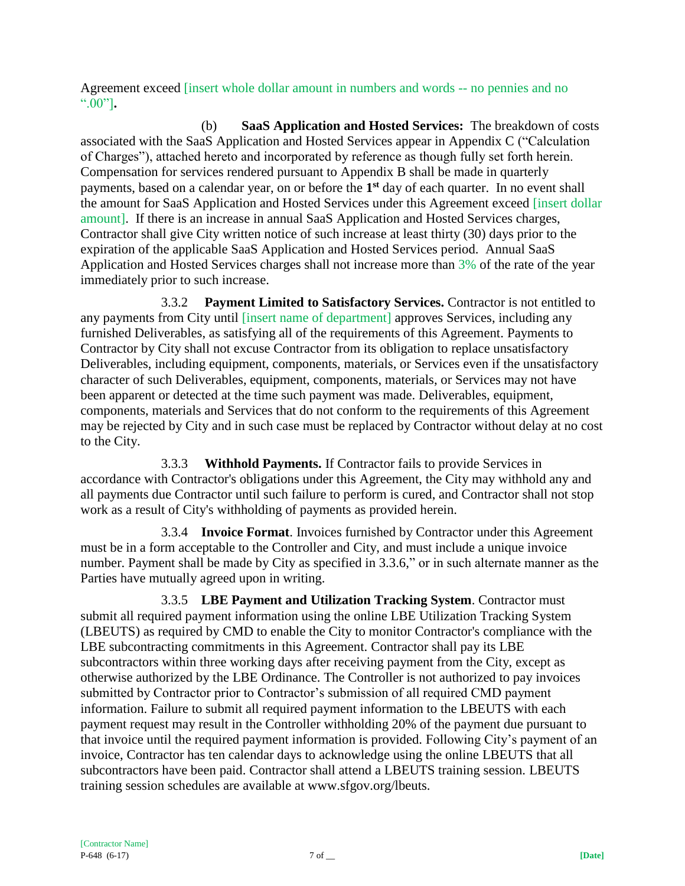Agreement exceed [insert whole dollar amount in numbers and words -- no pennies and no ".00"]**.**

(b) **SaaS Application and Hosted Services:** The breakdown of costs associated with the SaaS Application and Hosted Services appear in Appendix C ("Calculation of Charges"), attached hereto and incorporated by reference as though fully set forth herein. Compensation for services rendered pursuant to Appendix B shall be made in quarterly payments, based on a calendar year, on or before the **1 st** day of each quarter. In no event shall the amount for SaaS Application and Hosted Services under this Agreement exceed [insert dollar amount]. If there is an increase in annual SaaS Application and Hosted Services charges, Contractor shall give City written notice of such increase at least thirty (30) days prior to the expiration of the applicable SaaS Application and Hosted Services period. Annual SaaS Application and Hosted Services charges shall not increase more than 3% of the rate of the year immediately prior to such increase.

3.3.2 **Payment Limited to Satisfactory Services.** Contractor is not entitled to any payments from City until [insert name of department] approves Services, including any furnished Deliverables, as satisfying all of the requirements of this Agreement. Payments to Contractor by City shall not excuse Contractor from its obligation to replace unsatisfactory Deliverables, including equipment, components, materials, or Services even if the unsatisfactory character of such Deliverables, equipment, components, materials, or Services may not have been apparent or detected at the time such payment was made. Deliverables, equipment, components, materials and Services that do not conform to the requirements of this Agreement may be rejected by City and in such case must be replaced by Contractor without delay at no cost to the City.

3.3.3 **Withhold Payments.** If Contractor fails to provide Services in accordance with Contractor's obligations under this Agreement, the City may withhold any and all payments due Contractor until such failure to perform is cured, and Contractor shall not stop work as a result of City's withholding of payments as provided herein.

3.3.4 **Invoice Format**. Invoices furnished by Contractor under this Agreement must be in a form acceptable to the Controller and City, and must include a unique invoice number. Payment shall be made by City as specified in 3.3.6," or in such alternate manner as the Parties have mutually agreed upon in writing.

3.3.5 **LBE Payment and Utilization Tracking System**. Contractor must submit all required payment information using the online LBE Utilization Tracking System (LBEUTS) as required by CMD to enable the City to monitor Contractor's compliance with the LBE subcontracting commitments in this Agreement. Contractor shall pay its LBE subcontractors within three working days after receiving payment from the City, except as otherwise authorized by the LBE Ordinance. The Controller is not authorized to pay invoices submitted by Contractor prior to Contractor's submission of all required CMD payment information. Failure to submit all required payment information to the LBEUTS with each payment request may result in the Controller withholding 20% of the payment due pursuant to that invoice until the required payment information is provided. Following City's payment of an invoice, Contractor has ten calendar days to acknowledge using the online LBEUTS that all subcontractors have been paid. Contractor shall attend a LBEUTS training session. LBEUTS training session schedules are available at www.sfgov.org/lbeuts.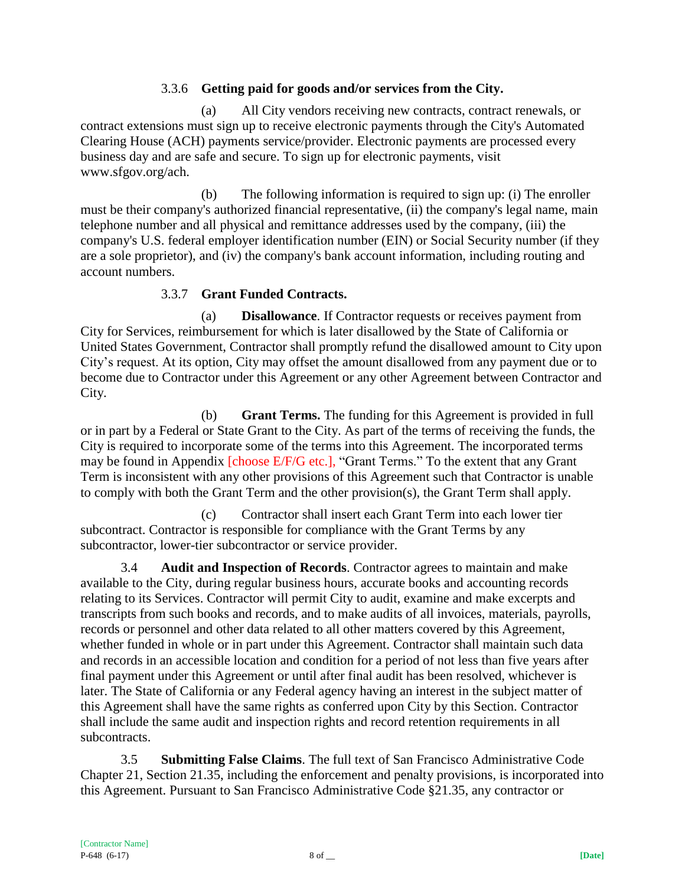### 3.3.6 **Getting paid for goods and/or services from the City.**

(a) All City vendors receiving new contracts, contract renewals, or contract extensions must sign up to receive electronic payments through the City's Automated Clearing House (ACH) payments service/provider. Electronic payments are processed every business day and are safe and secure. To sign up for electronic payments, visit www.sfgov.org/ach.

(b) The following information is required to sign up: (i) The enroller must be their company's authorized financial representative, (ii) the company's legal name, main telephone number and all physical and remittance addresses used by the company, (iii) the company's U.S. federal employer identification number (EIN) or Social Security number (if they are a sole proprietor), and (iv) the company's bank account information, including routing and account numbers.

# 3.3.7 **Grant Funded Contracts.**

(a) **Disallowance**. If Contractor requests or receives payment from City for Services, reimbursement for which is later disallowed by the State of California or United States Government, Contractor shall promptly refund the disallowed amount to City upon City's request. At its option, City may offset the amount disallowed from any payment due or to become due to Contractor under this Agreement or any other Agreement between Contractor and City.

(b) **Grant Terms.** The funding for this Agreement is provided in full or in part by a Federal or State Grant to the City. As part of the terms of receiving the funds, the City is required to incorporate some of the terms into this Agreement. The incorporated terms may be found in Appendix [choose E/F/G etc.], "Grant Terms." To the extent that any Grant Term is inconsistent with any other provisions of this Agreement such that Contractor is unable to comply with both the Grant Term and the other provision(s), the Grant Term shall apply.

(c) Contractor shall insert each Grant Term into each lower tier subcontract. Contractor is responsible for compliance with the Grant Terms by any subcontractor, lower-tier subcontractor or service provider.

3.4 **Audit and Inspection of Records**. Contractor agrees to maintain and make available to the City, during regular business hours, accurate books and accounting records relating to its Services. Contractor will permit City to audit, examine and make excerpts and transcripts from such books and records, and to make audits of all invoices, materials, payrolls, records or personnel and other data related to all other matters covered by this Agreement, whether funded in whole or in part under this Agreement. Contractor shall maintain such data and records in an accessible location and condition for a period of not less than five years after final payment under this Agreement or until after final audit has been resolved, whichever is later. The State of California or any Federal agency having an interest in the subject matter of this Agreement shall have the same rights as conferred upon City by this Section. Contractor shall include the same audit and inspection rights and record retention requirements in all subcontracts.

3.5 **Submitting False Claims**. The full text of San Francisco Administrative Code Chapter 21, Section 21.35, including the enforcement and penalty provisions, is incorporated into this Agreement. Pursuant to San Francisco Administrative Code §21.35, any contractor or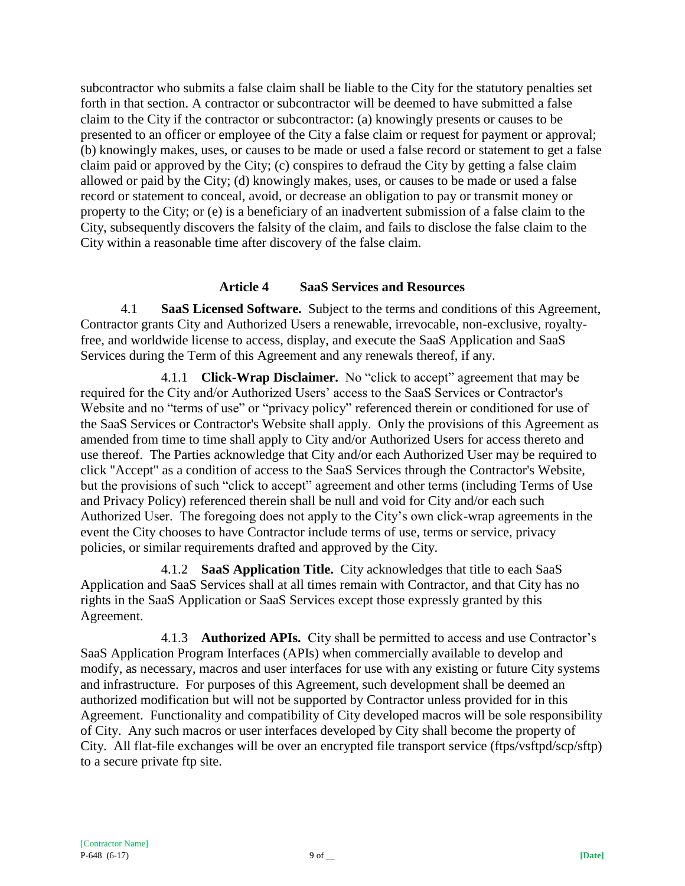subcontractor who submits a false claim shall be liable to the City for the statutory penalties set forth in that section. A contractor or subcontractor will be deemed to have submitted a false claim to the City if the contractor or subcontractor: (a) knowingly presents or causes to be presented to an officer or employee of the City a false claim or request for payment or approval; (b) knowingly makes, uses, or causes to be made or used a false record or statement to get a false claim paid or approved by the City; (c) conspires to defraud the City by getting a false claim allowed or paid by the City; (d) knowingly makes, uses, or causes to be made or used a false record or statement to conceal, avoid, or decrease an obligation to pay or transmit money or property to the City; or (e) is a beneficiary of an inadvertent submission of a false claim to the City, subsequently discovers the falsity of the claim, and fails to disclose the false claim to the City within a reasonable time after discovery of the false claim.

### **Article 4 SaaS Services and Resources**

4.1 **SaaS Licensed Software.** Subject to the terms and conditions of this Agreement, Contractor grants City and Authorized Users a renewable, irrevocable, non-exclusive, royaltyfree, and worldwide license to access, display, and execute the SaaS Application and SaaS Services during the Term of this Agreement and any renewals thereof, if any.

4.1.1 **Click-Wrap Disclaimer.** No "click to accept" agreement that may be required for the City and/or Authorized Users' access to the SaaS Services or Contractor's Website and no "terms of use" or "privacy policy" referenced therein or conditioned for use of the SaaS Services or Contractor's Website shall apply. Only the provisions of this Agreement as amended from time to time shall apply to City and/or Authorized Users for access thereto and use thereof. The Parties acknowledge that City and/or each Authorized User may be required to click "Accept" as a condition of access to the SaaS Services through the Contractor's Website, but the provisions of such "click to accept" agreement and other terms (including Terms of Use and Privacy Policy) referenced therein shall be null and void for City and/or each such Authorized User. The foregoing does not apply to the City's own click-wrap agreements in the event the City chooses to have Contractor include terms of use, terms or service, privacy policies, or similar requirements drafted and approved by the City.

4.1.2 **SaaS Application Title.** City acknowledges that title to each SaaS Application and SaaS Services shall at all times remain with Contractor, and that City has no rights in the SaaS Application or SaaS Services except those expressly granted by this Agreement.

4.1.3 **Authorized APIs.** City shall be permitted to access and use Contractor's SaaS Application Program Interfaces (APIs) when commercially available to develop and modify, as necessary, macros and user interfaces for use with any existing or future City systems and infrastructure. For purposes of this Agreement, such development shall be deemed an authorized modification but will not be supported by Contractor unless provided for in this Agreement. Functionality and compatibility of City developed macros will be sole responsibility of City. Any such macros or user interfaces developed by City shall become the property of City. All flat-file exchanges will be over an encrypted file transport service (ftps/vsftpd/scp/sftp) to a secure private ftp site.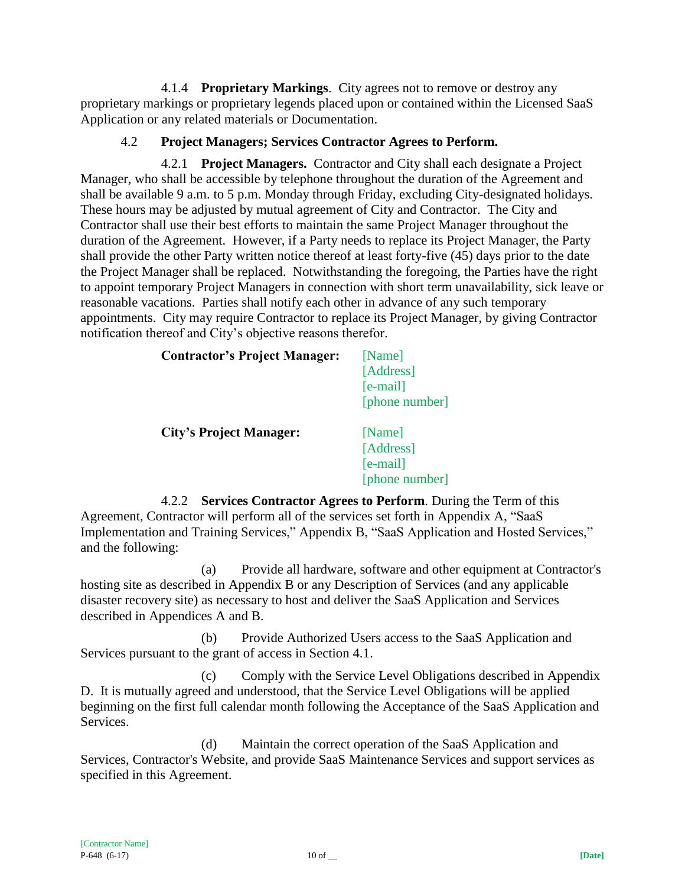4.1.4 **Proprietary Markings**. City agrees not to remove or destroy any proprietary markings or proprietary legends placed upon or contained within the Licensed SaaS Application or any related materials or Documentation.

### 4.2 **Project Managers; Services Contractor Agrees to Perform.**

4.2.1 **Project Managers.** Contractor and City shall each designate a Project Manager, who shall be accessible by telephone throughout the duration of the Agreement and shall be available 9 a.m. to 5 p.m. Monday through Friday, excluding City-designated holidays. These hours may be adjusted by mutual agreement of City and Contractor. The City and Contractor shall use their best efforts to maintain the same Project Manager throughout the duration of the Agreement. However, if a Party needs to replace its Project Manager, the Party shall provide the other Party written notice thereof at least forty-five (45) days prior to the date the Project Manager shall be replaced. Notwithstanding the foregoing, the Parties have the right to appoint temporary Project Managers in connection with short term unavailability, sick leave or reasonable vacations. Parties shall notify each other in advance of any such temporary appointments. City may require Contractor to replace its Project Manager, by giving Contractor notification thereof and City's objective reasons therefor.

| <b>Contractor's Project Manager:</b> | [Name]<br>[Address]<br>$[e-mail]$<br>[phone number] |
|--------------------------------------|-----------------------------------------------------|
| <b>City's Project Manager:</b>       | [Name]<br>[Address]<br>$[e-mail]$<br>[phone number] |

4.2.2 **Services Contractor Agrees to Perform**. During the Term of this Agreement, Contractor will perform all of the services set forth in Appendix A, "SaaS Implementation and Training Services," Appendix B, "SaaS Application and Hosted Services," and the following:

(a) Provide all hardware, software and other equipment at Contractor's hosting site as described in Appendix B or any Description of Services (and any applicable disaster recovery site) as necessary to host and deliver the SaaS Application and Services described in Appendices A and B.

(b) Provide Authorized Users access to the SaaS Application and Services pursuant to the grant of access in Section 4.1.

(c) Comply with the Service Level Obligations described in Appendix D. It is mutually agreed and understood, that the Service Level Obligations will be applied beginning on the first full calendar month following the Acceptance of the SaaS Application and Services.

(d) Maintain the correct operation of the SaaS Application and Services, Contractor's Website, and provide SaaS Maintenance Services and support services as specified in this Agreement.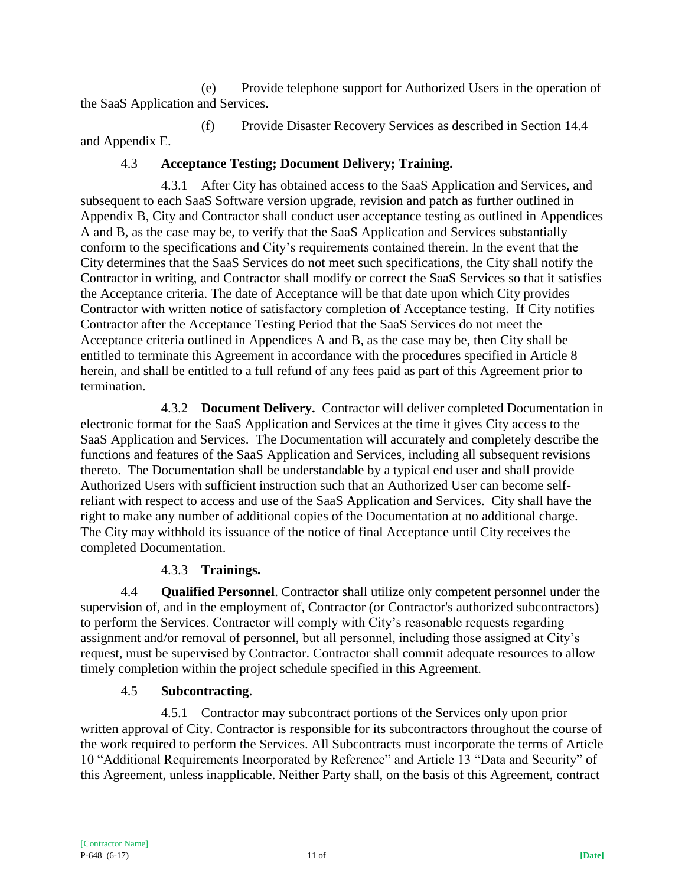(e) Provide telephone support for Authorized Users in the operation of the SaaS Application and Services.

(f) Provide Disaster Recovery Services as described in Section 14.4 and Appendix E.

## 4.3 **Acceptance Testing; Document Delivery; Training.**

4.3.1 After City has obtained access to the SaaS Application and Services, and subsequent to each SaaS Software version upgrade, revision and patch as further outlined in Appendix B, City and Contractor shall conduct user acceptance testing as outlined in Appendices A and B, as the case may be, to verify that the SaaS Application and Services substantially conform to the specifications and City's requirements contained therein. In the event that the City determines that the SaaS Services do not meet such specifications, the City shall notify the Contractor in writing, and Contractor shall modify or correct the SaaS Services so that it satisfies the Acceptance criteria. The date of Acceptance will be that date upon which City provides Contractor with written notice of satisfactory completion of Acceptance testing. If City notifies Contractor after the Acceptance Testing Period that the SaaS Services do not meet the Acceptance criteria outlined in Appendices A and B, as the case may be, then City shall be entitled to terminate this Agreement in accordance with the procedures specified in Article 8 herein, and shall be entitled to a full refund of any fees paid as part of this Agreement prior to termination.

4.3.2 **Document Delivery.** Contractor will deliver completed Documentation in electronic format for the SaaS Application and Services at the time it gives City access to the SaaS Application and Services. The Documentation will accurately and completely describe the functions and features of the SaaS Application and Services, including all subsequent revisions thereto. The Documentation shall be understandable by a typical end user and shall provide Authorized Users with sufficient instruction such that an Authorized User can become selfreliant with respect to access and use of the SaaS Application and Services. City shall have the right to make any number of additional copies of the Documentation at no additional charge. The City may withhold its issuance of the notice of final Acceptance until City receives the completed Documentation.

# 4.3.3 **Trainings.**

4.4 **Qualified Personnel**. Contractor shall utilize only competent personnel under the supervision of, and in the employment of, Contractor (or Contractor's authorized subcontractors) to perform the Services. Contractor will comply with City's reasonable requests regarding assignment and/or removal of personnel, but all personnel, including those assigned at City's request, must be supervised by Contractor. Contractor shall commit adequate resources to allow timely completion within the project schedule specified in this Agreement.

# 4.5 **Subcontracting**.

4.5.1 Contractor may subcontract portions of the Services only upon prior written approval of City. Contractor is responsible for its subcontractors throughout the course of the work required to perform the Services. All Subcontracts must incorporate the terms of Article 10 "Additional Requirements Incorporated by Reference" and Article 13 "Data and Security" of this Agreement, unless inapplicable. Neither Party shall, on the basis of this Agreement, contract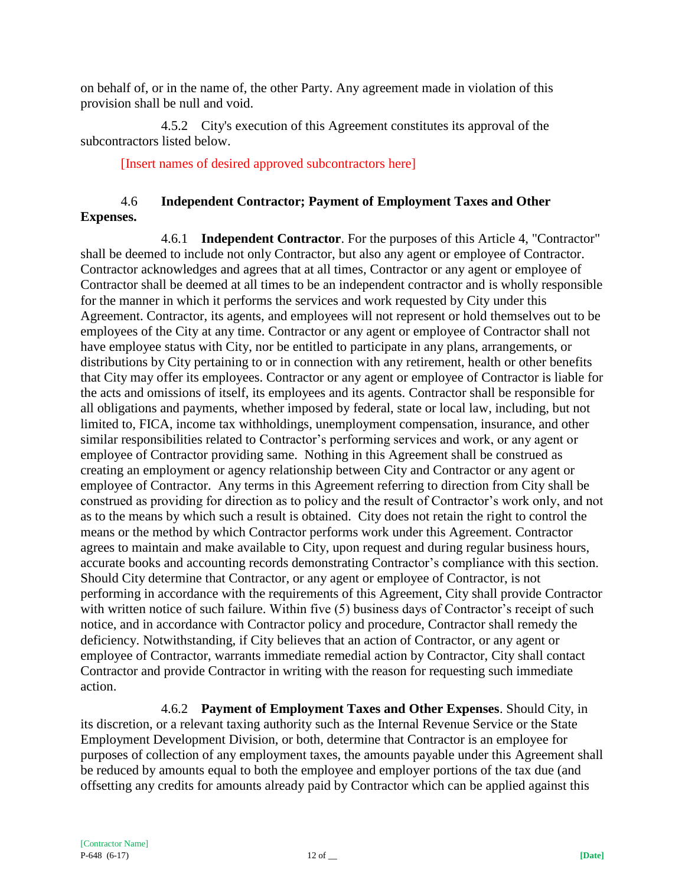on behalf of, or in the name of, the other Party. Any agreement made in violation of this provision shall be null and void.

4.5.2 City's execution of this Agreement constitutes its approval of the subcontractors listed below.

[Insert names of desired approved subcontractors here]

## 4.6 **Independent Contractor; Payment of Employment Taxes and Other Expenses.**

4.6.1 **Independent Contractor**. For the purposes of this Article 4, "Contractor" shall be deemed to include not only Contractor, but also any agent or employee of Contractor. Contractor acknowledges and agrees that at all times, Contractor or any agent or employee of Contractor shall be deemed at all times to be an independent contractor and is wholly responsible for the manner in which it performs the services and work requested by City under this Agreement. Contractor, its agents, and employees will not represent or hold themselves out to be employees of the City at any time. Contractor or any agent or employee of Contractor shall not have employee status with City, nor be entitled to participate in any plans, arrangements, or distributions by City pertaining to or in connection with any retirement, health or other benefits that City may offer its employees. Contractor or any agent or employee of Contractor is liable for the acts and omissions of itself, its employees and its agents. Contractor shall be responsible for all obligations and payments, whether imposed by federal, state or local law, including, but not limited to, FICA, income tax withholdings, unemployment compensation, insurance, and other similar responsibilities related to Contractor's performing services and work, or any agent or employee of Contractor providing same. Nothing in this Agreement shall be construed as creating an employment or agency relationship between City and Contractor or any agent or employee of Contractor. Any terms in this Agreement referring to direction from City shall be construed as providing for direction as to policy and the result of Contractor's work only, and not as to the means by which such a result is obtained. City does not retain the right to control the means or the method by which Contractor performs work under this Agreement. Contractor agrees to maintain and make available to City, upon request and during regular business hours, accurate books and accounting records demonstrating Contractor's compliance with this section. Should City determine that Contractor, or any agent or employee of Contractor, is not performing in accordance with the requirements of this Agreement, City shall provide Contractor with written notice of such failure. Within five (5) business days of Contractor's receipt of such notice, and in accordance with Contractor policy and procedure, Contractor shall remedy the deficiency. Notwithstanding, if City believes that an action of Contractor, or any agent or employee of Contractor, warrants immediate remedial action by Contractor, City shall contact Contractor and provide Contractor in writing with the reason for requesting such immediate action.

4.6.2 **Payment of Employment Taxes and Other Expenses**. Should City, in its discretion, or a relevant taxing authority such as the Internal Revenue Service or the State Employment Development Division, or both, determine that Contractor is an employee for purposes of collection of any employment taxes, the amounts payable under this Agreement shall be reduced by amounts equal to both the employee and employer portions of the tax due (and offsetting any credits for amounts already paid by Contractor which can be applied against this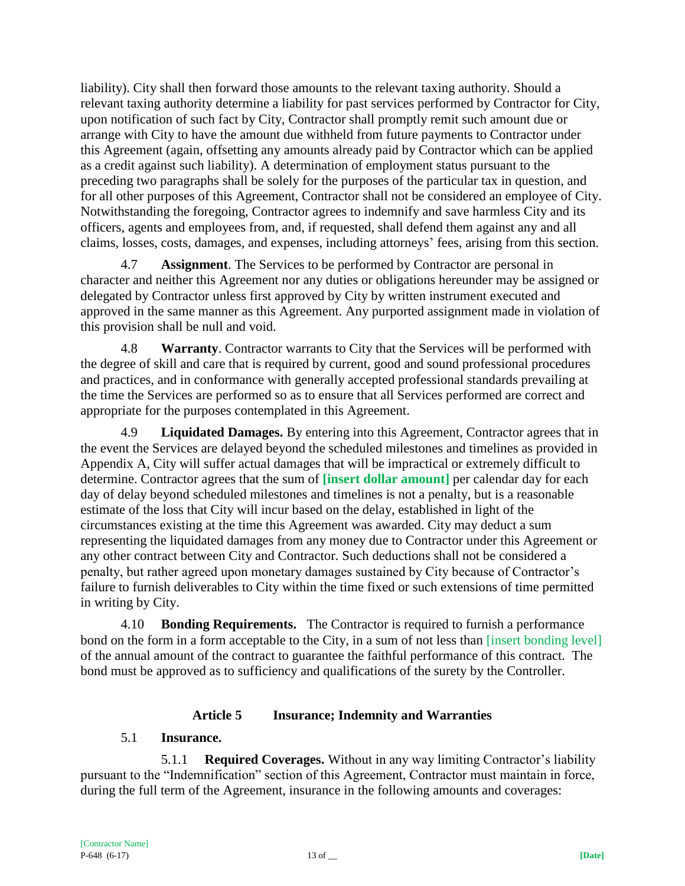liability). City shall then forward those amounts to the relevant taxing authority. Should a relevant taxing authority determine a liability for past services performed by Contractor for City, upon notification of such fact by City, Contractor shall promptly remit such amount due or arrange with City to have the amount due withheld from future payments to Contractor under this Agreement (again, offsetting any amounts already paid by Contractor which can be applied as a credit against such liability). A determination of employment status pursuant to the preceding two paragraphs shall be solely for the purposes of the particular tax in question, and for all other purposes of this Agreement, Contractor shall not be considered an employee of City. Notwithstanding the foregoing, Contractor agrees to indemnify and save harmless City and its officers, agents and employees from, and, if requested, shall defend them against any and all claims, losses, costs, damages, and expenses, including attorneys' fees, arising from this section.

4.7 **Assignment**. The Services to be performed by Contractor are personal in character and neither this Agreement nor any duties or obligations hereunder may be assigned or delegated by Contractor unless first approved by City by written instrument executed and approved in the same manner as this Agreement. Any purported assignment made in violation of this provision shall be null and void.

4.8 **Warranty**. Contractor warrants to City that the Services will be performed with the degree of skill and care that is required by current, good and sound professional procedures and practices, and in conformance with generally accepted professional standards prevailing at the time the Services are performed so as to ensure that all Services performed are correct and appropriate for the purposes contemplated in this Agreement.

4.9 **Liquidated Damages.** By entering into this Agreement, Contractor agrees that in the event the Services are delayed beyond the scheduled milestones and timelines as provided in Appendix A, City will suffer actual damages that will be impractical or extremely difficult to determine. Contractor agrees that the sum of **[insert dollar amount]** per calendar day for each day of delay beyond scheduled milestones and timelines is not a penalty, but is a reasonable estimate of the loss that City will incur based on the delay, established in light of the circumstances existing at the time this Agreement was awarded. City may deduct a sum representing the liquidated damages from any money due to Contractor under this Agreement or any other contract between City and Contractor. Such deductions shall not be considered a penalty, but rather agreed upon monetary damages sustained by City because of Contractor's failure to furnish deliverables to City within the time fixed or such extensions of time permitted in writing by City.

4.10 **Bonding Requirements.** The Contractor is required to furnish a performance bond on the form in a form acceptable to the City, in a sum of not less than [insert bonding level] of the annual amount of the contract to guarantee the faithful performance of this contract. The bond must be approved as to sufficiency and qualifications of the surety by the Controller.

### **Article 5 Insurance; Indemnity and Warranties**

#### 5.1 **Insurance.**

5.1.1 **Required Coverages.** Without in any way limiting Contractor's liability pursuant to the "Indemnification" section of this Agreement, Contractor must maintain in force, during the full term of the Agreement, insurance in the following amounts and coverages: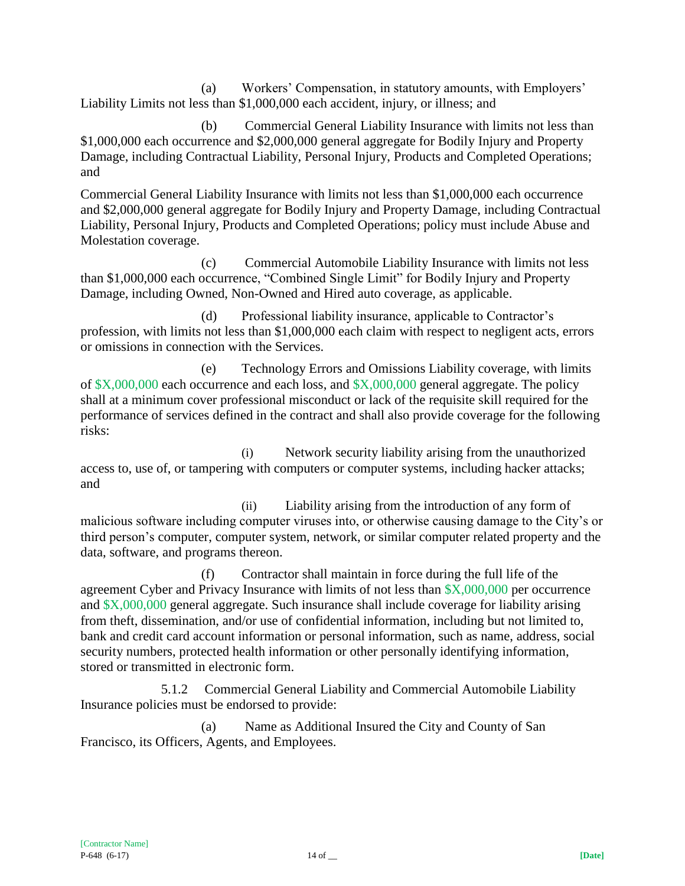(a) Workers' Compensation, in statutory amounts, with Employers' Liability Limits not less than \$1,000,000 each accident, injury, or illness; and

(b) Commercial General Liability Insurance with limits not less than \$1,000,000 each occurrence and \$2,000,000 general aggregate for Bodily Injury and Property Damage, including Contractual Liability, Personal Injury, Products and Completed Operations; and

Commercial General Liability Insurance with limits not less than \$1,000,000 each occurrence and \$2,000,000 general aggregate for Bodily Injury and Property Damage, including Contractual Liability, Personal Injury, Products and Completed Operations; policy must include Abuse and Molestation coverage.

(c) Commercial Automobile Liability Insurance with limits not less than \$1,000,000 each occurrence, "Combined Single Limit" for Bodily Injury and Property Damage, including Owned, Non-Owned and Hired auto coverage, as applicable.

(d) Professional liability insurance, applicable to Contractor's profession, with limits not less than \$1,000,000 each claim with respect to negligent acts, errors or omissions in connection with the Services.

(e) Technology Errors and Omissions Liability coverage, with limits of \$X,000,000 each occurrence and each loss, and \$X,000,000 general aggregate. The policy shall at a minimum cover professional misconduct or lack of the requisite skill required for the performance of services defined in the contract and shall also provide coverage for the following risks:

(i) Network security liability arising from the unauthorized access to, use of, or tampering with computers or computer systems, including hacker attacks; and

(ii) Liability arising from the introduction of any form of malicious software including computer viruses into, or otherwise causing damage to the City's or third person's computer, computer system, network, or similar computer related property and the data, software, and programs thereon.

(f) Contractor shall maintain in force during the full life of the agreement Cyber and Privacy Insurance with limits of not less than \$X,000,000 per occurrence and \$X,000,000 general aggregate. Such insurance shall include coverage for liability arising from theft, dissemination, and/or use of confidential information, including but not limited to, bank and credit card account information or personal information, such as name, address, social security numbers, protected health information or other personally identifying information, stored or transmitted in electronic form.

5.1.2 Commercial General Liability and Commercial Automobile Liability Insurance policies must be endorsed to provide:

(a) Name as Additional Insured the City and County of San Francisco, its Officers, Agents, and Employees.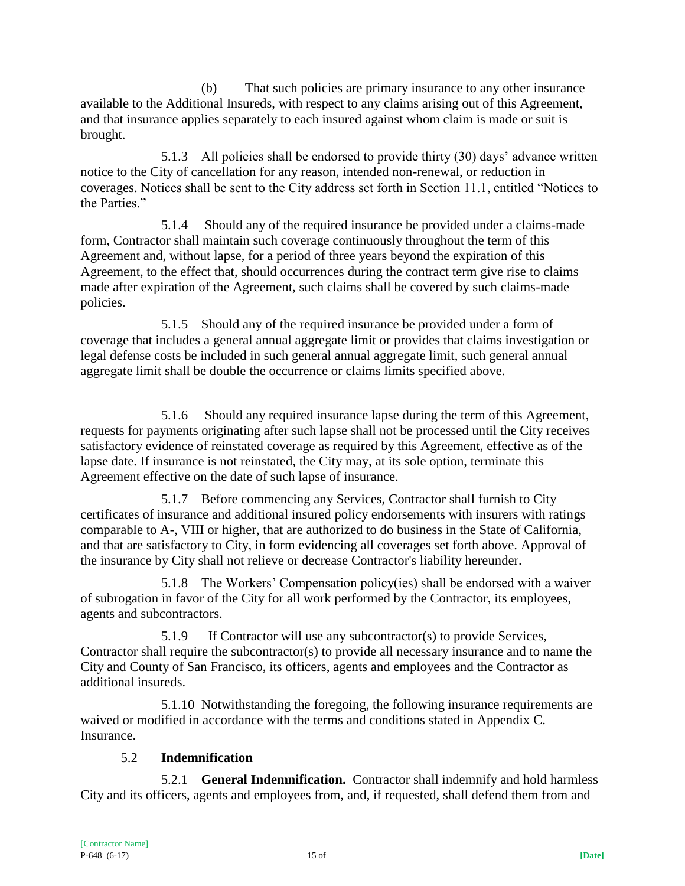(b) That such policies are primary insurance to any other insurance available to the Additional Insureds, with respect to any claims arising out of this Agreement, and that insurance applies separately to each insured against whom claim is made or suit is brought.

5.1.3 All policies shall be endorsed to provide thirty (30) days' advance written notice to the City of cancellation for any reason, intended non-renewal, or reduction in coverages. Notices shall be sent to the City address set forth in Section 11.1, entitled "Notices to the Parties."

5.1.4 Should any of the required insurance be provided under a claims-made form, Contractor shall maintain such coverage continuously throughout the term of this Agreement and, without lapse, for a period of three years beyond the expiration of this Agreement, to the effect that, should occurrences during the contract term give rise to claims made after expiration of the Agreement, such claims shall be covered by such claims-made policies.

5.1.5 Should any of the required insurance be provided under a form of coverage that includes a general annual aggregate limit or provides that claims investigation or legal defense costs be included in such general annual aggregate limit, such general annual aggregate limit shall be double the occurrence or claims limits specified above.

5.1.6 Should any required insurance lapse during the term of this Agreement, requests for payments originating after such lapse shall not be processed until the City receives satisfactory evidence of reinstated coverage as required by this Agreement, effective as of the lapse date. If insurance is not reinstated, the City may, at its sole option, terminate this Agreement effective on the date of such lapse of insurance.

5.1.7 Before commencing any Services, Contractor shall furnish to City certificates of insurance and additional insured policy endorsements with insurers with ratings comparable to A-, VIII or higher, that are authorized to do business in the State of California, and that are satisfactory to City, in form evidencing all coverages set forth above. Approval of the insurance by City shall not relieve or decrease Contractor's liability hereunder.

5.1.8 The Workers' Compensation policy(ies) shall be endorsed with a waiver of subrogation in favor of the City for all work performed by the Contractor, its employees, agents and subcontractors.

5.1.9 If Contractor will use any subcontractor(s) to provide Services, Contractor shall require the subcontractor(s) to provide all necessary insurance and to name the City and County of San Francisco, its officers, agents and employees and the Contractor as additional insureds.

5.1.10 Notwithstanding the foregoing, the following insurance requirements are waived or modified in accordance with the terms and conditions stated in Appendix C. Insurance.

# 5.2 **Indemnification**

5.2.1 **General Indemnification.** Contractor shall indemnify and hold harmless City and its officers, agents and employees from, and, if requested, shall defend them from and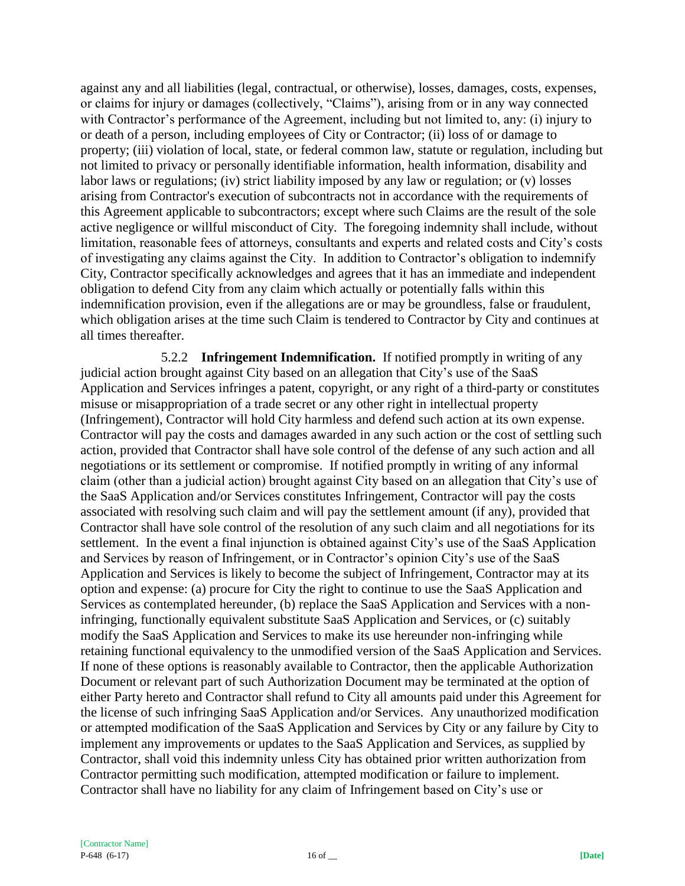against any and all liabilities (legal, contractual, or otherwise), losses, damages, costs, expenses, or claims for injury or damages (collectively, "Claims"), arising from or in any way connected with Contractor's performance of the Agreement, including but not limited to, any: (i) injury to or death of a person, including employees of City or Contractor; (ii) loss of or damage to property; (iii) violation of local, state, or federal common law, statute or regulation, including but not limited to privacy or personally identifiable information, health information, disability and labor laws or regulations; (iv) strict liability imposed by any law or regulation; or (v) losses arising from Contractor's execution of subcontracts not in accordance with the requirements of this Agreement applicable to subcontractors; except where such Claims are the result of the sole active negligence or willful misconduct of City. The foregoing indemnity shall include, without limitation, reasonable fees of attorneys, consultants and experts and related costs and City's costs of investigating any claims against the City. In addition to Contractor's obligation to indemnify City, Contractor specifically acknowledges and agrees that it has an immediate and independent obligation to defend City from any claim which actually or potentially falls within this indemnification provision, even if the allegations are or may be groundless, false or fraudulent, which obligation arises at the time such Claim is tendered to Contractor by City and continues at all times thereafter.

5.2.2 **Infringement Indemnification.** If notified promptly in writing of any judicial action brought against City based on an allegation that City's use of the SaaS Application and Services infringes a patent, copyright, or any right of a third-party or constitutes misuse or misappropriation of a trade secret or any other right in intellectual property (Infringement), Contractor will hold City harmless and defend such action at its own expense. Contractor will pay the costs and damages awarded in any such action or the cost of settling such action, provided that Contractor shall have sole control of the defense of any such action and all negotiations or its settlement or compromise. If notified promptly in writing of any informal claim (other than a judicial action) brought against City based on an allegation that City's use of the SaaS Application and/or Services constitutes Infringement, Contractor will pay the costs associated with resolving such claim and will pay the settlement amount (if any), provided that Contractor shall have sole control of the resolution of any such claim and all negotiations for its settlement. In the event a final injunction is obtained against City's use of the SaaS Application and Services by reason of Infringement, or in Contractor's opinion City's use of the SaaS Application and Services is likely to become the subject of Infringement, Contractor may at its option and expense: (a) procure for City the right to continue to use the SaaS Application and Services as contemplated hereunder, (b) replace the SaaS Application and Services with a noninfringing, functionally equivalent substitute SaaS Application and Services, or (c) suitably modify the SaaS Application and Services to make its use hereunder non-infringing while retaining functional equivalency to the unmodified version of the SaaS Application and Services. If none of these options is reasonably available to Contractor, then the applicable Authorization Document or relevant part of such Authorization Document may be terminated at the option of either Party hereto and Contractor shall refund to City all amounts paid under this Agreement for the license of such infringing SaaS Application and/or Services. Any unauthorized modification or attempted modification of the SaaS Application and Services by City or any failure by City to implement any improvements or updates to the SaaS Application and Services, as supplied by Contractor, shall void this indemnity unless City has obtained prior written authorization from Contractor permitting such modification, attempted modification or failure to implement. Contractor shall have no liability for any claim of Infringement based on City's use or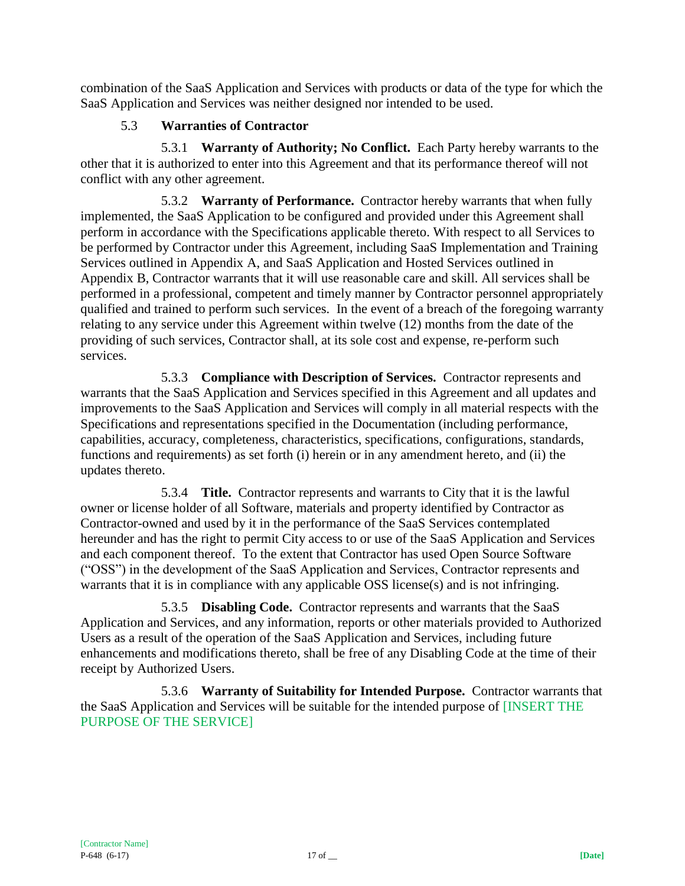combination of the SaaS Application and Services with products or data of the type for which the SaaS Application and Services was neither designed nor intended to be used.

# 5.3 **Warranties of Contractor**

5.3.1 **Warranty of Authority; No Conflict.** Each Party hereby warrants to the other that it is authorized to enter into this Agreement and that its performance thereof will not conflict with any other agreement.

5.3.2 **Warranty of Performance.** Contractor hereby warrants that when fully implemented, the SaaS Application to be configured and provided under this Agreement shall perform in accordance with the Specifications applicable thereto. With respect to all Services to be performed by Contractor under this Agreement, including SaaS Implementation and Training Services outlined in Appendix A, and SaaS Application and Hosted Services outlined in Appendix B, Contractor warrants that it will use reasonable care and skill. All services shall be performed in a professional, competent and timely manner by Contractor personnel appropriately qualified and trained to perform such services. In the event of a breach of the foregoing warranty relating to any service under this Agreement within twelve (12) months from the date of the providing of such services, Contractor shall, at its sole cost and expense, re-perform such services.

5.3.3 **Compliance with Description of Services.** Contractor represents and warrants that the SaaS Application and Services specified in this Agreement and all updates and improvements to the SaaS Application and Services will comply in all material respects with the Specifications and representations specified in the Documentation (including performance, capabilities, accuracy, completeness, characteristics, specifications, configurations, standards, functions and requirements) as set forth (i) herein or in any amendment hereto, and (ii) the updates thereto.

5.3.4 **Title.** Contractor represents and warrants to City that it is the lawful owner or license holder of all Software, materials and property identified by Contractor as Contractor-owned and used by it in the performance of the SaaS Services contemplated hereunder and has the right to permit City access to or use of the SaaS Application and Services and each component thereof. To the extent that Contractor has used Open Source Software ("OSS") in the development of the SaaS Application and Services, Contractor represents and warrants that it is in compliance with any applicable OSS license(s) and is not infringing.

5.3.5 **Disabling Code.** Contractor represents and warrants that the SaaS Application and Services, and any information, reports or other materials provided to Authorized Users as a result of the operation of the SaaS Application and Services, including future enhancements and modifications thereto, shall be free of any Disabling Code at the time of their receipt by Authorized Users.

5.3.6 **Warranty of Suitability for Intended Purpose.** Contractor warrants that the SaaS Application and Services will be suitable for the intended purpose of [INSERT THE PURPOSE OF THE SERVICE]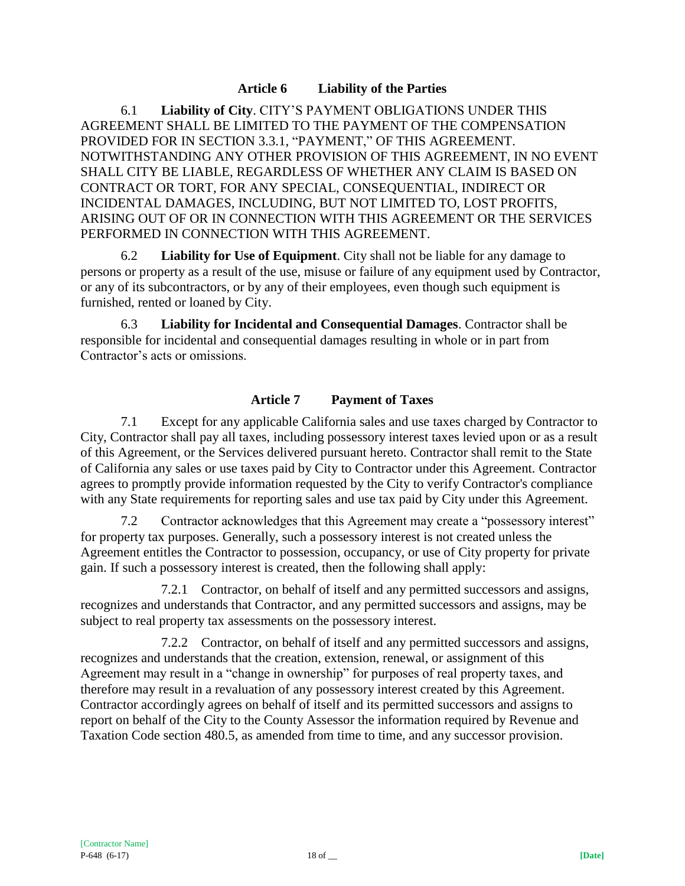#### **Article 6 Liability of the Parties**

6.1 **Liability of City**. CITY'S PAYMENT OBLIGATIONS UNDER THIS AGREEMENT SHALL BE LIMITED TO THE PAYMENT OF THE COMPENSATION PROVIDED FOR IN SECTION 3.3.1, "PAYMENT," OF THIS AGREEMENT. NOTWITHSTANDING ANY OTHER PROVISION OF THIS AGREEMENT, IN NO EVENT SHALL CITY BE LIABLE, REGARDLESS OF WHETHER ANY CLAIM IS BASED ON CONTRACT OR TORT, FOR ANY SPECIAL, CONSEQUENTIAL, INDIRECT OR INCIDENTAL DAMAGES, INCLUDING, BUT NOT LIMITED TO, LOST PROFITS, ARISING OUT OF OR IN CONNECTION WITH THIS AGREEMENT OR THE SERVICES PERFORMED IN CONNECTION WITH THIS AGREEMENT.

6.2 **Liability for Use of Equipment**. City shall not be liable for any damage to persons or property as a result of the use, misuse or failure of any equipment used by Contractor, or any of its subcontractors, or by any of their employees, even though such equipment is furnished, rented or loaned by City.

6.3 **Liability for Incidental and Consequential Damages**. Contractor shall be responsible for incidental and consequential damages resulting in whole or in part from Contractor's acts or omissions.

#### **Article 7 Payment of Taxes**

7.1 Except for any applicable California sales and use taxes charged by Contractor to City, Contractor shall pay all taxes, including possessory interest taxes levied upon or as a result of this Agreement, or the Services delivered pursuant hereto. Contractor shall remit to the State of California any sales or use taxes paid by City to Contractor under this Agreement. Contractor agrees to promptly provide information requested by the City to verify Contractor's compliance with any State requirements for reporting sales and use tax paid by City under this Agreement.

7.2 Contractor acknowledges that this Agreement may create a "possessory interest" for property tax purposes. Generally, such a possessory interest is not created unless the Agreement entitles the Contractor to possession, occupancy, or use of City property for private gain. If such a possessory interest is created, then the following shall apply:

7.2.1 Contractor, on behalf of itself and any permitted successors and assigns, recognizes and understands that Contractor, and any permitted successors and assigns, may be subject to real property tax assessments on the possessory interest.

7.2.2 Contractor, on behalf of itself and any permitted successors and assigns, recognizes and understands that the creation, extension, renewal, or assignment of this Agreement may result in a "change in ownership" for purposes of real property taxes, and therefore may result in a revaluation of any possessory interest created by this Agreement. Contractor accordingly agrees on behalf of itself and its permitted successors and assigns to report on behalf of the City to the County Assessor the information required by Revenue and Taxation Code section 480.5, as amended from time to time, and any successor provision.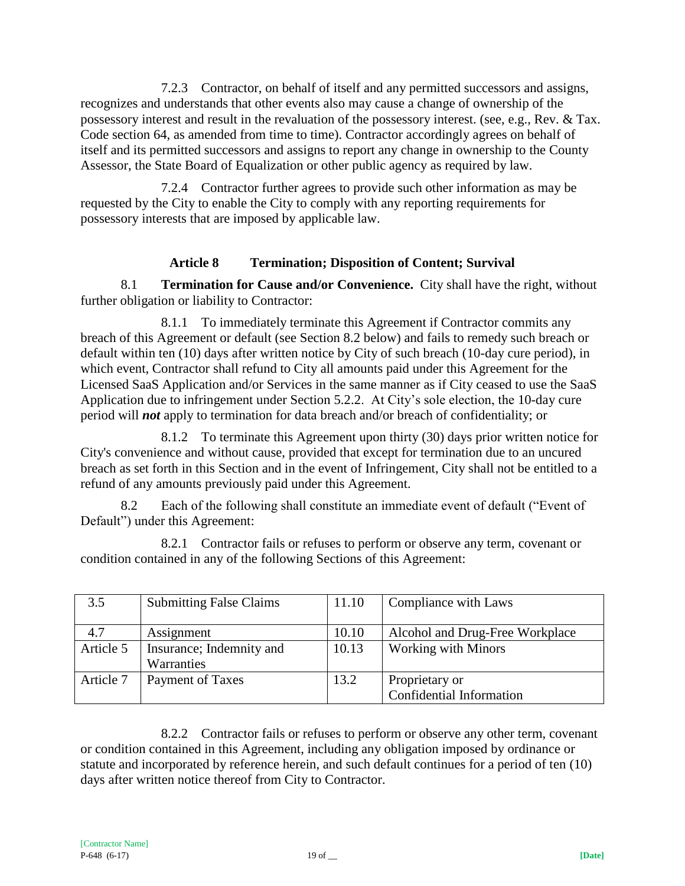7.2.3 Contractor, on behalf of itself and any permitted successors and assigns, recognizes and understands that other events also may cause a change of ownership of the possessory interest and result in the revaluation of the possessory interest. (see, e.g., Rev. & Tax. Code section 64, as amended from time to time). Contractor accordingly agrees on behalf of itself and its permitted successors and assigns to report any change in ownership to the County Assessor, the State Board of Equalization or other public agency as required by law.

7.2.4 Contractor further agrees to provide such other information as may be requested by the City to enable the City to comply with any reporting requirements for possessory interests that are imposed by applicable law.

## **Article 8 Termination; Disposition of Content; Survival**

8.1 **Termination for Cause and/or Convenience.** City shall have the right, without further obligation or liability to Contractor:

8.1.1 To immediately terminate this Agreement if Contractor commits any breach of this Agreement or default (see Section 8.2 below) and fails to remedy such breach or default within ten (10) days after written notice by City of such breach (10-day cure period), in which event, Contractor shall refund to City all amounts paid under this Agreement for the Licensed SaaS Application and/or Services in the same manner as if City ceased to use the SaaS Application due to infringement under Section 5.2.2. At City's sole election, the 10-day cure period will *not* apply to termination for data breach and/or breach of confidentiality; or

8.1.2 To terminate this Agreement upon thirty (30) days prior written notice for City's convenience and without cause, provided that except for termination due to an uncured breach as set forth in this Section and in the event of Infringement, City shall not be entitled to a refund of any amounts previously paid under this Agreement.

8.2 Each of the following shall constitute an immediate event of default ("Event of Default") under this Agreement:

8.2.1 Contractor fails or refuses to perform or observe any term, covenant or condition contained in any of the following Sections of this Agreement:

| 3.5       | <b>Submitting False Claims</b> | 11.10 | Compliance with Laws            |
|-----------|--------------------------------|-------|---------------------------------|
| 4.7       | Assignment                     | 10.10 | Alcohol and Drug-Free Workplace |
| Article 5 | Insurance; Indemnity and       | 10.13 | <b>Working with Minors</b>      |
|           | Warranties                     |       |                                 |
| Article 7 | Payment of Taxes               | 13.2  | Proprietary or                  |
|           |                                |       | Confidential Information        |

8.2.2 Contractor fails or refuses to perform or observe any other term, covenant or condition contained in this Agreement, including any obligation imposed by ordinance or statute and incorporated by reference herein, and such default continues for a period of ten (10) days after written notice thereof from City to Contractor.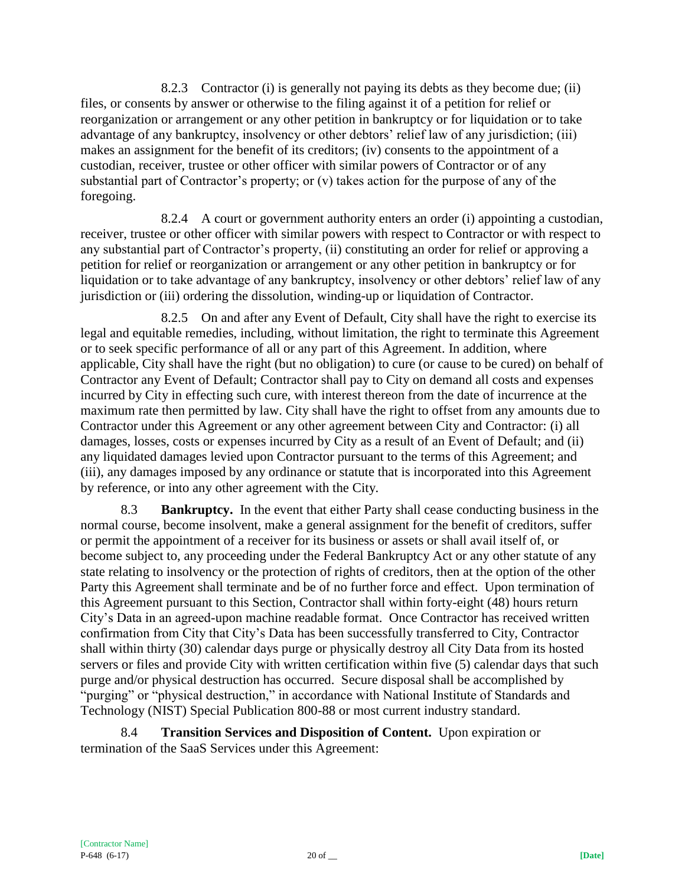8.2.3 Contractor (i) is generally not paying its debts as they become due; (ii) files, or consents by answer or otherwise to the filing against it of a petition for relief or reorganization or arrangement or any other petition in bankruptcy or for liquidation or to take advantage of any bankruptcy, insolvency or other debtors' relief law of any jurisdiction; (iii) makes an assignment for the benefit of its creditors; (iv) consents to the appointment of a custodian, receiver, trustee or other officer with similar powers of Contractor or of any substantial part of Contractor's property; or (v) takes action for the purpose of any of the foregoing.

8.2.4 A court or government authority enters an order (i) appointing a custodian, receiver, trustee or other officer with similar powers with respect to Contractor or with respect to any substantial part of Contractor's property, (ii) constituting an order for relief or approving a petition for relief or reorganization or arrangement or any other petition in bankruptcy or for liquidation or to take advantage of any bankruptcy, insolvency or other debtors' relief law of any jurisdiction or (iii) ordering the dissolution, winding-up or liquidation of Contractor.

8.2.5 On and after any Event of Default, City shall have the right to exercise its legal and equitable remedies, including, without limitation, the right to terminate this Agreement or to seek specific performance of all or any part of this Agreement. In addition, where applicable, City shall have the right (but no obligation) to cure (or cause to be cured) on behalf of Contractor any Event of Default; Contractor shall pay to City on demand all costs and expenses incurred by City in effecting such cure, with interest thereon from the date of incurrence at the maximum rate then permitted by law. City shall have the right to offset from any amounts due to Contractor under this Agreement or any other agreement between City and Contractor: (i) all damages, losses, costs or expenses incurred by City as a result of an Event of Default; and (ii) any liquidated damages levied upon Contractor pursuant to the terms of this Agreement; and (iii), any damages imposed by any ordinance or statute that is incorporated into this Agreement by reference, or into any other agreement with the City.

8.3 **Bankruptcy.** In the event that either Party shall cease conducting business in the normal course, become insolvent, make a general assignment for the benefit of creditors, suffer or permit the appointment of a receiver for its business or assets or shall avail itself of, or become subject to, any proceeding under the Federal Bankruptcy Act or any other statute of any state relating to insolvency or the protection of rights of creditors, then at the option of the other Party this Agreement shall terminate and be of no further force and effect. Upon termination of this Agreement pursuant to this Section, Contractor shall within forty-eight (48) hours return City's Data in an agreed-upon machine readable format. Once Contractor has received written confirmation from City that City's Data has been successfully transferred to City, Contractor shall within thirty (30) calendar days purge or physically destroy all City Data from its hosted servers or files and provide City with written certification within five (5) calendar days that such purge and/or physical destruction has occurred. Secure disposal shall be accomplished by "purging" or "physical destruction," in accordance with National Institute of Standards and Technology (NIST) Special Publication 800-88 or most current industry standard.

8.4 **Transition Services and Disposition of Content.** Upon expiration or termination of the SaaS Services under this Agreement: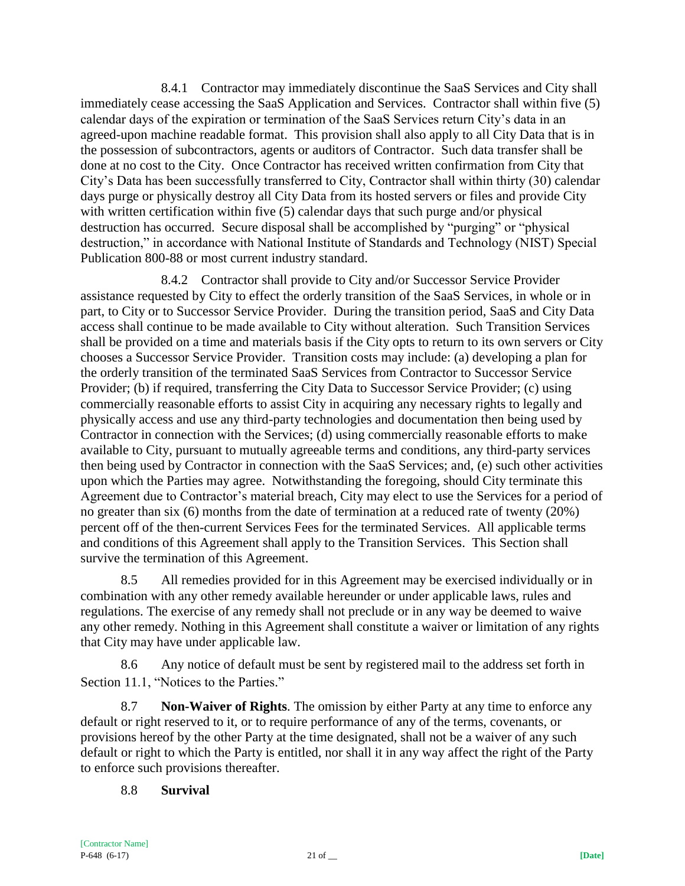8.4.1 Contractor may immediately discontinue the SaaS Services and City shall immediately cease accessing the SaaS Application and Services. Contractor shall within five (5) calendar days of the expiration or termination of the SaaS Services return City's data in an agreed-upon machine readable format. This provision shall also apply to all City Data that is in the possession of subcontractors, agents or auditors of Contractor. Such data transfer shall be done at no cost to the City. Once Contractor has received written confirmation from City that City's Data has been successfully transferred to City, Contractor shall within thirty (30) calendar days purge or physically destroy all City Data from its hosted servers or files and provide City with written certification within five (5) calendar days that such purge and/or physical destruction has occurred. Secure disposal shall be accomplished by "purging" or "physical destruction," in accordance with National Institute of Standards and Technology (NIST) Special Publication 800-88 or most current industry standard.

8.4.2 Contractor shall provide to City and/or Successor Service Provider assistance requested by City to effect the orderly transition of the SaaS Services, in whole or in part, to City or to Successor Service Provider. During the transition period, SaaS and City Data access shall continue to be made available to City without alteration. Such Transition Services shall be provided on a time and materials basis if the City opts to return to its own servers or City chooses a Successor Service Provider. Transition costs may include: (a) developing a plan for the orderly transition of the terminated SaaS Services from Contractor to Successor Service Provider; (b) if required, transferring the City Data to Successor Service Provider; (c) using commercially reasonable efforts to assist City in acquiring any necessary rights to legally and physically access and use any third-party technologies and documentation then being used by Contractor in connection with the Services; (d) using commercially reasonable efforts to make available to City, pursuant to mutually agreeable terms and conditions, any third-party services then being used by Contractor in connection with the SaaS Services; and, (e) such other activities upon which the Parties may agree. Notwithstanding the foregoing, should City terminate this Agreement due to Contractor's material breach, City may elect to use the Services for a period of no greater than six (6) months from the date of termination at a reduced rate of twenty (20%) percent off of the then-current Services Fees for the terminated Services. All applicable terms and conditions of this Agreement shall apply to the Transition Services. This Section shall survive the termination of this Agreement.

8.5 All remedies provided for in this Agreement may be exercised individually or in combination with any other remedy available hereunder or under applicable laws, rules and regulations. The exercise of any remedy shall not preclude or in any way be deemed to waive any other remedy. Nothing in this Agreement shall constitute a waiver or limitation of any rights that City may have under applicable law.

8.6 Any notice of default must be sent by registered mail to the address set forth in Section 11.1, "Notices to the Parties."

8.7 **Non-Waiver of Rights**. The omission by either Party at any time to enforce any default or right reserved to it, or to require performance of any of the terms, covenants, or provisions hereof by the other Party at the time designated, shall not be a waiver of any such default or right to which the Party is entitled, nor shall it in any way affect the right of the Party to enforce such provisions thereafter.

8.8 **Survival**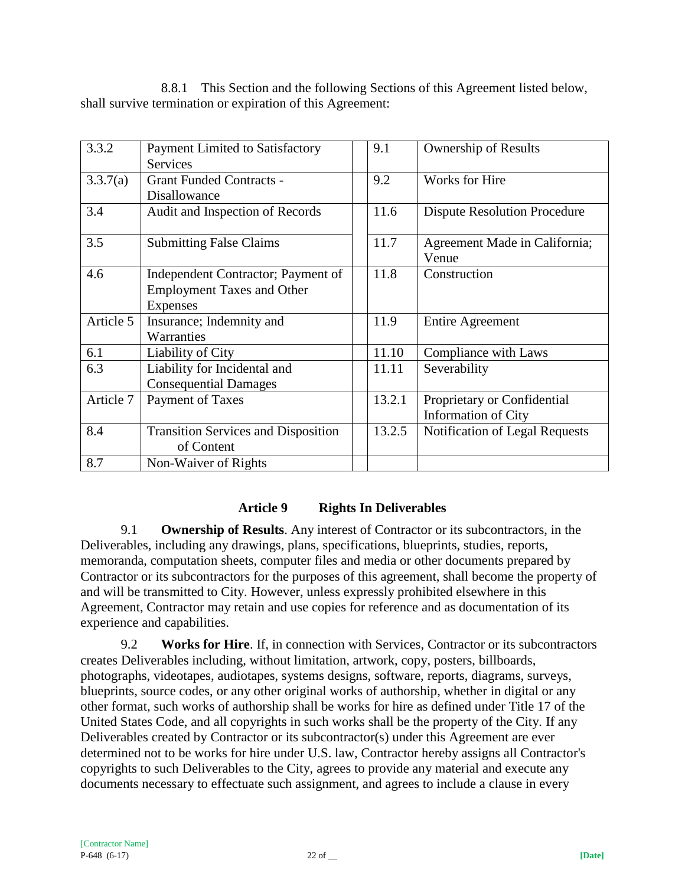8.8.1 This Section and the following Sections of this Agreement listed below, shall survive termination or expiration of this Agreement:

| 3.3.2     | Payment Limited to Satisfactory            | 9.1    | <b>Ownership of Results</b>         |
|-----------|--------------------------------------------|--------|-------------------------------------|
|           | <b>Services</b>                            |        |                                     |
| 3.3.7(a)  | <b>Grant Funded Contracts -</b>            | 9.2    | Works for Hire                      |
|           | Disallowance                               |        |                                     |
| 3.4       | Audit and Inspection of Records            | 11.6   | <b>Dispute Resolution Procedure</b> |
| 3.5       | <b>Submitting False Claims</b>             | 11.7   | Agreement Made in California;       |
|           |                                            |        | Venue                               |
| 4.6       | Independent Contractor; Payment of         | 11.8   | Construction                        |
|           | <b>Employment Taxes and Other</b>          |        |                                     |
|           | Expenses                                   |        |                                     |
| Article 5 | Insurance; Indemnity and                   | 11.9   | <b>Entire Agreement</b>             |
|           | Warranties                                 |        |                                     |
| 6.1       | Liability of City                          | 11.10  | Compliance with Laws                |
| 6.3       | Liability for Incidental and               | 11.11  | Severability                        |
|           | <b>Consequential Damages</b>               |        |                                     |
| Article 7 | Payment of Taxes                           | 13.2.1 | Proprietary or Confidential         |
|           |                                            |        | <b>Information of City</b>          |
| 8.4       | <b>Transition Services and Disposition</b> | 13.2.5 | Notification of Legal Requests      |
|           | of Content                                 |        |                                     |
| 8.7       | Non-Waiver of Rights                       |        |                                     |

# **Article 9 Rights In Deliverables**

9.1 **Ownership of Results**. Any interest of Contractor or its subcontractors, in the Deliverables, including any drawings, plans, specifications, blueprints, studies, reports, memoranda, computation sheets, computer files and media or other documents prepared by Contractor or its subcontractors for the purposes of this agreement, shall become the property of and will be transmitted to City. However, unless expressly prohibited elsewhere in this Agreement, Contractor may retain and use copies for reference and as documentation of its experience and capabilities.

9.2 **Works for Hire**. If, in connection with Services, Contractor or its subcontractors creates Deliverables including, without limitation, artwork, copy, posters, billboards, photographs, videotapes, audiotapes, systems designs, software, reports, diagrams, surveys, blueprints, source codes, or any other original works of authorship, whether in digital or any other format, such works of authorship shall be works for hire as defined under Title 17 of the United States Code, and all copyrights in such works shall be the property of the City. If any Deliverables created by Contractor or its subcontractor(s) under this Agreement are ever determined not to be works for hire under U.S. law, Contractor hereby assigns all Contractor's copyrights to such Deliverables to the City, agrees to provide any material and execute any documents necessary to effectuate such assignment, and agrees to include a clause in every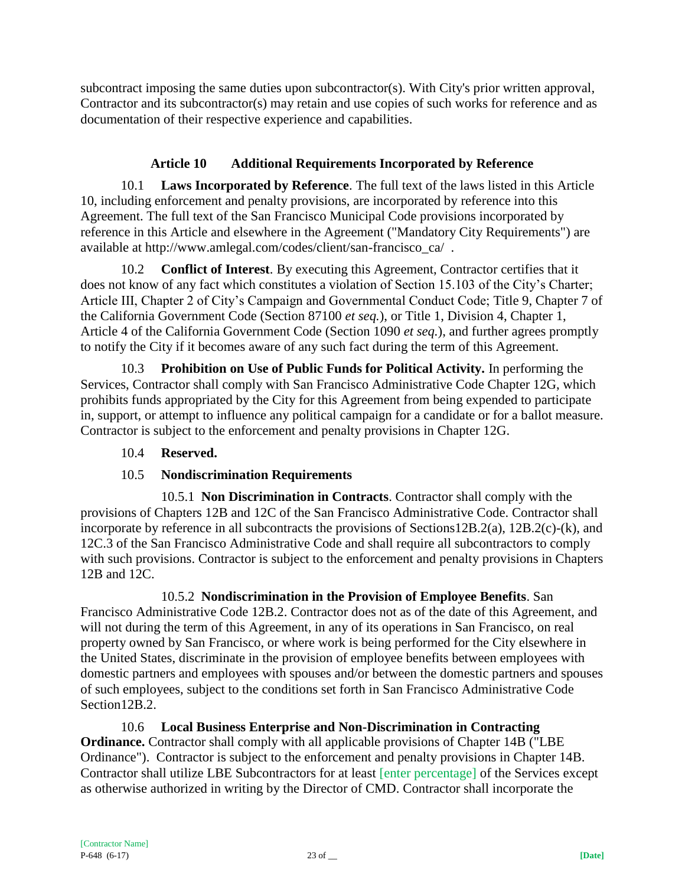subcontract imposing the same duties upon subcontractor(s). With City's prior written approval, Contractor and its subcontractor(s) may retain and use copies of such works for reference and as documentation of their respective experience and capabilities.

# **Article 10 Additional Requirements Incorporated by Reference**

10.1 **Laws Incorporated by Reference**. The full text of the laws listed in this Article 10, including enforcement and penalty provisions, are incorporated by reference into this Agreement. The full text of the San Francisco Municipal Code provisions incorporated by reference in this Article and elsewhere in the Agreement ("Mandatory City Requirements") are available at http://www.amlegal.com/codes/client/san-francisco\_ca/ .

10.2 **Conflict of Interest**. By executing this Agreement, Contractor certifies that it does not know of any fact which constitutes a violation of Section 15.103 of the City's Charter; Article III, Chapter 2 of City's Campaign and Governmental Conduct Code; Title 9, Chapter 7 of the California Government Code (Section 87100 *et seq.*), or Title 1, Division 4, Chapter 1, Article 4 of the California Government Code (Section 1090 *et seq.*), and further agrees promptly to notify the City if it becomes aware of any such fact during the term of this Agreement.

10.3 **Prohibition on Use of Public Funds for Political Activity.** In performing the Services, Contractor shall comply with San Francisco Administrative Code Chapter 12G, which prohibits funds appropriated by the City for this Agreement from being expended to participate in, support, or attempt to influence any political campaign for a candidate or for a ballot measure. Contractor is subject to the enforcement and penalty provisions in Chapter 12G.

# 10.4 **Reserved.**

# 10.5 **Nondiscrimination Requirements**

10.5.1 **Non Discrimination in Contracts**. Contractor shall comply with the provisions of Chapters 12B and 12C of the San Francisco Administrative Code. Contractor shall incorporate by reference in all subcontracts the provisions of Sections12B.2(a), 12B.2(c)-(k), and 12C.3 of the San Francisco Administrative Code and shall require all subcontractors to comply with such provisions. Contractor is subject to the enforcement and penalty provisions in Chapters 12B and 12C.

10.5.2 **Nondiscrimination in the Provision of Employee Benefits**. San Francisco Administrative Code 12B.2. Contractor does not as of the date of this Agreement, and will not during the term of this Agreement, in any of its operations in San Francisco, on real property owned by San Francisco, or where work is being performed for the City elsewhere in the United States, discriminate in the provision of employee benefits between employees with domestic partners and employees with spouses and/or between the domestic partners and spouses of such employees, subject to the conditions set forth in San Francisco Administrative Code Section12B.2.

10.6 **Local Business Enterprise and Non-Discrimination in Contracting Ordinance.** Contractor shall comply with all applicable provisions of Chapter 14B ("LBE Ordinance"). Contractor is subject to the enforcement and penalty provisions in Chapter 14B. Contractor shall utilize LBE Subcontractors for at least [enter percentage] of the Services except as otherwise authorized in writing by the Director of CMD. Contractor shall incorporate the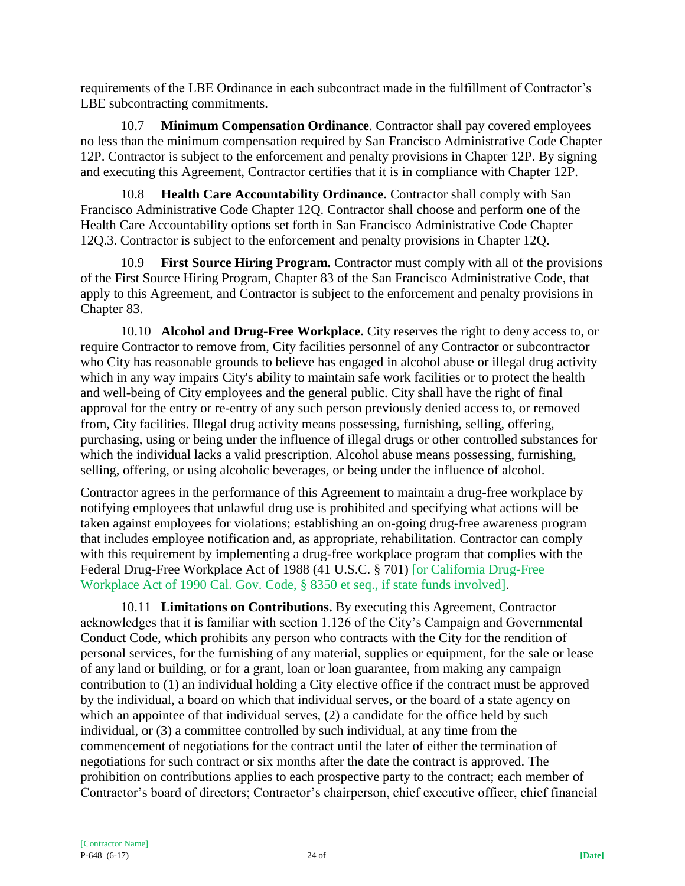requirements of the LBE Ordinance in each subcontract made in the fulfillment of Contractor's LBE subcontracting commitments.

10.7 **Minimum Compensation Ordinance**. Contractor shall pay covered employees no less than the minimum compensation required by San Francisco Administrative Code Chapter 12P. Contractor is subject to the enforcement and penalty provisions in Chapter 12P. By signing and executing this Agreement, Contractor certifies that it is in compliance with Chapter 12P.

10.8 **Health Care Accountability Ordinance.** Contractor shall comply with San Francisco Administrative Code Chapter 12Q. Contractor shall choose and perform one of the Health Care Accountability options set forth in San Francisco Administrative Code Chapter 12Q.3. Contractor is subject to the enforcement and penalty provisions in Chapter 12Q.

10.9 **First Source Hiring Program.** Contractor must comply with all of the provisions of the First Source Hiring Program, Chapter 83 of the San Francisco Administrative Code, that apply to this Agreement, and Contractor is subject to the enforcement and penalty provisions in Chapter 83.

10.10 **Alcohol and Drug-Free Workplace.** City reserves the right to deny access to, or require Contractor to remove from, City facilities personnel of any Contractor or subcontractor who City has reasonable grounds to believe has engaged in alcohol abuse or illegal drug activity which in any way impairs City's ability to maintain safe work facilities or to protect the health and well-being of City employees and the general public. City shall have the right of final approval for the entry or re-entry of any such person previously denied access to, or removed from, City facilities. Illegal drug activity means possessing, furnishing, selling, offering, purchasing, using or being under the influence of illegal drugs or other controlled substances for which the individual lacks a valid prescription. Alcohol abuse means possessing, furnishing, selling, offering, or using alcoholic beverages, or being under the influence of alcohol.

Contractor agrees in the performance of this Agreement to maintain a drug-free workplace by notifying employees that unlawful drug use is prohibited and specifying what actions will be taken against employees for violations; establishing an on-going drug-free awareness program that includes employee notification and, as appropriate, rehabilitation. Contractor can comply with this requirement by implementing a drug-free workplace program that complies with the Federal Drug-Free Workplace Act of 1988 (41 U.S.C. § 701) [or California Drug-Free Workplace Act of 1990 Cal. Gov. Code, § 8350 et seq., if state funds involved].

10.11 **Limitations on Contributions.** By executing this Agreement, Contractor acknowledges that it is familiar with section 1.126 of the City's Campaign and Governmental Conduct Code, which prohibits any person who contracts with the City for the rendition of personal services, for the furnishing of any material, supplies or equipment, for the sale or lease of any land or building, or for a grant, loan or loan guarantee, from making any campaign contribution to (1) an individual holding a City elective office if the contract must be approved by the individual, a board on which that individual serves, or the board of a state agency on which an appointee of that individual serves, (2) a candidate for the office held by such individual, or (3) a committee controlled by such individual, at any time from the commencement of negotiations for the contract until the later of either the termination of negotiations for such contract or six months after the date the contract is approved. The prohibition on contributions applies to each prospective party to the contract; each member of Contractor's board of directors; Contractor's chairperson, chief executive officer, chief financial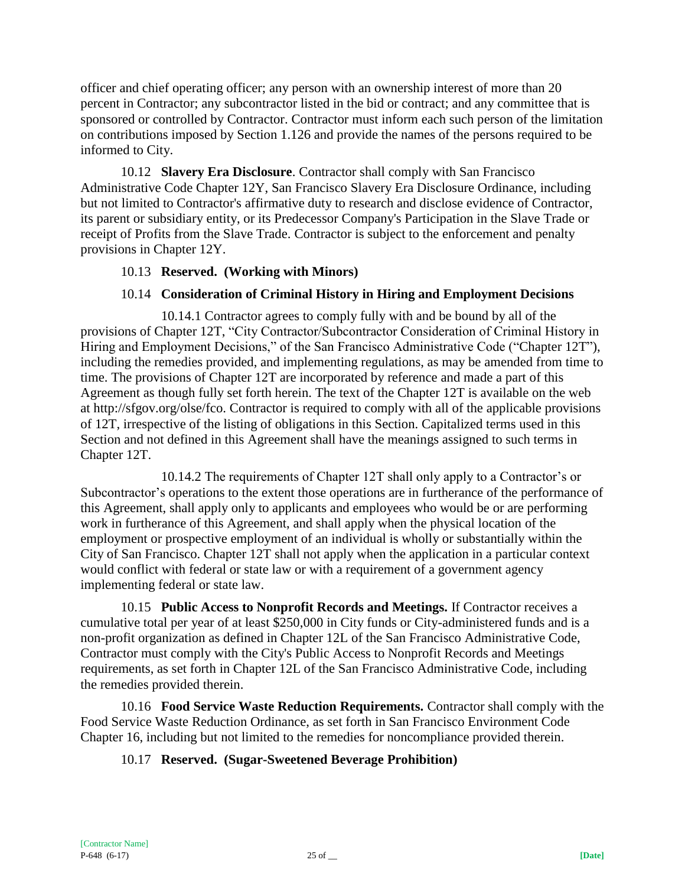officer and chief operating officer; any person with an ownership interest of more than 20 percent in Contractor; any subcontractor listed in the bid or contract; and any committee that is sponsored or controlled by Contractor. Contractor must inform each such person of the limitation on contributions imposed by Section 1.126 and provide the names of the persons required to be informed to City.

10.12 **Slavery Era Disclosure**. Contractor shall comply with San Francisco Administrative Code Chapter 12Y, San Francisco Slavery Era Disclosure Ordinance, including but not limited to Contractor's affirmative duty to research and disclose evidence of Contractor, its parent or subsidiary entity, or its Predecessor Company's Participation in the Slave Trade or receipt of Profits from the Slave Trade. Contractor is subject to the enforcement and penalty provisions in Chapter 12Y.

### 10.13 **Reserved. (Working with Minors)**

## 10.14 **Consideration of Criminal History in Hiring and Employment Decisions**

10.14.1 Contractor agrees to comply fully with and be bound by all of the provisions of Chapter 12T, "City Contractor/Subcontractor Consideration of Criminal History in Hiring and Employment Decisions," of the San Francisco Administrative Code ("Chapter 12T"), including the remedies provided, and implementing regulations, as may be amended from time to time. The provisions of Chapter 12T are incorporated by reference and made a part of this Agreement as though fully set forth herein. The text of the Chapter 12T is available on the web at http://sfgov.org/olse/fco. Contractor is required to comply with all of the applicable provisions of 12T, irrespective of the listing of obligations in this Section. Capitalized terms used in this Section and not defined in this Agreement shall have the meanings assigned to such terms in Chapter 12T.

10.14.2 The requirements of Chapter 12T shall only apply to a Contractor's or Subcontractor's operations to the extent those operations are in furtherance of the performance of this Agreement, shall apply only to applicants and employees who would be or are performing work in furtherance of this Agreement, and shall apply when the physical location of the employment or prospective employment of an individual is wholly or substantially within the City of San Francisco. Chapter 12T shall not apply when the application in a particular context would conflict with federal or state law or with a requirement of a government agency implementing federal or state law.

10.15 **Public Access to Nonprofit Records and Meetings.** If Contractor receives a cumulative total per year of at least \$250,000 in City funds or City-administered funds and is a non-profit organization as defined in Chapter 12L of the San Francisco Administrative Code, Contractor must comply with the City's Public Access to Nonprofit Records and Meetings requirements, as set forth in Chapter 12L of the San Francisco Administrative Code, including the remedies provided therein.

10.16 **Food Service Waste Reduction Requirements.** Contractor shall comply with the Food Service Waste Reduction Ordinance, as set forth in San Francisco Environment Code Chapter 16, including but not limited to the remedies for noncompliance provided therein.

### 10.17 **Reserved. (Sugar-Sweetened Beverage Prohibition)**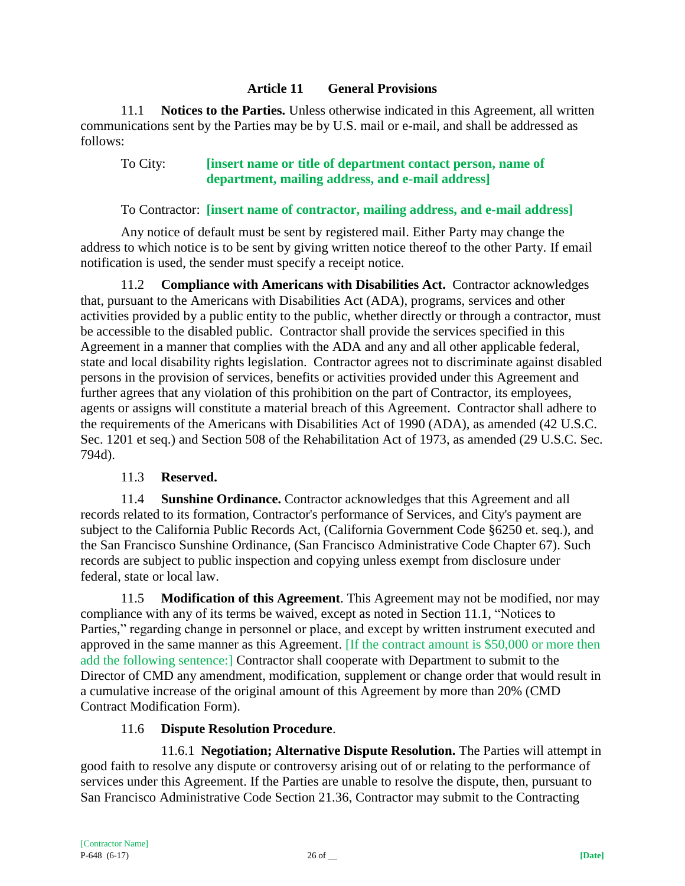#### **Article 11 General Provisions**

11.1 **Notices to the Parties.** Unless otherwise indicated in this Agreement, all written communications sent by the Parties may be by U.S. mail or e-mail, and shall be addressed as follows:

## To City: **[insert name or title of department contact person, name of department, mailing address, and e-mail address]**

#### To Contractor: **[insert name of contractor, mailing address, and e-mail address]**

Any notice of default must be sent by registered mail. Either Party may change the address to which notice is to be sent by giving written notice thereof to the other Party. If email notification is used, the sender must specify a receipt notice.

11.2 **Compliance with Americans with Disabilities Act.** Contractor acknowledges that, pursuant to the Americans with Disabilities Act (ADA), programs, services and other activities provided by a public entity to the public, whether directly or through a contractor, must be accessible to the disabled public. Contractor shall provide the services specified in this Agreement in a manner that complies with the ADA and any and all other applicable federal, state and local disability rights legislation. Contractor agrees not to discriminate against disabled persons in the provision of services, benefits or activities provided under this Agreement and further agrees that any violation of this prohibition on the part of Contractor, its employees, agents or assigns will constitute a material breach of this Agreement. Contractor shall adhere to the requirements of the Americans with Disabilities Act of 1990 (ADA), as amended (42 U.S.C. Sec. 1201 et seq.) and Section 508 of the Rehabilitation Act of 1973, as amended (29 U.S.C. Sec. 794d).

#### 11.3 **Reserved.**

11.4 **Sunshine Ordinance.** Contractor acknowledges that this Agreement and all records related to its formation, Contractor's performance of Services, and City's payment are subject to the California Public Records Act, (California Government Code §6250 et. seq.), and the San Francisco Sunshine Ordinance, (San Francisco Administrative Code Chapter 67). Such records are subject to public inspection and copying unless exempt from disclosure under federal, state or local law.

11.5 **Modification of this Agreement**. This Agreement may not be modified, nor may compliance with any of its terms be waived, except as noted in Section 11.1, "Notices to Parties," regarding change in personnel or place, and except by written instrument executed and approved in the same manner as this Agreement. [If the contract amount is \$50,000 or more then add the following sentence:] Contractor shall cooperate with Department to submit to the Director of CMD any amendment, modification, supplement or change order that would result in a cumulative increase of the original amount of this Agreement by more than 20% (CMD Contract Modification Form).

### 11.6 **Dispute Resolution Procedure**.

11.6.1 **Negotiation; Alternative Dispute Resolution.** The Parties will attempt in good faith to resolve any dispute or controversy arising out of or relating to the performance of services under this Agreement. If the Parties are unable to resolve the dispute, then, pursuant to San Francisco Administrative Code Section 21.36, Contractor may submit to the Contracting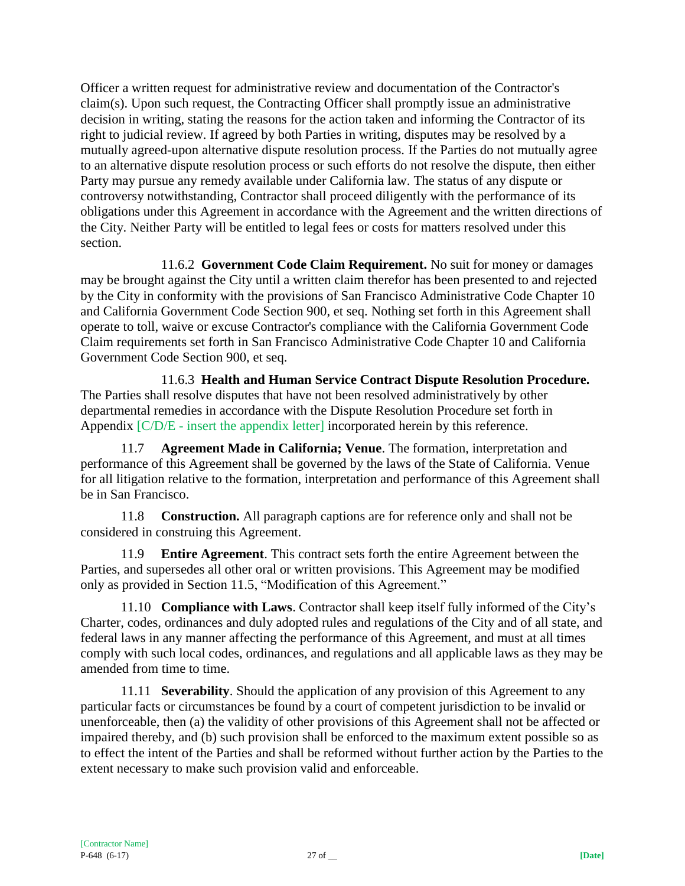Officer a written request for administrative review and documentation of the Contractor's claim(s). Upon such request, the Contracting Officer shall promptly issue an administrative decision in writing, stating the reasons for the action taken and informing the Contractor of its right to judicial review. If agreed by both Parties in writing, disputes may be resolved by a mutually agreed-upon alternative dispute resolution process. If the Parties do not mutually agree to an alternative dispute resolution process or such efforts do not resolve the dispute, then either Party may pursue any remedy available under California law. The status of any dispute or controversy notwithstanding, Contractor shall proceed diligently with the performance of its obligations under this Agreement in accordance with the Agreement and the written directions of the City. Neither Party will be entitled to legal fees or costs for matters resolved under this section.

11.6.2 **Government Code Claim Requirement.** No suit for money or damages may be brought against the City until a written claim therefor has been presented to and rejected by the City in conformity with the provisions of San Francisco Administrative Code Chapter 10 and California Government Code Section 900, et seq. Nothing set forth in this Agreement shall operate to toll, waive or excuse Contractor's compliance with the California Government Code Claim requirements set forth in San Francisco Administrative Code Chapter 10 and California Government Code Section 900, et seq.

11.6.3 **Health and Human Service Contract Dispute Resolution Procedure.** The Parties shall resolve disputes that have not been resolved administratively by other departmental remedies in accordance with the Dispute Resolution Procedure set forth in Appendix [C/D/E - insert the appendix letter] incorporated herein by this reference.

11.7 **Agreement Made in California; Venue**. The formation, interpretation and performance of this Agreement shall be governed by the laws of the State of California. Venue for all litigation relative to the formation, interpretation and performance of this Agreement shall be in San Francisco.

11.8 **Construction.** All paragraph captions are for reference only and shall not be considered in construing this Agreement.

11.9 **Entire Agreement**. This contract sets forth the entire Agreement between the Parties, and supersedes all other oral or written provisions. This Agreement may be modified only as provided in Section 11.5, "Modification of this Agreement."

11.10 **Compliance with Laws**. Contractor shall keep itself fully informed of the City's Charter, codes, ordinances and duly adopted rules and regulations of the City and of all state, and federal laws in any manner affecting the performance of this Agreement, and must at all times comply with such local codes, ordinances, and regulations and all applicable laws as they may be amended from time to time.

11.11 **Severability**. Should the application of any provision of this Agreement to any particular facts or circumstances be found by a court of competent jurisdiction to be invalid or unenforceable, then (a) the validity of other provisions of this Agreement shall not be affected or impaired thereby, and (b) such provision shall be enforced to the maximum extent possible so as to effect the intent of the Parties and shall be reformed without further action by the Parties to the extent necessary to make such provision valid and enforceable.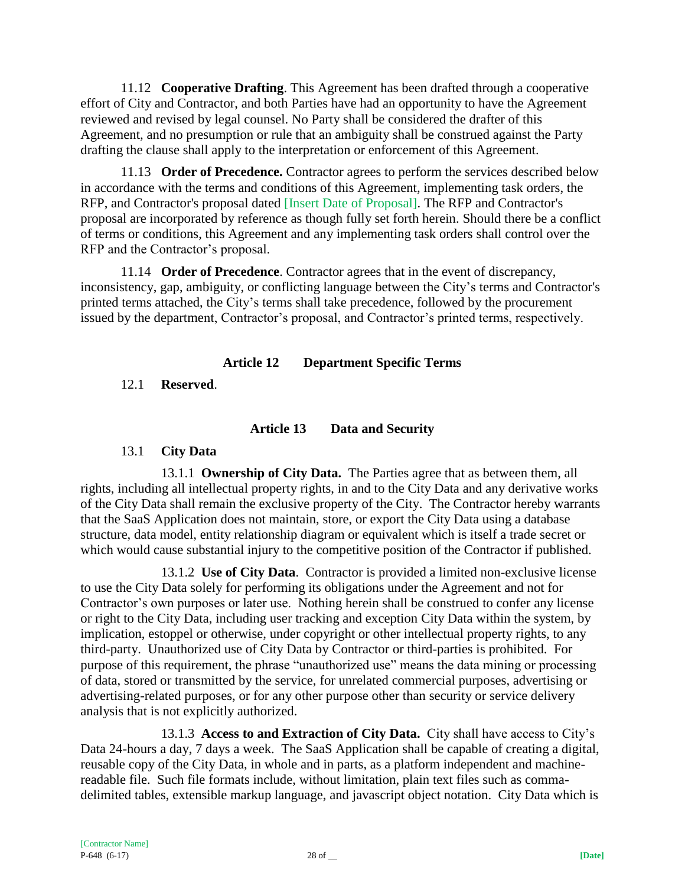11.12 **Cooperative Drafting**. This Agreement has been drafted through a cooperative effort of City and Contractor, and both Parties have had an opportunity to have the Agreement reviewed and revised by legal counsel. No Party shall be considered the drafter of this Agreement, and no presumption or rule that an ambiguity shall be construed against the Party drafting the clause shall apply to the interpretation or enforcement of this Agreement.

11.13 **Order of Precedence.** Contractor agrees to perform the services described below in accordance with the terms and conditions of this Agreement, implementing task orders, the RFP, and Contractor's proposal dated [Insert Date of Proposal]. The RFP and Contractor's proposal are incorporated by reference as though fully set forth herein. Should there be a conflict of terms or conditions, this Agreement and any implementing task orders shall control over the RFP and the Contractor's proposal.

11.14 **Order of Precedence**. Contractor agrees that in the event of discrepancy, inconsistency, gap, ambiguity, or conflicting language between the City's terms and Contractor's printed terms attached, the City's terms shall take precedence, followed by the procurement issued by the department, Contractor's proposal, and Contractor's printed terms, respectively.

### **Article 12 Department Specific Terms**

12.1 **Reserved**.

# **Article 13 Data and Security**

### 13.1 **City Data**

13.1.1 **Ownership of City Data.** The Parties agree that as between them, all rights, including all intellectual property rights, in and to the City Data and any derivative works of the City Data shall remain the exclusive property of the City. The Contractor hereby warrants that the SaaS Application does not maintain, store, or export the City Data using a database structure, data model, entity relationship diagram or equivalent which is itself a trade secret or which would cause substantial injury to the competitive position of the Contractor if published.

13.1.2 **Use of City Data**. Contractor is provided a limited non-exclusive license to use the City Data solely for performing its obligations under the Agreement and not for Contractor's own purposes or later use. Nothing herein shall be construed to confer any license or right to the City Data, including user tracking and exception City Data within the system, by implication, estoppel or otherwise, under copyright or other intellectual property rights, to any third-party. Unauthorized use of City Data by Contractor or third-parties is prohibited. For purpose of this requirement, the phrase "unauthorized use" means the data mining or processing of data, stored or transmitted by the service, for unrelated commercial purposes, advertising or advertising-related purposes, or for any other purpose other than security or service delivery analysis that is not explicitly authorized.

13.1.3 **Access to and Extraction of City Data.** City shall have access to City's Data 24-hours a day, 7 days a week. The SaaS Application shall be capable of creating a digital, reusable copy of the City Data, in whole and in parts, as a platform independent and machinereadable file. Such file formats include, without limitation, plain text files such as commadelimited tables, extensible markup language, and javascript object notation. City Data which is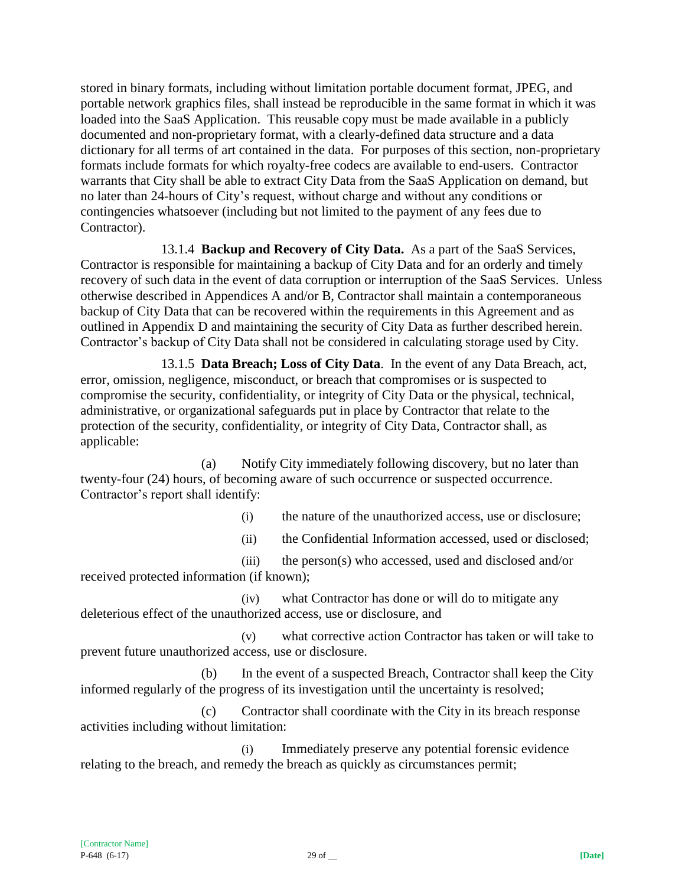stored in binary formats, including without limitation portable document format, JPEG, and portable network graphics files, shall instead be reproducible in the same format in which it was loaded into the SaaS Application. This reusable copy must be made available in a publicly documented and non-proprietary format, with a clearly-defined data structure and a data dictionary for all terms of art contained in the data. For purposes of this section, non-proprietary formats include formats for which royalty-free codecs are available to end-users. Contractor warrants that City shall be able to extract City Data from the SaaS Application on demand, but no later than 24-hours of City's request, without charge and without any conditions or contingencies whatsoever (including but not limited to the payment of any fees due to Contractor).

13.1.4 **Backup and Recovery of City Data.** As a part of the SaaS Services, Contractor is responsible for maintaining a backup of City Data and for an orderly and timely recovery of such data in the event of data corruption or interruption of the SaaS Services. Unless otherwise described in Appendices A and/or B, Contractor shall maintain a contemporaneous backup of City Data that can be recovered within the requirements in this Agreement and as outlined in Appendix D and maintaining the security of City Data as further described herein. Contractor's backup of City Data shall not be considered in calculating storage used by City.

13.1.5 **Data Breach; Loss of City Data**. In the event of any Data Breach, act, error, omission, negligence, misconduct, or breach that compromises or is suspected to compromise the security, confidentiality, or integrity of City Data or the physical, technical, administrative, or organizational safeguards put in place by Contractor that relate to the protection of the security, confidentiality, or integrity of City Data, Contractor shall, as applicable:

(a) Notify City immediately following discovery, but no later than twenty-four (24) hours, of becoming aware of such occurrence or suspected occurrence. Contractor's report shall identify:

(i) the nature of the unauthorized access, use or disclosure;

(ii) the Confidential Information accessed, used or disclosed;

(iii) the person(s) who accessed, used and disclosed and/or received protected information (if known);

(iv) what Contractor has done or will do to mitigate any deleterious effect of the unauthorized access, use or disclosure, and

(v) what corrective action Contractor has taken or will take to prevent future unauthorized access, use or disclosure.

(b) In the event of a suspected Breach, Contractor shall keep the City informed regularly of the progress of its investigation until the uncertainty is resolved;

(c) Contractor shall coordinate with the City in its breach response activities including without limitation:

(i) Immediately preserve any potential forensic evidence relating to the breach, and remedy the breach as quickly as circumstances permit;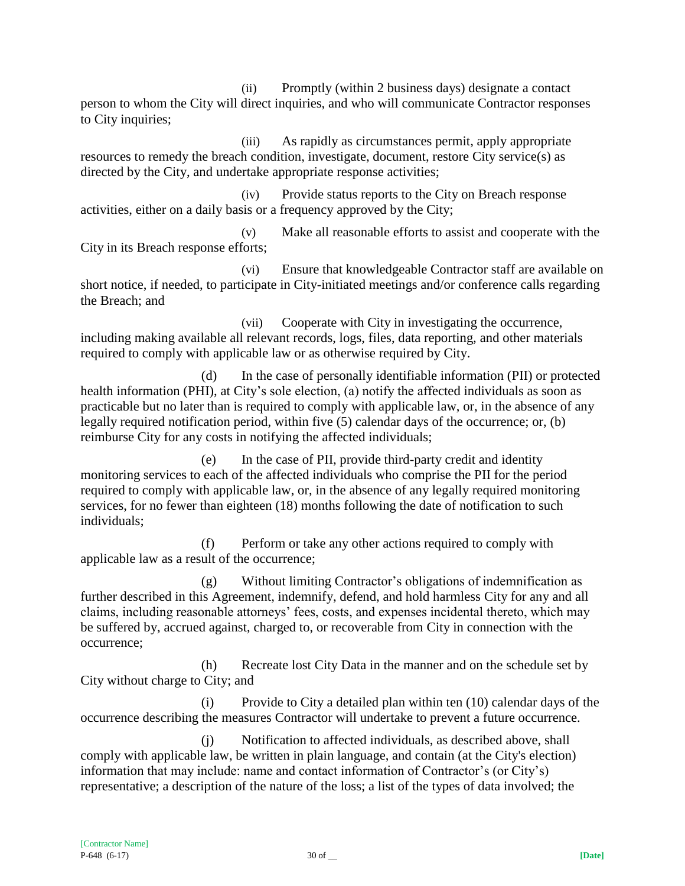(ii) Promptly (within 2 business days) designate a contact person to whom the City will direct inquiries, and who will communicate Contractor responses to City inquiries;

(iii) As rapidly as circumstances permit, apply appropriate resources to remedy the breach condition, investigate, document, restore City service(s) as directed by the City, and undertake appropriate response activities;

(iv) Provide status reports to the City on Breach response activities, either on a daily basis or a frequency approved by the City;

(v) Make all reasonable efforts to assist and cooperate with the City in its Breach response efforts;

(vi) Ensure that knowledgeable Contractor staff are available on short notice, if needed, to participate in City-initiated meetings and/or conference calls regarding the Breach; and

(vii) Cooperate with City in investigating the occurrence, including making available all relevant records, logs, files, data reporting, and other materials required to comply with applicable law or as otherwise required by City.

(d) In the case of personally identifiable information (PII) or protected health information (PHI), at City's sole election, (a) notify the affected individuals as soon as practicable but no later than is required to comply with applicable law, or, in the absence of any legally required notification period, within five (5) calendar days of the occurrence; or, (b) reimburse City for any costs in notifying the affected individuals;

(e) In the case of PII, provide third-party credit and identity monitoring services to each of the affected individuals who comprise the PII for the period required to comply with applicable law, or, in the absence of any legally required monitoring services, for no fewer than eighteen (18) months following the date of notification to such individuals;

(f) Perform or take any other actions required to comply with applicable law as a result of the occurrence;

(g) Without limiting Contractor's obligations of indemnification as further described in this Agreement, indemnify, defend, and hold harmless City for any and all claims, including reasonable attorneys' fees, costs, and expenses incidental thereto, which may be suffered by, accrued against, charged to, or recoverable from City in connection with the occurrence;

(h) Recreate lost City Data in the manner and on the schedule set by City without charge to City; and

(i) Provide to City a detailed plan within ten (10) calendar days of the occurrence describing the measures Contractor will undertake to prevent a future occurrence.

(j) Notification to affected individuals, as described above, shall comply with applicable law, be written in plain language, and contain (at the City's election) information that may include: name and contact information of Contractor's (or City's) representative; a description of the nature of the loss; a list of the types of data involved; the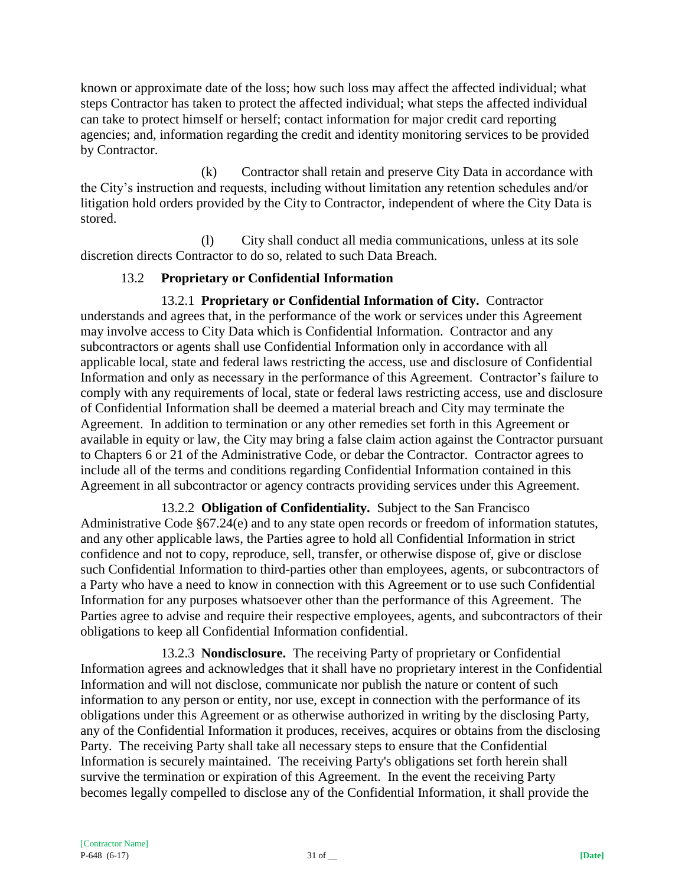known or approximate date of the loss; how such loss may affect the affected individual; what steps Contractor has taken to protect the affected individual; what steps the affected individual can take to protect himself or herself; contact information for major credit card reporting agencies; and, information regarding the credit and identity monitoring services to be provided by Contractor.

(k) Contractor shall retain and preserve City Data in accordance with the City's instruction and requests, including without limitation any retention schedules and/or litigation hold orders provided by the City to Contractor, independent of where the City Data is stored.

(l) City shall conduct all media communications, unless at its sole discretion directs Contractor to do so, related to such Data Breach.

## 13.2 **Proprietary or Confidential Information**

13.2.1 **Proprietary or Confidential Information of City.** Contractor understands and agrees that, in the performance of the work or services under this Agreement may involve access to City Data which is Confidential Information. Contractor and any subcontractors or agents shall use Confidential Information only in accordance with all applicable local, state and federal laws restricting the access, use and disclosure of Confidential Information and only as necessary in the performance of this Agreement. Contractor's failure to comply with any requirements of local, state or federal laws restricting access, use and disclosure of Confidential Information shall be deemed a material breach and City may terminate the Agreement. In addition to termination or any other remedies set forth in this Agreement or available in equity or law, the City may bring a false claim action against the Contractor pursuant to Chapters 6 or 21 of the Administrative Code, or debar the Contractor. Contractor agrees to include all of the terms and conditions regarding Confidential Information contained in this Agreement in all subcontractor or agency contracts providing services under this Agreement.

13.2.2 **Obligation of Confidentiality.** Subject to the San Francisco Administrative Code §67.24(e) and to any state open records or freedom of information statutes, and any other applicable laws, the Parties agree to hold all Confidential Information in strict confidence and not to copy, reproduce, sell, transfer, or otherwise dispose of, give or disclose such Confidential Information to third-parties other than employees, agents, or subcontractors of a Party who have a need to know in connection with this Agreement or to use such Confidential Information for any purposes whatsoever other than the performance of this Agreement. The Parties agree to advise and require their respective employees, agents, and subcontractors of their obligations to keep all Confidential Information confidential.

13.2.3 **Nondisclosure.** The receiving Party of proprietary or Confidential Information agrees and acknowledges that it shall have no proprietary interest in the Confidential Information and will not disclose, communicate nor publish the nature or content of such information to any person or entity, nor use, except in connection with the performance of its obligations under this Agreement or as otherwise authorized in writing by the disclosing Party, any of the Confidential Information it produces, receives, acquires or obtains from the disclosing Party. The receiving Party shall take all necessary steps to ensure that the Confidential Information is securely maintained. The receiving Party's obligations set forth herein shall survive the termination or expiration of this Agreement. In the event the receiving Party becomes legally compelled to disclose any of the Confidential Information, it shall provide the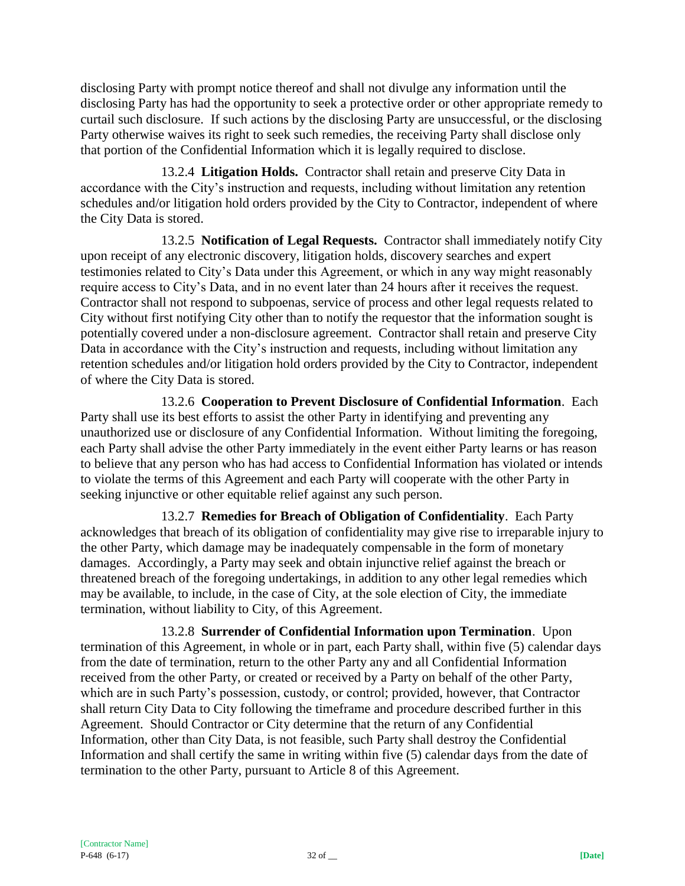disclosing Party with prompt notice thereof and shall not divulge any information until the disclosing Party has had the opportunity to seek a protective order or other appropriate remedy to curtail such disclosure. If such actions by the disclosing Party are unsuccessful, or the disclosing Party otherwise waives its right to seek such remedies, the receiving Party shall disclose only that portion of the Confidential Information which it is legally required to disclose.

13.2.4 **Litigation Holds.** Contractor shall retain and preserve City Data in accordance with the City's instruction and requests, including without limitation any retention schedules and/or litigation hold orders provided by the City to Contractor, independent of where the City Data is stored.

13.2.5 **Notification of Legal Requests.** Contractor shall immediately notify City upon receipt of any electronic discovery, litigation holds, discovery searches and expert testimonies related to City's Data under this Agreement, or which in any way might reasonably require access to City's Data, and in no event later than 24 hours after it receives the request. Contractor shall not respond to subpoenas, service of process and other legal requests related to City without first notifying City other than to notify the requestor that the information sought is potentially covered under a non-disclosure agreement. Contractor shall retain and preserve City Data in accordance with the City's instruction and requests, including without limitation any retention schedules and/or litigation hold orders provided by the City to Contractor, independent of where the City Data is stored.

13.2.6 **Cooperation to Prevent Disclosure of Confidential Information**. Each Party shall use its best efforts to assist the other Party in identifying and preventing any unauthorized use or disclosure of any Confidential Information. Without limiting the foregoing, each Party shall advise the other Party immediately in the event either Party learns or has reason to believe that any person who has had access to Confidential Information has violated or intends to violate the terms of this Agreement and each Party will cooperate with the other Party in seeking injunctive or other equitable relief against any such person.

13.2.7 **Remedies for Breach of Obligation of Confidentiality**. Each Party acknowledges that breach of its obligation of confidentiality may give rise to irreparable injury to the other Party, which damage may be inadequately compensable in the form of monetary damages. Accordingly, a Party may seek and obtain injunctive relief against the breach or threatened breach of the foregoing undertakings, in addition to any other legal remedies which may be available, to include, in the case of City, at the sole election of City, the immediate termination, without liability to City, of this Agreement.

13.2.8 **Surrender of Confidential Information upon Termination**. Upon termination of this Agreement, in whole or in part, each Party shall, within five (5) calendar days from the date of termination, return to the other Party any and all Confidential Information received from the other Party, or created or received by a Party on behalf of the other Party, which are in such Party's possession, custody, or control; provided, however, that Contractor shall return City Data to City following the timeframe and procedure described further in this Agreement. Should Contractor or City determine that the return of any Confidential Information, other than City Data, is not feasible, such Party shall destroy the Confidential Information and shall certify the same in writing within five (5) calendar days from the date of termination to the other Party, pursuant to Article 8 of this Agreement.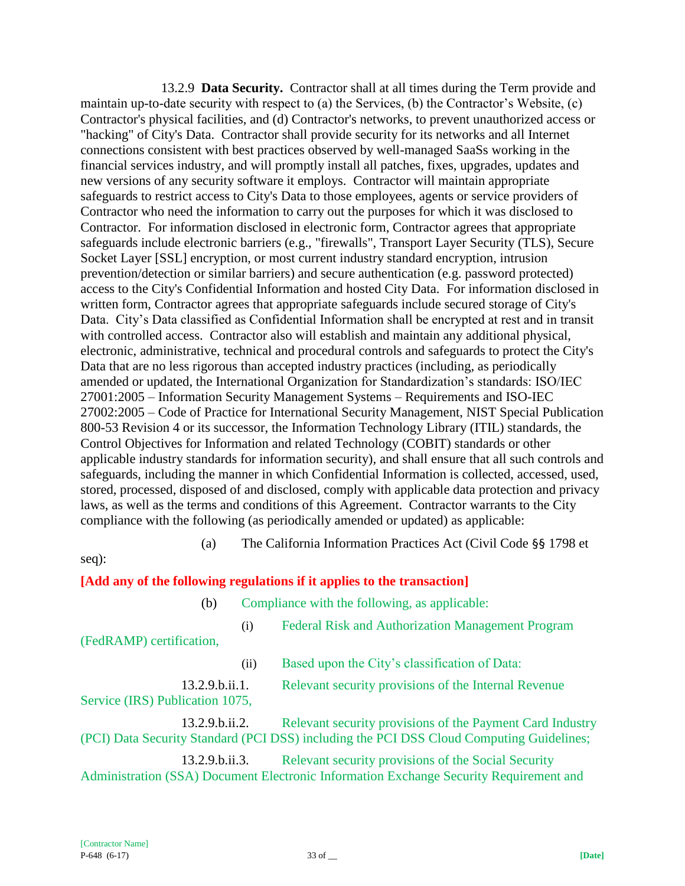13.2.9 **Data Security.** Contractor shall at all times during the Term provide and maintain up-to-date security with respect to (a) the Services, (b) the Contractor's Website, (c) Contractor's physical facilities, and (d) Contractor's networks, to prevent unauthorized access or "hacking" of City's Data. Contractor shall provide security for its networks and all Internet connections consistent with best practices observed by well-managed SaaSs working in the financial services industry, and will promptly install all patches, fixes, upgrades, updates and new versions of any security software it employs. Contractor will maintain appropriate safeguards to restrict access to City's Data to those employees, agents or service providers of Contractor who need the information to carry out the purposes for which it was disclosed to Contractor. For information disclosed in electronic form, Contractor agrees that appropriate safeguards include electronic barriers (e.g., "firewalls", Transport Layer Security (TLS), Secure Socket Layer [SSL] encryption, or most current industry standard encryption, intrusion prevention/detection or similar barriers) and secure authentication (e.g. password protected) access to the City's Confidential Information and hosted City Data. For information disclosed in written form, Contractor agrees that appropriate safeguards include secured storage of City's Data. City's Data classified as Confidential Information shall be encrypted at rest and in transit with controlled access. Contractor also will establish and maintain any additional physical, electronic, administrative, technical and procedural controls and safeguards to protect the City's Data that are no less rigorous than accepted industry practices (including, as periodically amended or updated, the International Organization for Standardization's standards: ISO/IEC 27001:2005 – Information Security Management Systems – Requirements and ISO-IEC 27002:2005 – Code of Practice for International Security Management, NIST Special Publication 800-53 Revision 4 or its successor, the Information Technology Library (ITIL) standards, the Control Objectives for Information and related Technology (COBIT) standards or other applicable industry standards for information security), and shall ensure that all such controls and safeguards, including the manner in which Confidential Information is collected, accessed, used, stored, processed, disposed of and disclosed, comply with applicable data protection and privacy laws, as well as the terms and conditions of this Agreement. Contractor warrants to the City compliance with the following (as periodically amended or updated) as applicable:

(a) The California Information Practices Act (Civil Code §§ 1798 et

seq):

### **[Add any of the following regulations if it applies to the transaction]**

(b) Compliance with the following, as applicable:

(i) Federal Risk and Authorization Management Program (FedRAMP) certification,

(ii) Based upon the City's classification of Data:

13.2.9.b.ii.1. Relevant security provisions of the Internal Revenue Service (IRS) Publication 1075,

13.2.9.b.ii.2. Relevant security provisions of the Payment Card Industry (PCI) Data Security Standard (PCI DSS) including the PCI DSS Cloud Computing Guidelines;

13.2.9.b.ii.3. Relevant security provisions of the Social Security Administration (SSA) Document Electronic Information Exchange Security Requirement and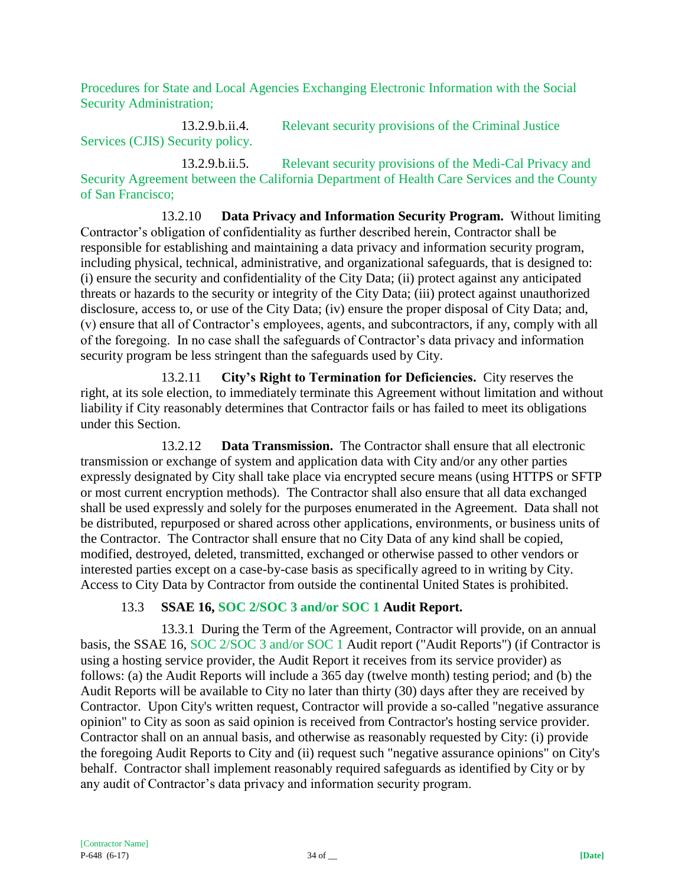Procedures for State and Local Agencies Exchanging Electronic Information with the Social Security Administration;

13.2.9.b.ii.4. Relevant security provisions of the Criminal Justice Services (CJIS) Security policy.

13.2.9.b.ii.5. Relevant security provisions of the Medi-Cal Privacy and Security Agreement between the California Department of Health Care Services and the County of San Francisco;

13.2.10 **Data Privacy and Information Security Program.** Without limiting Contractor's obligation of confidentiality as further described herein, Contractor shall be responsible for establishing and maintaining a data privacy and information security program, including physical, technical, administrative, and organizational safeguards, that is designed to: (i) ensure the security and confidentiality of the City Data; (ii) protect against any anticipated threats or hazards to the security or integrity of the City Data; (iii) protect against unauthorized disclosure, access to, or use of the City Data; (iv) ensure the proper disposal of City Data; and, (v) ensure that all of Contractor's employees, agents, and subcontractors, if any, comply with all of the foregoing. In no case shall the safeguards of Contractor's data privacy and information security program be less stringent than the safeguards used by City.

13.2.11 **City's Right to Termination for Deficiencies.** City reserves the right, at its sole election, to immediately terminate this Agreement without limitation and without liability if City reasonably determines that Contractor fails or has failed to meet its obligations under this Section.

13.2.12 **Data Transmission.** The Contractor shall ensure that all electronic transmission or exchange of system and application data with City and/or any other parties expressly designated by City shall take place via encrypted secure means (using HTTPS or SFTP or most current encryption methods). The Contractor shall also ensure that all data exchanged shall be used expressly and solely for the purposes enumerated in the Agreement. Data shall not be distributed, repurposed or shared across other applications, environments, or business units of the Contractor. The Contractor shall ensure that no City Data of any kind shall be copied, modified, destroyed, deleted, transmitted, exchanged or otherwise passed to other vendors or interested parties except on a case-by-case basis as specifically agreed to in writing by City. Access to City Data by Contractor from outside the continental United States is prohibited.

## 13.3 **SSAE 16, SOC 2/SOC 3 and/or SOC 1 Audit Report.**

13.3.1 During the Term of the Agreement, Contractor will provide, on an annual basis, the SSAE 16, SOC 2/SOC 3 and/or SOC 1 Audit report ("Audit Reports") (if Contractor is using a hosting service provider, the Audit Report it receives from its service provider) as follows: (a) the Audit Reports will include a 365 day (twelve month) testing period; and (b) the Audit Reports will be available to City no later than thirty (30) days after they are received by Contractor. Upon City's written request, Contractor will provide a so-called "negative assurance opinion" to City as soon as said opinion is received from Contractor's hosting service provider. Contractor shall on an annual basis, and otherwise as reasonably requested by City: (i) provide the foregoing Audit Reports to City and (ii) request such "negative assurance opinions" on City's behalf. Contractor shall implement reasonably required safeguards as identified by City or by any audit of Contractor's data privacy and information security program.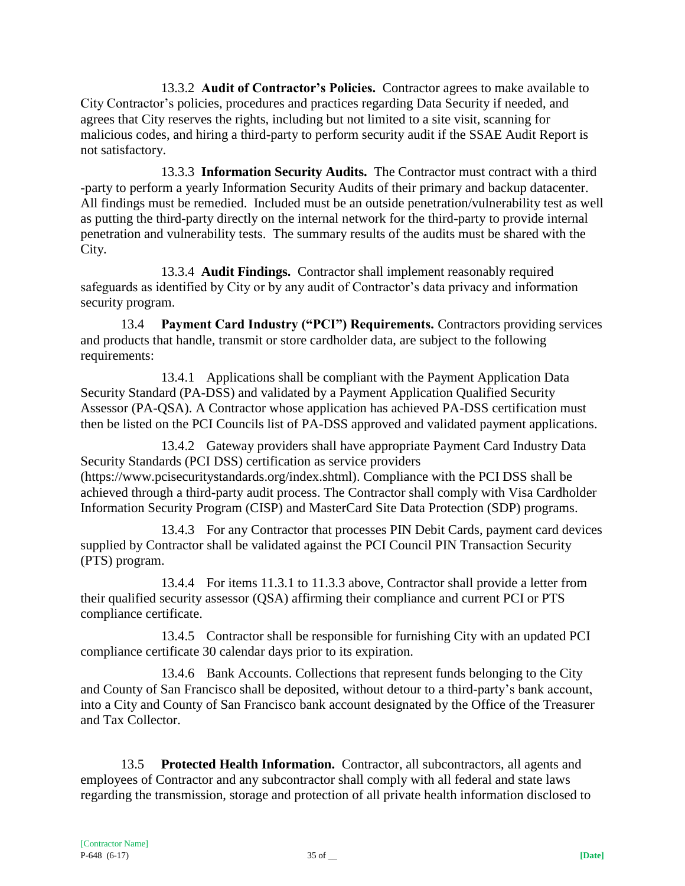13.3.2 **Audit of Contractor's Policies.** Contractor agrees to make available to City Contractor's policies, procedures and practices regarding Data Security if needed, and agrees that City reserves the rights, including but not limited to a site visit, scanning for malicious codes, and hiring a third-party to perform security audit if the SSAE Audit Report is not satisfactory.

13.3.3 **Information Security Audits.** The Contractor must contract with a third -party to perform a yearly Information Security Audits of their primary and backup datacenter. All findings must be remedied. Included must be an outside penetration/vulnerability test as well as putting the third-party directly on the internal network for the third-party to provide internal penetration and vulnerability tests. The summary results of the audits must be shared with the City.

13.3.4 **Audit Findings.** Contractor shall implement reasonably required safeguards as identified by City or by any audit of Contractor's data privacy and information security program.

13.4 **Payment Card Industry ("PCI") Requirements.** Contractors providing services and products that handle, transmit or store cardholder data, are subject to the following requirements:

13.4.1 Applications shall be compliant with the Payment Application Data Security Standard (PA-DSS) and validated by a Payment Application Qualified Security Assessor (PA-QSA). A Contractor whose application has achieved PA-DSS certification must then be listed on the PCI Councils list of PA-DSS approved and validated payment applications.

13.4.2 Gateway providers shall have appropriate Payment Card Industry Data Security Standards (PCI DSS) certification as service providers (https://www.pcisecuritystandards.org/index.shtml). Compliance with the PCI DSS shall be achieved through a third-party audit process. The Contractor shall comply with Visa Cardholder Information Security Program (CISP) and MasterCard Site Data Protection (SDP) programs.

13.4.3 For any Contractor that processes PIN Debit Cards, payment card devices supplied by Contractor shall be validated against the PCI Council PIN Transaction Security (PTS) program.

13.4.4 For items 11.3.1 to 11.3.3 above, Contractor shall provide a letter from their qualified security assessor (QSA) affirming their compliance and current PCI or PTS compliance certificate.

13.4.5 Contractor shall be responsible for furnishing City with an updated PCI compliance certificate 30 calendar days prior to its expiration.

13.4.6 Bank Accounts. Collections that represent funds belonging to the City and County of San Francisco shall be deposited, without detour to a third-party's bank account, into a City and County of San Francisco bank account designated by the Office of the Treasurer and Tax Collector.

13.5 **Protected Health Information.** Contractor, all subcontractors, all agents and employees of Contractor and any subcontractor shall comply with all federal and state laws regarding the transmission, storage and protection of all private health information disclosed to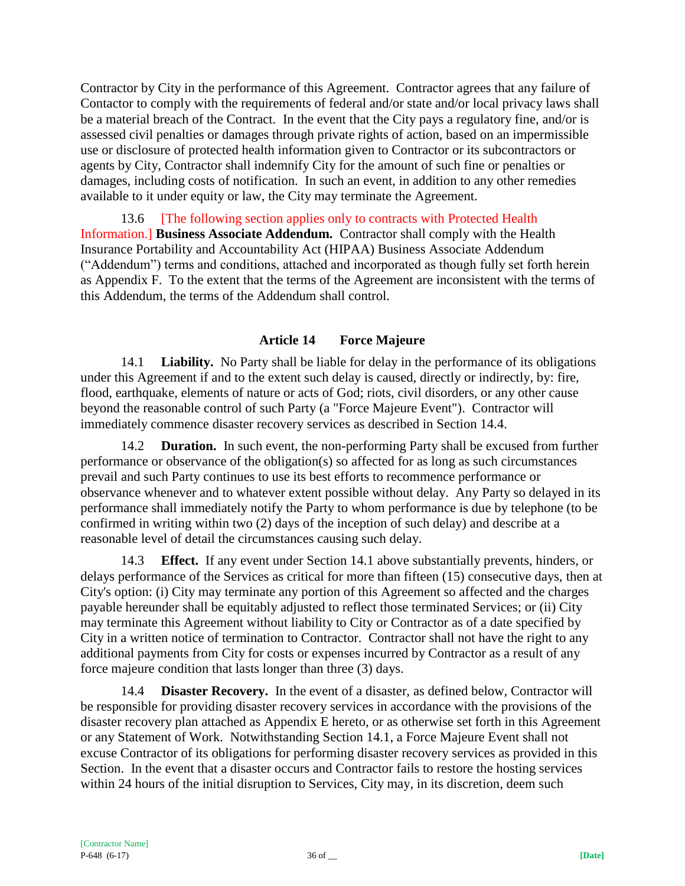Contractor by City in the performance of this Agreement. Contractor agrees that any failure of Contactor to comply with the requirements of federal and/or state and/or local privacy laws shall be a material breach of the Contract. In the event that the City pays a regulatory fine, and/or is assessed civil penalties or damages through private rights of action, based on an impermissible use or disclosure of protected health information given to Contractor or its subcontractors or agents by City, Contractor shall indemnify City for the amount of such fine or penalties or damages, including costs of notification. In such an event, in addition to any other remedies available to it under equity or law, the City may terminate the Agreement.

13.6 [The following section applies only to contracts with Protected Health Information.] **Business Associate Addendum.** Contractor shall comply with the Health Insurance Portability and Accountability Act (HIPAA) Business Associate Addendum ("Addendum") terms and conditions, attached and incorporated as though fully set forth herein as Appendix F. To the extent that the terms of the Agreement are inconsistent with the terms of this Addendum, the terms of the Addendum shall control.

### **Article 14 Force Majeure**

14.1 **Liability.** No Party shall be liable for delay in the performance of its obligations under this Agreement if and to the extent such delay is caused, directly or indirectly, by: fire, flood, earthquake, elements of nature or acts of God; riots, civil disorders, or any other cause beyond the reasonable control of such Party (a "Force Majeure Event"). Contractor will immediately commence disaster recovery services as described in Section 14.4.

14.2 **Duration.** In such event, the non-performing Party shall be excused from further performance or observance of the obligation(s) so affected for as long as such circumstances prevail and such Party continues to use its best efforts to recommence performance or observance whenever and to whatever extent possible without delay. Any Party so delayed in its performance shall immediately notify the Party to whom performance is due by telephone (to be confirmed in writing within two (2) days of the inception of such delay) and describe at a reasonable level of detail the circumstances causing such delay.

14.3 **Effect.** If any event under Section 14.1 above substantially prevents, hinders, or delays performance of the Services as critical for more than fifteen (15) consecutive days, then at City's option: (i) City may terminate any portion of this Agreement so affected and the charges payable hereunder shall be equitably adjusted to reflect those terminated Services; or (ii) City may terminate this Agreement without liability to City or Contractor as of a date specified by City in a written notice of termination to Contractor. Contractor shall not have the right to any additional payments from City for costs or expenses incurred by Contractor as a result of any force majeure condition that lasts longer than three (3) days.

14.4 **Disaster Recovery.** In the event of a disaster, as defined below, Contractor will be responsible for providing disaster recovery services in accordance with the provisions of the disaster recovery plan attached as Appendix E hereto, or as otherwise set forth in this Agreement or any Statement of Work. Notwithstanding Section 14.1, a Force Majeure Event shall not excuse Contractor of its obligations for performing disaster recovery services as provided in this Section. In the event that a disaster occurs and Contractor fails to restore the hosting services within 24 hours of the initial disruption to Services, City may, in its discretion, deem such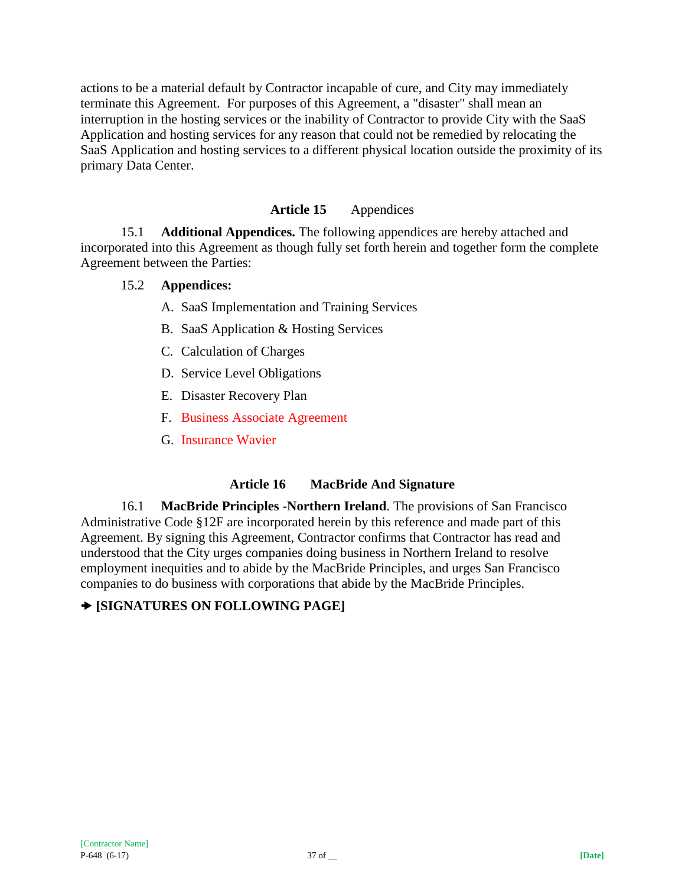actions to be a material default by Contractor incapable of cure, and City may immediately terminate this Agreement. For purposes of this Agreement, a "disaster" shall mean an interruption in the hosting services or the inability of Contractor to provide City with the SaaS Application and hosting services for any reason that could not be remedied by relocating the SaaS Application and hosting services to a different physical location outside the proximity of its primary Data Center.

## **Article 15** Appendices

15.1 **Additional Appendices.** The following appendices are hereby attached and incorporated into this Agreement as though fully set forth herein and together form the complete Agreement between the Parties:

### 15.2 **Appendices:**

- A. SaaS Implementation and Training Services
- B. SaaS Application & Hosting Services
- C. Calculation of Charges
- D. Service Level Obligations
- E. Disaster Recovery Plan
- F. Business Associate Agreement
- G. Insurance Wavier

### **Article 16 MacBride And Signature**

16.1 **MacBride Principles -Northern Ireland**. The provisions of San Francisco Administrative Code §12F are incorporated herein by this reference and made part of this Agreement. By signing this Agreement, Contractor confirms that Contractor has read and understood that the City urges companies doing business in Northern Ireland to resolve employment inequities and to abide by the MacBride Principles, and urges San Francisco companies to do business with corporations that abide by the MacBride Principles.

# **[SIGNATURES ON FOLLOWING PAGE]**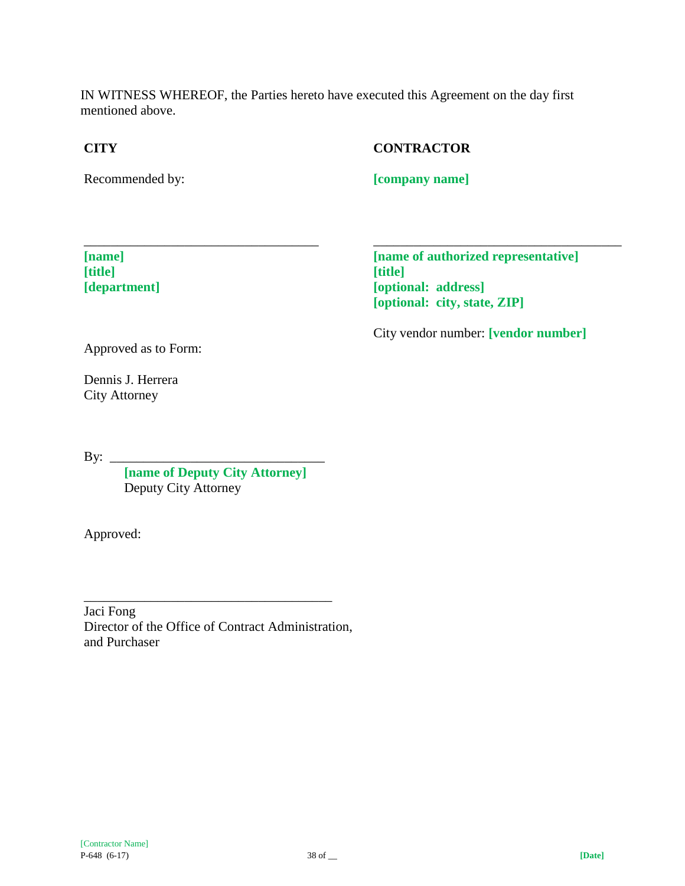IN WITNESS WHEREOF, the Parties hereto have executed this Agreement on the day first mentioned above.

## **CITY**

## **CONTRACTOR**

Recommended by:

**[company name]**

**[name] [title] [department]** **[name of authorized representative] [title] [optional: address] [optional: city, state, ZIP]**

\_\_\_\_\_\_\_\_\_\_\_\_\_\_\_\_\_\_\_\_\_\_\_\_\_\_\_\_\_\_\_\_\_\_\_\_\_

City vendor number: **[vendor number]**

Approved as to Form:

Dennis J. Herrera City Attorney

By: \_\_\_\_\_\_\_\_\_\_\_\_\_\_\_\_\_\_\_\_\_\_\_\_\_\_\_\_\_\_\_\_

**[name of Deputy City Attorney]** Deputy City Attorney

\_\_\_\_\_\_\_\_\_\_\_\_\_\_\_\_\_\_\_\_\_\_\_\_\_\_\_\_\_\_\_\_\_\_\_

Approved:

Jaci Fong Director of the Office of Contract Administration, and Purchaser

\_\_\_\_\_\_\_\_\_\_\_\_\_\_\_\_\_\_\_\_\_\_\_\_\_\_\_\_\_\_\_\_\_\_\_\_\_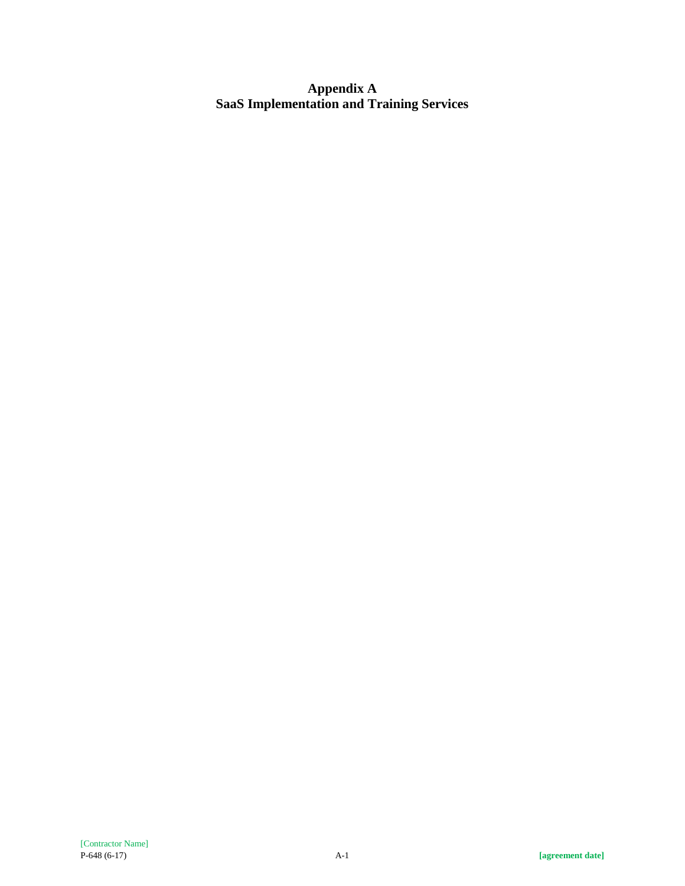**Appendix A SaaS Implementation and Training Services**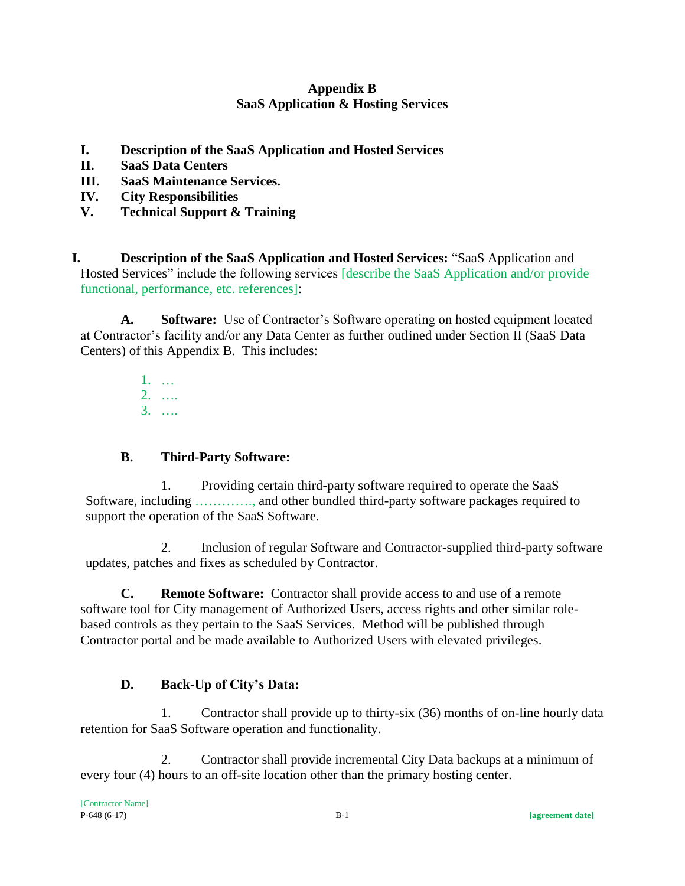## **Appendix B SaaS Application & Hosting Services**

- **I. Description of the SaaS Application and Hosted Services**
- **II. SaaS Data Centers**
- **III. SaaS Maintenance Services.**
- **IV. City Responsibilities**
- **V. Technical Support & Training**

**I. Description of the SaaS Application and Hosted Services:** "SaaS Application and Hosted Services" include the following services [describe the SaaS Application and/or provide functional, performance, etc. references]:

**A. Software:** Use of Contractor's Software operating on hosted equipment located at Contractor's facility and/or any Data Center as further outlined under Section II (SaaS Data Centers) of this Appendix B. This includes:

> 1. … 2. …. 3. ….

# **B. Third-Party Software:**

1. Providing certain third-party software required to operate the SaaS Software, including …………., and other bundled third-party software packages required to support the operation of the SaaS Software.

2. Inclusion of regular Software and Contractor-supplied third-party software updates, patches and fixes as scheduled by Contractor.

**C. Remote Software:** Contractor shall provide access to and use of a remote software tool for City management of Authorized Users, access rights and other similar rolebased controls as they pertain to the SaaS Services. Method will be published through Contractor portal and be made available to Authorized Users with elevated privileges.

# **D. Back-Up of City's Data:**

1. Contractor shall provide up to thirty-six (36) months of on-line hourly data retention for SaaS Software operation and functionality.

2. Contractor shall provide incremental City Data backups at a minimum of every four (4) hours to an off-site location other than the primary hosting center.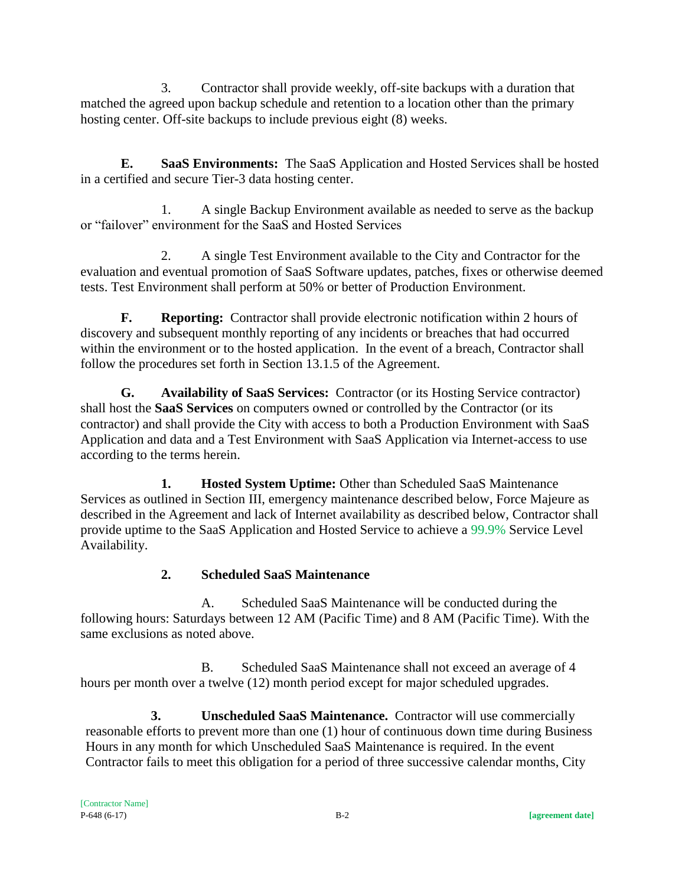3. Contractor shall provide weekly, off-site backups with a duration that matched the agreed upon backup schedule and retention to a location other than the primary hosting center. Off-site backups to include previous eight (8) weeks.

**E. SaaS Environments:** The SaaS Application and Hosted Services shall be hosted in a certified and secure Tier-3 data hosting center.

1. A single Backup Environment available as needed to serve as the backup or "failover" environment for the SaaS and Hosted Services

2. A single Test Environment available to the City and Contractor for the evaluation and eventual promotion of SaaS Software updates, patches, fixes or otherwise deemed tests. Test Environment shall perform at 50% or better of Production Environment.

**F. Reporting:** Contractor shall provide electronic notification within 2 hours of discovery and subsequent monthly reporting of any incidents or breaches that had occurred within the environment or to the hosted application. In the event of a breach, Contractor shall follow the procedures set forth in Section 13.1.5 of the Agreement.

**G. Availability of SaaS Services:** Contractor (or its Hosting Service contractor) shall host the **SaaS Services** on computers owned or controlled by the Contractor (or its contractor) and shall provide the City with access to both a Production Environment with SaaS Application and data and a Test Environment with SaaS Application via Internet-access to use according to the terms herein.

**1. Hosted System Uptime:** Other than Scheduled SaaS Maintenance Services as outlined in Section III, emergency maintenance described below, Force Majeure as described in the Agreement and lack of Internet availability as described below, Contractor shall provide uptime to the SaaS Application and Hosted Service to achieve a 99.9% Service Level Availability.

# **2. Scheduled SaaS Maintenance**

A. Scheduled SaaS Maintenance will be conducted during the following hours: Saturdays between 12 AM (Pacific Time) and 8 AM (Pacific Time). With the same exclusions as noted above.

B. Scheduled SaaS Maintenance shall not exceed an average of 4 hours per month over a twelve (12) month period except for major scheduled upgrades.

**3. Unscheduled SaaS Maintenance.** Contractor will use commercially reasonable efforts to prevent more than one (1) hour of continuous down time during Business Hours in any month for which Unscheduled SaaS Maintenance is required. In the event Contractor fails to meet this obligation for a period of three successive calendar months, City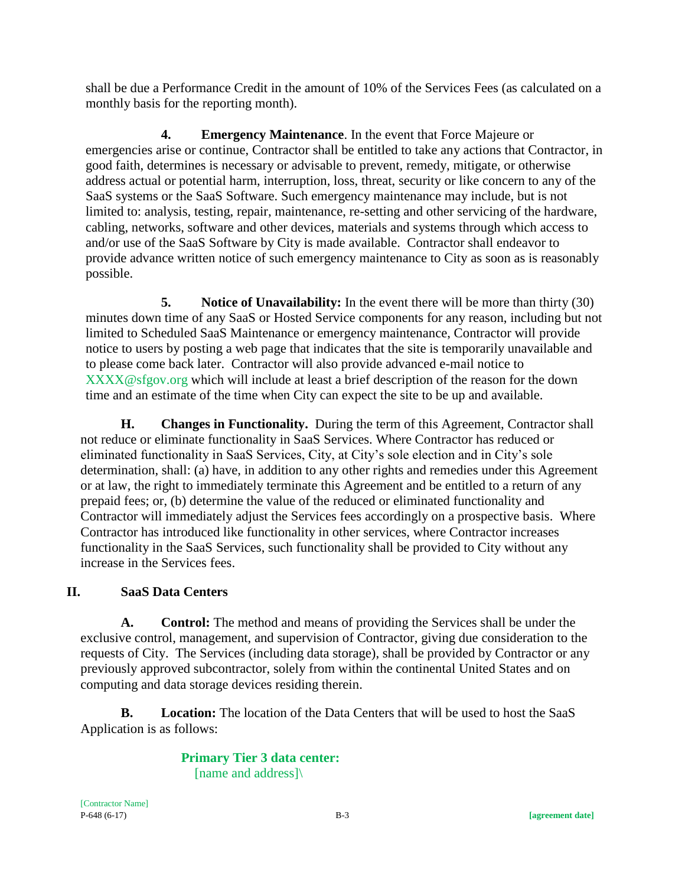shall be due a Performance Credit in the amount of 10% of the Services Fees (as calculated on a monthly basis for the reporting month).

**4. Emergency Maintenance**. In the event that Force Majeure or emergencies arise or continue, Contractor shall be entitled to take any actions that Contractor, in good faith, determines is necessary or advisable to prevent, remedy, mitigate, or otherwise address actual or potential harm, interruption, loss, threat, security or like concern to any of the SaaS systems or the SaaS Software. Such emergency maintenance may include, but is not limited to: analysis, testing, repair, maintenance, re-setting and other servicing of the hardware, cabling, networks, software and other devices, materials and systems through which access to and/or use of the SaaS Software by City is made available. Contractor shall endeavor to provide advance written notice of such emergency maintenance to City as soon as is reasonably possible.

**5. Notice of Unavailability:** In the event there will be more than thirty (30) minutes down time of any SaaS or Hosted Service components for any reason, including but not limited to Scheduled SaaS Maintenance or emergency maintenance, Contractor will provide notice to users by posting a web page that indicates that the site is temporarily unavailable and to please come back later. Contractor will also provide advanced e-mail notice to XXXX@sfgov.org which will include at least a brief description of the reason for the down time and an estimate of the time when City can expect the site to be up and available.

**H. Changes in Functionality.** During the term of this Agreement, Contractor shall not reduce or eliminate functionality in SaaS Services. Where Contractor has reduced or eliminated functionality in SaaS Services, City, at City's sole election and in City's sole determination, shall: (a) have, in addition to any other rights and remedies under this Agreement or at law, the right to immediately terminate this Agreement and be entitled to a return of any prepaid fees; or, (b) determine the value of the reduced or eliminated functionality and Contractor will immediately adjust the Services fees accordingly on a prospective basis. Where Contractor has introduced like functionality in other services, where Contractor increases functionality in the SaaS Services, such functionality shall be provided to City without any increase in the Services fees.

# **II. SaaS Data Centers**

**A. Control:** The method and means of providing the Services shall be under the exclusive control, management, and supervision of Contractor, giving due consideration to the requests of City. The Services (including data storage), shall be provided by Contractor or any previously approved subcontractor, solely from within the continental United States and on computing and data storage devices residing therein.

**B. Location:** The location of the Data Centers that will be used to host the SaaS Application is as follows:

> **Primary Tier 3 data center:**  [name and address]\

[Contractor Name]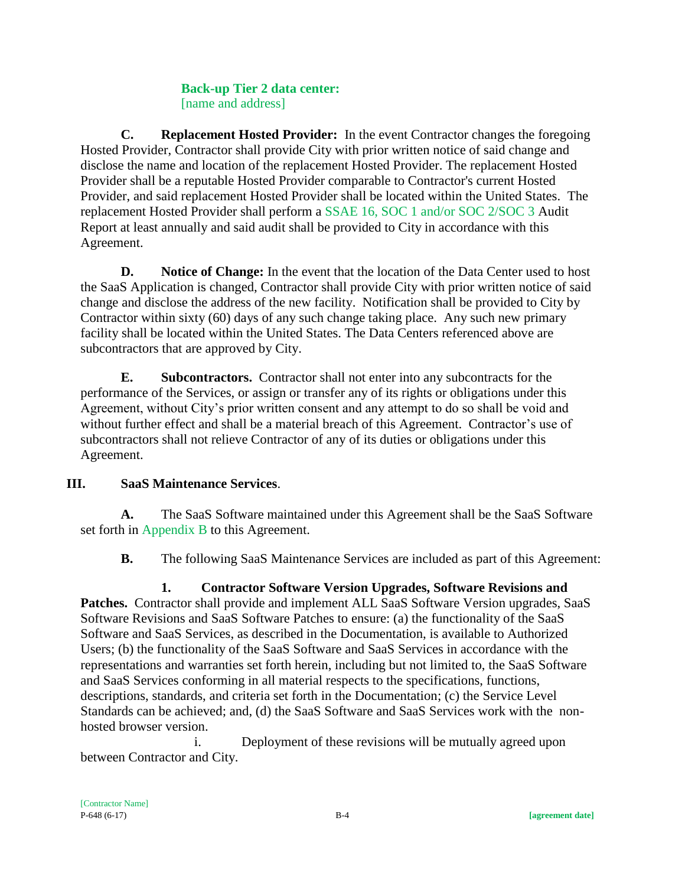### **Back-up Tier 2 data center:**  [name and address]

**C. Replacement Hosted Provider:** In the event Contractor changes the foregoing Hosted Provider, Contractor shall provide City with prior written notice of said change and disclose the name and location of the replacement Hosted Provider. The replacement Hosted Provider shall be a reputable Hosted Provider comparable to Contractor's current Hosted Provider, and said replacement Hosted Provider shall be located within the United States. The replacement Hosted Provider shall perform a SSAE 16, SOC 1 and/or SOC 2/SOC 3 Audit Report at least annually and said audit shall be provided to City in accordance with this Agreement.

**D. Notice of Change:** In the event that the location of the Data Center used to host the SaaS Application is changed, Contractor shall provide City with prior written notice of said change and disclose the address of the new facility. Notification shall be provided to City by Contractor within sixty (60) days of any such change taking place. Any such new primary facility shall be located within the United States. The Data Centers referenced above are subcontractors that are approved by City.

**E. Subcontractors.** Contractor shall not enter into any subcontracts for the performance of the Services, or assign or transfer any of its rights or obligations under this Agreement, without City's prior written consent and any attempt to do so shall be void and without further effect and shall be a material breach of this Agreement. Contractor's use of subcontractors shall not relieve Contractor of any of its duties or obligations under this Agreement.

# **III. SaaS Maintenance Services**.

**A.** The SaaS Software maintained under this Agreement shall be the SaaS Software set forth in Appendix B to this Agreement.

**B.** The following SaaS Maintenance Services are included as part of this Agreement:

# **1. Contractor Software Version Upgrades, Software Revisions and**

Patches. Contractor shall provide and implement ALL SaaS Software Version upgrades, SaaS Software Revisions and SaaS Software Patches to ensure: (a) the functionality of the SaaS Software and SaaS Services, as described in the Documentation, is available to Authorized Users; (b) the functionality of the SaaS Software and SaaS Services in accordance with the representations and warranties set forth herein, including but not limited to, the SaaS Software and SaaS Services conforming in all material respects to the specifications, functions, descriptions, standards, and criteria set forth in the Documentation; (c) the Service Level Standards can be achieved; and, (d) the SaaS Software and SaaS Services work with the nonhosted browser version.

i. Deployment of these revisions will be mutually agreed upon between Contractor and City.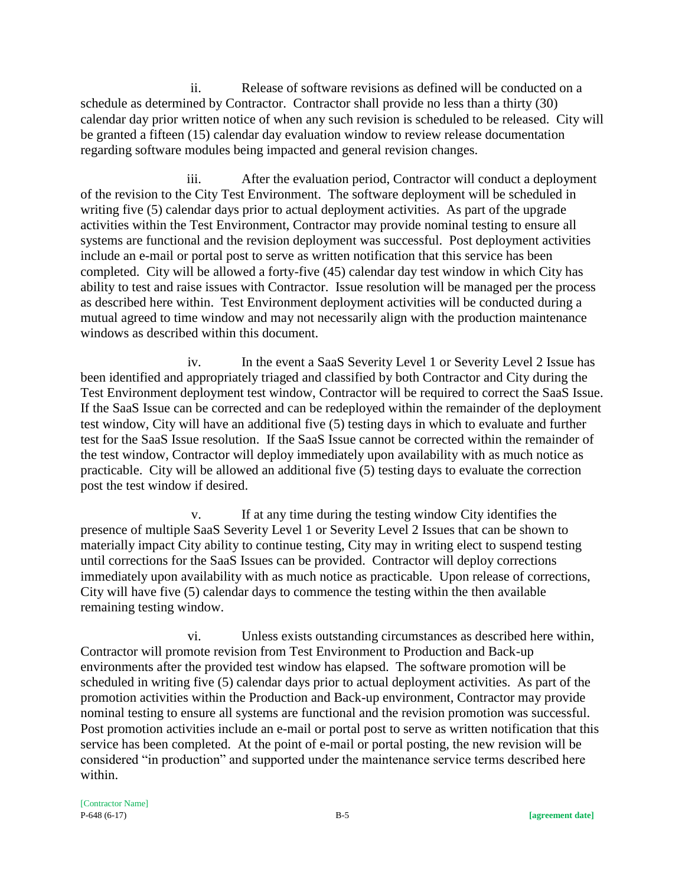ii. Release of software revisions as defined will be conducted on a schedule as determined by Contractor. Contractor shall provide no less than a thirty (30) calendar day prior written notice of when any such revision is scheduled to be released. City will be granted a fifteen (15) calendar day evaluation window to review release documentation regarding software modules being impacted and general revision changes.

iii. After the evaluation period, Contractor will conduct a deployment of the revision to the City Test Environment. The software deployment will be scheduled in writing five (5) calendar days prior to actual deployment activities. As part of the upgrade activities within the Test Environment, Contractor may provide nominal testing to ensure all systems are functional and the revision deployment was successful. Post deployment activities include an e-mail or portal post to serve as written notification that this service has been completed. City will be allowed a forty-five (45) calendar day test window in which City has ability to test and raise issues with Contractor. Issue resolution will be managed per the process as described here within. Test Environment deployment activities will be conducted during a mutual agreed to time window and may not necessarily align with the production maintenance windows as described within this document.

iv. In the event a SaaS Severity Level 1 or Severity Level 2 Issue has been identified and appropriately triaged and classified by both Contractor and City during the Test Environment deployment test window, Contractor will be required to correct the SaaS Issue. If the SaaS Issue can be corrected and can be redeployed within the remainder of the deployment test window, City will have an additional five (5) testing days in which to evaluate and further test for the SaaS Issue resolution. If the SaaS Issue cannot be corrected within the remainder of the test window, Contractor will deploy immediately upon availability with as much notice as practicable. City will be allowed an additional five (5) testing days to evaluate the correction post the test window if desired.

v. If at any time during the testing window City identifies the presence of multiple SaaS Severity Level 1 or Severity Level 2 Issues that can be shown to materially impact City ability to continue testing, City may in writing elect to suspend testing until corrections for the SaaS Issues can be provided. Contractor will deploy corrections immediately upon availability with as much notice as practicable. Upon release of corrections, City will have five (5) calendar days to commence the testing within the then available remaining testing window.

vi. Unless exists outstanding circumstances as described here within, Contractor will promote revision from Test Environment to Production and Back-up environments after the provided test window has elapsed. The software promotion will be scheduled in writing five (5) calendar days prior to actual deployment activities. As part of the promotion activities within the Production and Back-up environment, Contractor may provide nominal testing to ensure all systems are functional and the revision promotion was successful. Post promotion activities include an e-mail or portal post to serve as written notification that this service has been completed. At the point of e-mail or portal posting, the new revision will be considered "in production" and supported under the maintenance service terms described here within.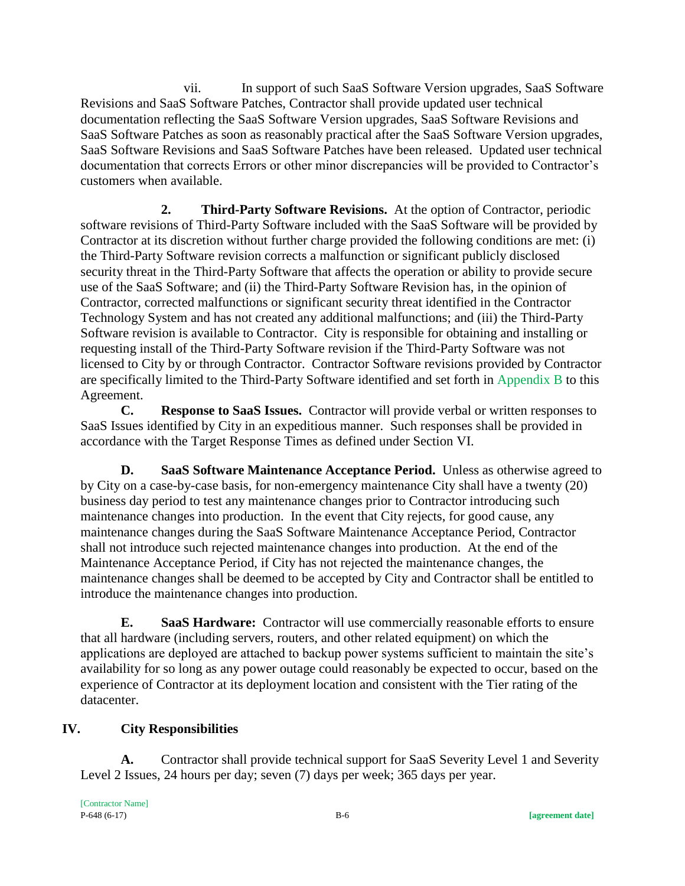vii. In support of such SaaS Software Version upgrades, SaaS Software Revisions and SaaS Software Patches, Contractor shall provide updated user technical documentation reflecting the SaaS Software Version upgrades, SaaS Software Revisions and SaaS Software Patches as soon as reasonably practical after the SaaS Software Version upgrades, SaaS Software Revisions and SaaS Software Patches have been released. Updated user technical documentation that corrects Errors or other minor discrepancies will be provided to Contractor's customers when available.

**2. Third-Party Software Revisions.** At the option of Contractor, periodic software revisions of Third-Party Software included with the SaaS Software will be provided by Contractor at its discretion without further charge provided the following conditions are met: (i) the Third-Party Software revision corrects a malfunction or significant publicly disclosed security threat in the Third-Party Software that affects the operation or ability to provide secure use of the SaaS Software; and (ii) the Third-Party Software Revision has, in the opinion of Contractor, corrected malfunctions or significant security threat identified in the Contractor Technology System and has not created any additional malfunctions; and (iii) the Third-Party Software revision is available to Contractor. City is responsible for obtaining and installing or requesting install of the Third-Party Software revision if the Third-Party Software was not licensed to City by or through Contractor. Contractor Software revisions provided by Contractor are specifically limited to the Third-Party Software identified and set forth in Appendix B to this Agreement.

**C. Response to SaaS Issues.** Contractor will provide verbal or written responses to SaaS Issues identified by City in an expeditious manner. Such responses shall be provided in accordance with the Target Response Times as defined under Section VI.

**D. SaaS Software Maintenance Acceptance Period.** Unless as otherwise agreed to by City on a case-by-case basis, for non-emergency maintenance City shall have a twenty (20) business day period to test any maintenance changes prior to Contractor introducing such maintenance changes into production. In the event that City rejects, for good cause, any maintenance changes during the SaaS Software Maintenance Acceptance Period, Contractor shall not introduce such rejected maintenance changes into production. At the end of the Maintenance Acceptance Period, if City has not rejected the maintenance changes, the maintenance changes shall be deemed to be accepted by City and Contractor shall be entitled to introduce the maintenance changes into production.

**E. SaaS Hardware:** Contractor will use commercially reasonable efforts to ensure that all hardware (including servers, routers, and other related equipment) on which the applications are deployed are attached to backup power systems sufficient to maintain the site's availability for so long as any power outage could reasonably be expected to occur, based on the experience of Contractor at its deployment location and consistent with the Tier rating of the datacenter.

# **IV. City Responsibilities**

**A.** Contractor shall provide technical support for SaaS Severity Level 1 and Severity Level 2 Issues, 24 hours per day; seven (7) days per week; 365 days per year.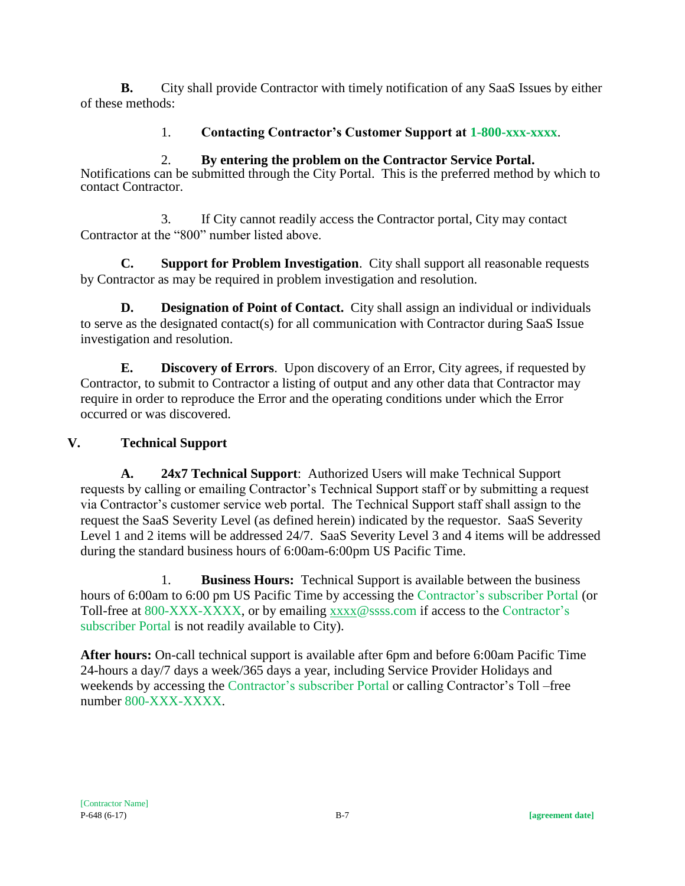**B.** City shall provide Contractor with timely notification of any SaaS Issues by either of these methods:

# 1. **Contacting Contractor's Customer Support at 1-800-xxx-xxxx**.

## 2. **By entering the problem on the Contractor Service Portal.**

Notifications can be submitted through the City Portal. This is the preferred method by which to contact Contractor.

3. If City cannot readily access the Contractor portal, City may contact Contractor at the "800" number listed above.

**C. Support for Problem Investigation**. City shall support all reasonable requests by Contractor as may be required in problem investigation and resolution.

**D. Designation of Point of Contact.** City shall assign an individual or individuals to serve as the designated contact(s) for all communication with Contractor during SaaS Issue investigation and resolution.

**E. Discovery of Errors**. Upon discovery of an Error, City agrees, if requested by Contractor, to submit to Contractor a listing of output and any other data that Contractor may require in order to reproduce the Error and the operating conditions under which the Error occurred or was discovered.

# **V. Technical Support**

**A. 24x7 Technical Support**: Authorized Users will make Technical Support requests by calling or emailing Contractor's Technical Support staff or by submitting a request via Contractor's customer service web portal. The Technical Support staff shall assign to the request the SaaS Severity Level (as defined herein) indicated by the requestor. SaaS Severity Level 1 and 2 items will be addressed 24/7. SaaS Severity Level 3 and 4 items will be addressed during the standard business hours of 6:00am-6:00pm US Pacific Time.

1. **Business Hours:** Technical Support is available between the business hours of 6:00am to 6:00 pm US Pacific Time by accessing the Contractor's subscriber Portal (or Toll-free at 800-XXX-XXXX, or by emailing [xxxx@](mailto:support@aclara.com)ssss.com if access to the Contractor's subscriber Portal is not readily available to City).

**After hours:** On-call technical support is available after 6pm and before 6:00am Pacific Time 24-hours a day/7 days a week/365 days a year, including Service Provider Holidays and weekends by accessing the Contractor's subscriber Portal or calling Contractor's Toll –free number 800-XXX-XXXX.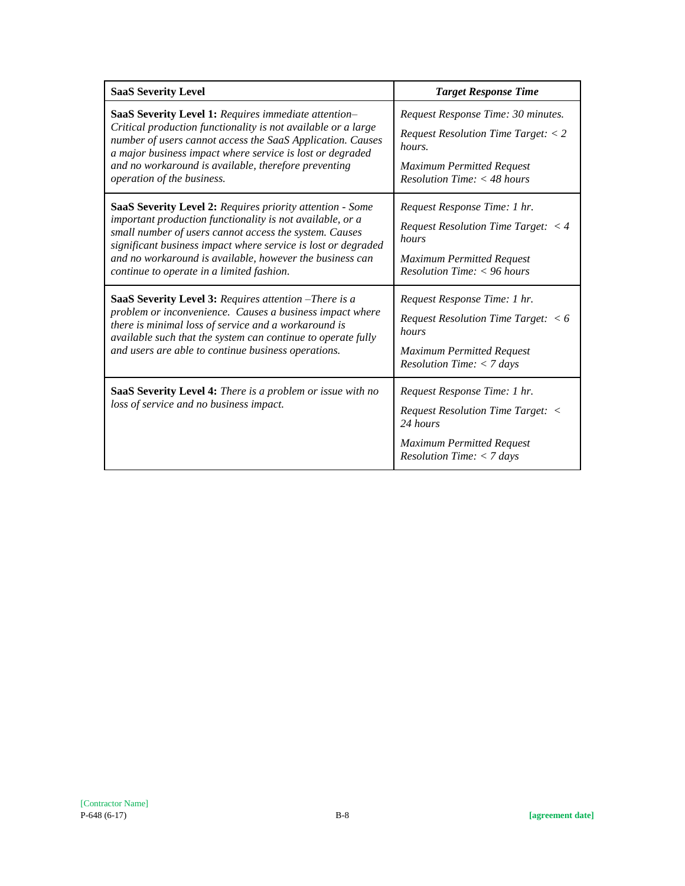| <b>SaaS Severity Level</b>                                                                                                                                                                                                                                                                                                                                 | <b>Target Response Time</b>                                                                                                                                                     |
|------------------------------------------------------------------------------------------------------------------------------------------------------------------------------------------------------------------------------------------------------------------------------------------------------------------------------------------------------------|---------------------------------------------------------------------------------------------------------------------------------------------------------------------------------|
| SaaS Severity Level 1: Requires immediate attention-<br>Critical production functionality is not available or a large<br>number of users cannot access the SaaS Application. Causes<br>a major business impact where service is lost or degraded<br>and no workaround is available, therefore preventing<br>operation of the business.                     | Request Response Time: 30 minutes.<br><i>Request Resolution Time Target:</i> $<$ 2<br>hours.<br><b>Maximum Permitted Request</b><br>$Resolution$ Time: $<$ 48 hours             |
| SaaS Severity Level 2: Requires priority attention - Some<br>important production functionality is not available, or a<br>small number of users cannot access the system. Causes<br>significant business impact where service is lost or degraded<br>and no workaround is available, however the business can<br>continue to operate in a limited fashion. | Request Response Time: 1 hr.<br><i>Request Resolution Time Target: <math>\lt 4</math></i><br>hours<br><b>Maximum Permitted Request</b><br>$Resolution$ Time: $<$ 96 hours       |
| SaaS Severity Level 3: Requires attention -There is a<br>problem or inconvenience. Causes a business impact where<br>there is minimal loss of service and a workaround is<br>available such that the system can continue to operate fully<br>and users are able to continue business operations.                                                           | Request Response Time: 1 hr.<br><i>Request Resolution Time Target:</i> $\lt 6$<br>hours<br><b>Maximum Permitted Request</b><br><i>Resolution Time: <math>&lt;</math> 7 days</i> |
| SaaS Severity Level 4: There is a problem or issue with no<br>loss of service and no business impact.                                                                                                                                                                                                                                                      | Request Response Time: 1 hr.<br>Request Resolution Time Target: <<br>24 hours<br><b>Maximum Permitted Request</b><br><i>Resolution Time: <math>&lt;</math> 7 days</i>           |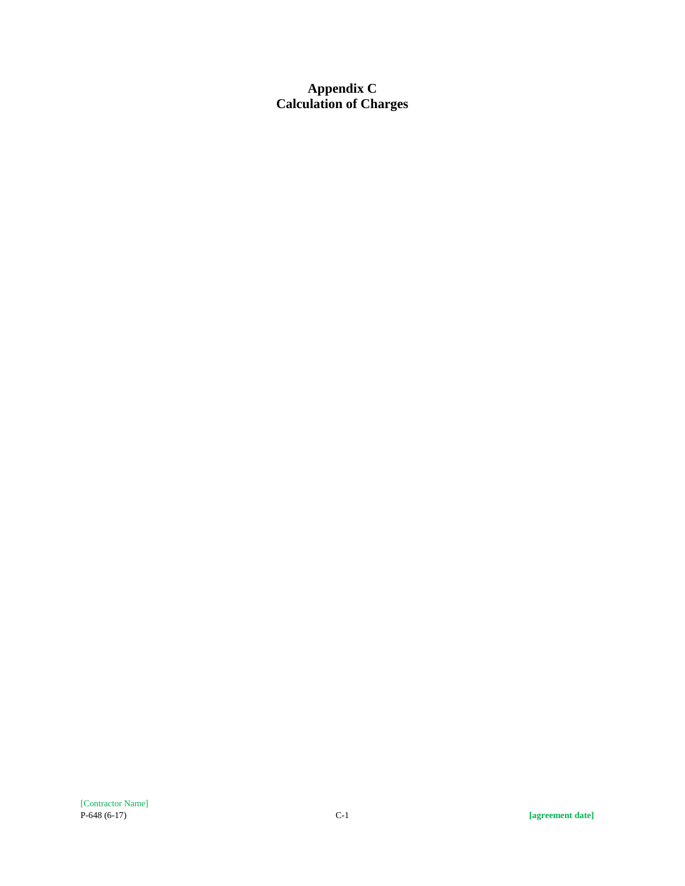**Appendix C Calculation of Charges**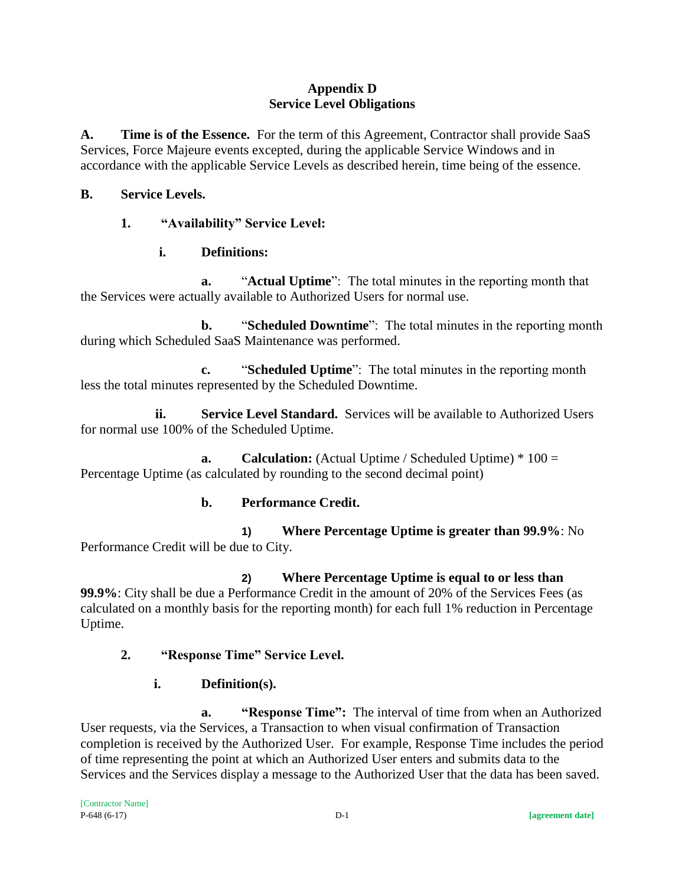### **Appendix D Service Level Obligations**

**A. Time is of the Essence.** For the term of this Agreement, Contractor shall provide SaaS Services, Force Majeure events excepted, during the applicable Service Windows and in accordance with the applicable Service Levels as described herein, time being of the essence.

#### **B. Service Levels.**

### **1. "Availability" Service Level:**

## **i. Definitions:**

**a.** "**Actual Uptime**": The total minutes in the reporting month that the Services were actually available to Authorized Users for normal use.

**b.** "**Scheduled Downtime**": The total minutes in the reporting month during which Scheduled SaaS Maintenance was performed.

**c.** "**Scheduled Uptime**": The total minutes in the reporting month less the total minutes represented by the Scheduled Downtime.

**ii. Service Level Standard.** Services will be available to Authorized Users for normal use 100% of the Scheduled Uptime.

**a. Calculation:** (Actual Uptime / Scheduled Uptime) \* 100 = Percentage Uptime (as calculated by rounding to the second decimal point)

### **b. Performance Credit.**

**1) Where Percentage Uptime is greater than 99.9%**: No Performance Credit will be due to City.

**2) Where Percentage Uptime is equal to or less than 99.9%**: City shall be due a Performance Credit in the amount of 20% of the Services Fees (as calculated on a monthly basis for the reporting month) for each full 1% reduction in Percentage Uptime.

### **2. "Response Time" Service Level.**

**i. Definition(s).**

**a. "Response Time":** The interval of time from when an Authorized User requests, via the Services, a Transaction to when visual confirmation of Transaction completion is received by the Authorized User. For example, Response Time includes the period of time representing the point at which an Authorized User enters and submits data to the Services and the Services display a message to the Authorized User that the data has been saved.

[Contractor Name] P-648 (6-17) D-1 **[agreement date]**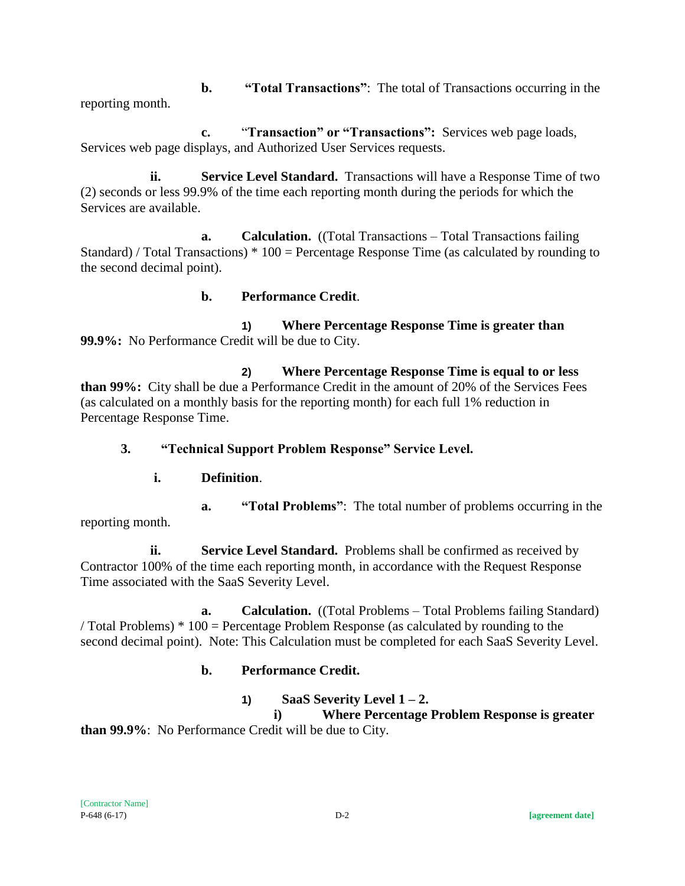**b. "Total Transactions"**: The total of Transactions occurring in the reporting month.

**c.** "**Transaction" or "Transactions":** Services web page loads, Services web page displays, and Authorized User Services requests.

**ii. Service Level Standard.** Transactions will have a Response Time of two (2) seconds or less 99.9% of the time each reporting month during the periods for which the Services are available.

**a. Calculation.** ((Total Transactions – Total Transactions failing Standard) / Total Transactions) \* 100 = Percentage Response Time (as calculated by rounding to the second decimal point).

### **b. Performance Credit**.

**1) Where Percentage Response Time is greater than 99.9%:** No Performance Credit will be due to City.

**2) Where Percentage Response Time is equal to or less than 99%:** City shall be due a Performance Credit in the amount of 20% of the Services Fees (as calculated on a monthly basis for the reporting month) for each full 1% reduction in Percentage Response Time.

**3. "Technical Support Problem Response" Service Level.**

# **i. Definition**.

**a. "Total Problems"**: The total number of problems occurring in the reporting month.

**ii. Service Level Standard.** Problems shall be confirmed as received by Contractor 100% of the time each reporting month, in accordance with the Request Response Time associated with the SaaS Severity Level.

**a. Calculation.** ((Total Problems – Total Problems failing Standard) / Total Problems) \* 100 = Percentage Problem Response (as calculated by rounding to the second decimal point). Note: This Calculation must be completed for each SaaS Severity Level.

# **b. Performance Credit.**

# **1) SaaS Severity Level**  $1 - 2$ **.**

**i) Where Percentage Problem Response is greater than 99.9%**: No Performance Credit will be due to City.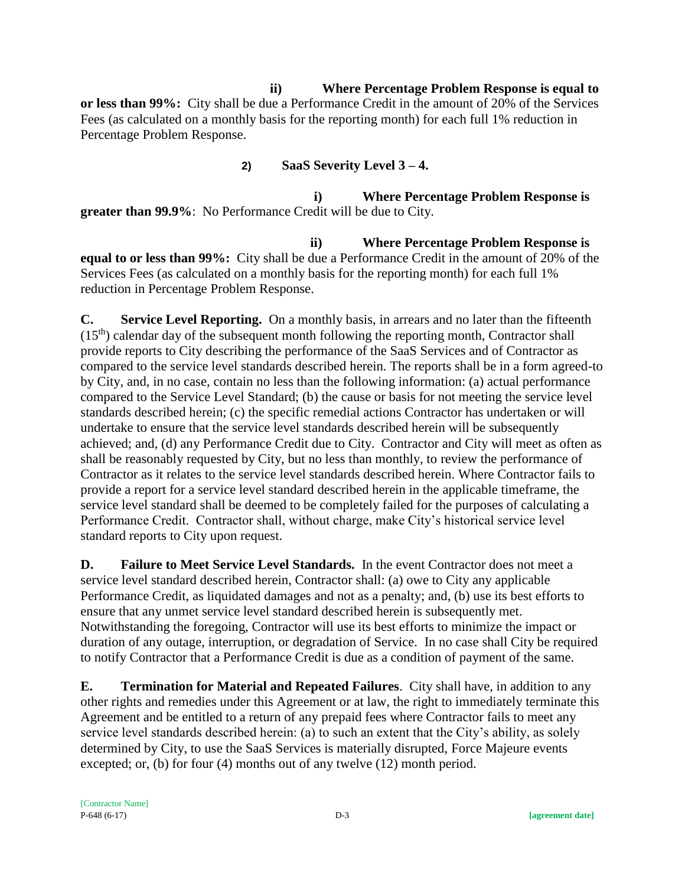### **ii) Where Percentage Problem Response is equal to**

**or less than 99%:** City shall be due a Performance Credit in the amount of 20% of the Services Fees (as calculated on a monthly basis for the reporting month) for each full 1% reduction in Percentage Problem Response.

# **2) SaaS Severity Level 3 – 4.**

**i) Where Percentage Problem Response is greater than 99.9%**: No Performance Credit will be due to City.

**ii) Where Percentage Problem Response is equal to or less than 99%:** City shall be due a Performance Credit in the amount of 20% of the Services Fees (as calculated on a monthly basis for the reporting month) for each full 1% reduction in Percentage Problem Response.

**C. Service Level Reporting.** On a monthly basis, in arrears and no later than the fifteenth  $(15<sup>th</sup>)$  calendar day of the subsequent month following the reporting month, Contractor shall provide reports to City describing the performance of the SaaS Services and of Contractor as compared to the service level standards described herein. The reports shall be in a form agreed-to by City, and, in no case, contain no less than the following information: (a) actual performance compared to the Service Level Standard; (b) the cause or basis for not meeting the service level standards described herein; (c) the specific remedial actions Contractor has undertaken or will undertake to ensure that the service level standards described herein will be subsequently achieved; and, (d) any Performance Credit due to City. Contractor and City will meet as often as shall be reasonably requested by City, but no less than monthly, to review the performance of Contractor as it relates to the service level standards described herein. Where Contractor fails to provide a report for a service level standard described herein in the applicable timeframe, the service level standard shall be deemed to be completely failed for the purposes of calculating a Performance Credit. Contractor shall, without charge, make City's historical service level standard reports to City upon request.

**D. Failure to Meet Service Level Standards.** In the event Contractor does not meet a service level standard described herein, Contractor shall: (a) owe to City any applicable Performance Credit, as liquidated damages and not as a penalty; and, (b) use its best efforts to ensure that any unmet service level standard described herein is subsequently met. Notwithstanding the foregoing, Contractor will use its best efforts to minimize the impact or duration of any outage, interruption, or degradation of Service. In no case shall City be required to notify Contractor that a Performance Credit is due as a condition of payment of the same.

**E. Termination for Material and Repeated Failures**. City shall have, in addition to any other rights and remedies under this Agreement or at law, the right to immediately terminate this Agreement and be entitled to a return of any prepaid fees where Contractor fails to meet any service level standards described herein: (a) to such an extent that the City's ability, as solely determined by City, to use the SaaS Services is materially disrupted, Force Majeure events excepted; or, (b) for four (4) months out of any twelve (12) month period.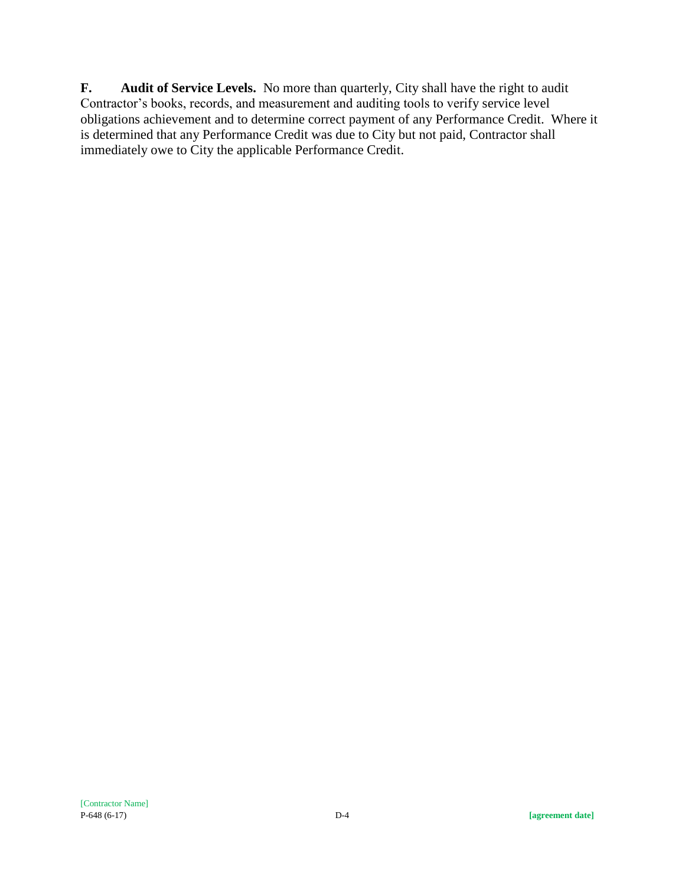**F. Audit of Service Levels.** No more than quarterly, City shall have the right to audit Contractor's books, records, and measurement and auditing tools to verify service level obligations achievement and to determine correct payment of any Performance Credit. Where it is determined that any Performance Credit was due to City but not paid, Contractor shall immediately owe to City the applicable Performance Credit.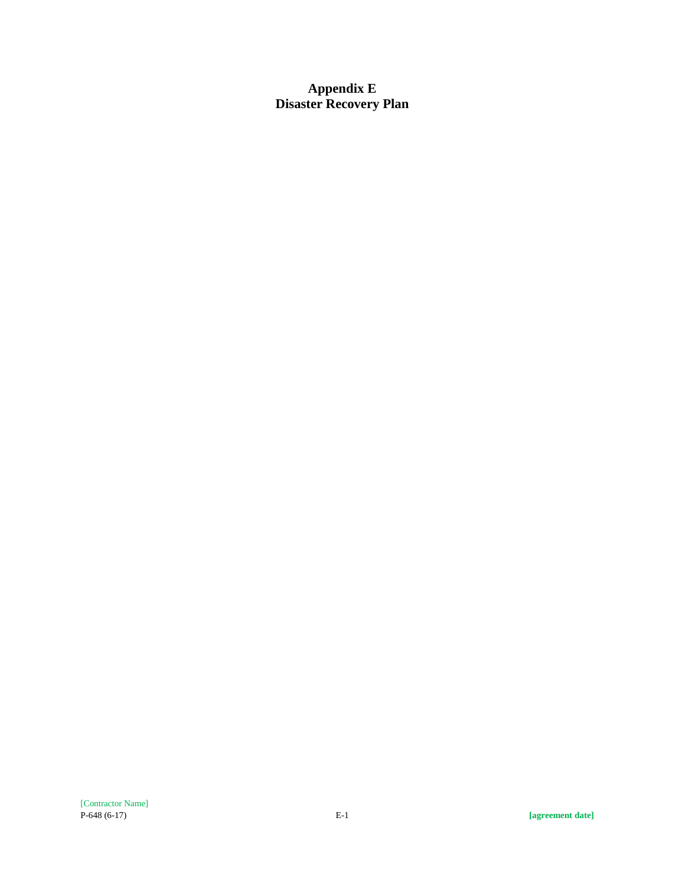**Appendix E Disaster Recovery Plan**